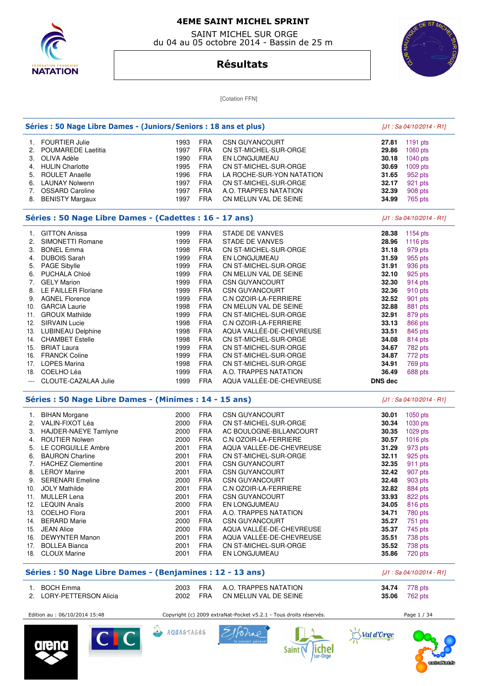

 SAINT MICHEL SUR ORGE du 04 au 05 octobre 2014 - Bassin de 25 m



# **Résultats**

[Cotation FFN]

| Séries : 50 Nage Libre Dames - (Juniors/Seniors : 18 ans et plus) |                      |            |                                                                   |                | [J1 : Sa 04/10/2014 - R1]  |
|-------------------------------------------------------------------|----------------------|------------|-------------------------------------------------------------------|----------------|----------------------------|
| <b>FOURTIER Julie</b><br>1.                                       | <b>FRA</b><br>1993   |            | <b>CSN GUYANCOURT</b>                                             | 27.81          | $1191$ pts                 |
| 2.<br>POUMAREDE Laetitia                                          | 1997<br><b>FRA</b>   |            | CN ST-MICHEL-SUR-ORGE                                             | 29.86          | 1060 pts                   |
| OLIVA Adèle<br>3.                                                 | 1990<br><b>FRA</b>   |            | EN LONGJUMEAU                                                     | 30.18          | 1040 pts                   |
| <b>HULIN Charlotte</b><br>4.                                      | <b>FRA</b><br>1995   |            | CN ST-MICHEL-SUR-ORGE                                             | 30.69          | 1009 pts                   |
| 5.<br><b>ROULET Anaelle</b>                                       | 1996<br><b>FRA</b>   |            | LA ROCHE-SUR-YON NATATION                                         | 31.65          | 952 pts                    |
| 6.<br>LAUNAY Nolwenn                                              | 1997<br><b>FRA</b>   |            | CN ST-MICHEL-SUR-ORGE                                             | 32.17          | 921 pts                    |
| 7.<br><b>OSSARD Caroline</b>                                      | 1997<br><b>FRA</b>   |            | A.O. TRAPPES NATATION                                             | 32.39          | 908 pts                    |
| 8.<br><b>BENISTY Margaux</b>                                      | 1997<br><b>FRA</b>   |            | CN MELUN VAL DE SEINE                                             | 34.99          | 765 pts                    |
| Séries : 50 Nage Libre Dames - (Cadettes : 16 - 17 ans)           |                      |            |                                                                   |                | [J1 : Sa 04/10/2014 - R1]  |
| 1. GITTON Anissa                                                  | <b>FRA</b><br>1999   |            | STADE DE VANVES                                                   | 28.38          | 1154 pts                   |
| SIMONETTI Romane<br>2.                                            | 1999<br><b>FRA</b>   |            | STADE DE VANVES                                                   | 28.96          | 1116 pts                   |
| 3.<br><b>BONEL Emma</b>                                           | 1998<br><b>FRA</b>   |            | CN ST-MICHEL-SUR-ORGE                                             | 31.18          | 979 pts                    |
| <b>DUBOIS Sarah</b><br>4.                                         | 1999<br><b>FRA</b>   |            | EN LONGJUMEAU                                                     | 31.59          | 955 pts                    |
| 5.<br><b>PAGE Sibylle</b>                                         | 1999<br><b>FRA</b>   |            | CN ST-MICHEL-SUR-ORGE                                             | 31.91          | 936 pts                    |
| 6.<br>PUCHALA Chloé                                               | 1999<br><b>FRA</b>   |            | CN MELUN VAL DE SEINE                                             | 32.10          | 925 pts                    |
| 7.<br><b>GELY Marion</b>                                          | 1999<br><b>FRA</b>   |            | <b>CSN GUYANCOURT</b>                                             | 32.30          | 914 pts                    |
| 8.<br>LE FAILLER Floriane                                         | 1999<br><b>FRA</b>   |            | <b>CSN GUYANCOURT</b>                                             | 32.36          | 910 pts                    |
| <b>AGNEL Florence</b><br>9.                                       | 1999<br><b>FRA</b>   |            | C.N OZOIR-LA-FERRIERE                                             | 32.52          | 901 pts                    |
| <b>GARCIA Laurie</b><br>10.                                       | 1998<br><b>FRA</b>   |            | CN MELUN VAL DE SEINE                                             | 32.88          | 881 pts                    |
| <b>GROUX Mathilde</b><br>11.                                      | 1999<br><b>FRA</b>   |            | CN ST-MICHEL-SUR-ORGE                                             | 32.91          | 879 pts                    |
| 12.<br><b>SIRVAIN Lucie</b>                                       | <b>FRA</b><br>1998   |            | C.N OZOIR-LA-FERRIERE                                             | 33.13          | 866 pts                    |
| 13. LUBINEAU Delphine                                             | 1998<br><b>FRA</b>   |            | AQUA VALLÉE-DE-CHEVREUSE                                          | 33.51          | 845 pts                    |
| 14. CHAMBET Estelle                                               | 1998<br><b>FRA</b>   |            | CN ST-MICHEL-SUR-ORGE                                             | 34.08          | 814 pts                    |
| 15.<br><b>BRIAT Laura</b>                                         | <b>FRA</b><br>1999   |            | CN ST-MICHEL-SUR-ORGE                                             | 34.67          | 782 pts                    |
| 16. FRANCK Coline                                                 | 1999<br><b>FRA</b>   |            | CN ST-MICHEL-SUR-ORGE                                             | 34.87          | 772 pts                    |
| 17. LOPES Marina                                                  | <b>FRA</b><br>1998   |            | CN ST-MICHEL-SUR-ORGE                                             | 34.91          | 769 pts                    |
| 18.<br>COELHO Léa                                                 | <b>FRA</b><br>1999   |            | A.O. TRAPPES NATATION                                             | 36.49          | 688 pts                    |
| CLOUTE-CAZALAA Julie                                              | 1999<br><b>FRA</b>   |            | AQUA VALLÉE-DE-CHEVREUSE                                          | <b>DNS dec</b> |                            |
| Séries : 50 Nage Libre Dames - (Minimes : 14 - 15 ans)            |                      |            |                                                                   |                | $[J1: Sa 04/10/2014 - R1]$ |
|                                                                   |                      |            |                                                                   |                |                            |
|                                                                   |                      |            |                                                                   |                |                            |
| <b>BIHAN Morgane</b><br>1.                                        | 2000<br><b>FRA</b>   |            | <b>CSN GUYANCOURT</b>                                             | 30.01          | 1050 pts                   |
| VALIN-FIXOT Léa<br>2.                                             | <b>FRA</b><br>2000   |            | CN ST-MICHEL-SUR-ORGE                                             | 30.34          | 1030 pts                   |
| <b>HAJDER-NAEYE Tamlyne</b><br>3.                                 | <b>FRA</b><br>2000   |            | AC BOULOGNE-BILLANCOURT                                           | 30.35          | 1029 pts                   |
| <b>ROUTIER Nolwen</b><br>4.                                       | 2000<br><b>FRA</b>   |            | C.N OZOIR-LA-FERRIERE                                             | 30.57          | 1016 pts                   |
| LE CORGUILLE Ambre<br>5.                                          | <b>FRA</b><br>2001   |            | AQUA VALLÉE-DE-CHEVREUSE                                          | 31.29          | 973 pts                    |
| <b>BAURON Charline</b><br>6.                                      | <b>FRA</b><br>2001   |            | CN ST-MICHEL-SUR-ORGE                                             | 32.11          | 925 pts                    |
| <b>HACHEZ Clementine</b><br>7.                                    | 2001<br><b>FRA</b>   |            | <b>CSN GUYANCOURT</b>                                             | 32.35          | 911 pts                    |
| <b>LEROY Marine</b><br>8.                                         | <b>FRA</b><br>2001   |            | <b>CSN GUYANCOURT</b>                                             | 32.42          | 907 pts                    |
| 9.<br><b>SERENARI Emeline</b>                                     | 2000<br><b>FRA</b>   |            | <b>CSN GUYANCOURT</b>                                             | 32.48          | 903 pts                    |
| 10. JOLY Mathilde                                                 | <b>FRA</b><br>2001   |            | C.N OZOIR-LA-FERRIERE                                             | 32.82          | 884 pts                    |
| <b>MULLER Lena</b><br>11.                                         | <b>FRA</b><br>2001   |            | <b>CSN GUYANCOURT</b>                                             | 33.93          | 822 pts                    |
| 12. LEQUIN Anaïs                                                  | 2000<br><b>FRA</b>   |            | EN LONGJUMEAU                                                     | 34.05          | 816 pts                    |
| COELHO Flora<br>13.                                               | 2001<br><b>FRA</b>   |            | A.O. TRAPPES NATATION                                             | 34.71          | 780 pts                    |
| <b>BERARD Marie</b><br>14.                                        | <b>FRA</b><br>2000   |            | <b>CSN GUYANCOURT</b>                                             | 35.27          | 751 pts                    |
| <b>JEAN Alice</b><br>15.                                          | 2000<br><b>FRA</b>   |            | AQUA VALLÉE-DE-CHEVREUSE                                          | 35.37          | 745 pts                    |
| <b>DEWYNTER Manon</b><br>16.                                      | 2001<br><b>FRA</b>   |            | AQUA VALLÉE-DE-CHEVREUSE                                          | 35.51          | 738 pts                    |
| <b>BOLLEA Bianca</b><br>17.                                       | <b>FRA</b><br>2001   |            | CN ST-MICHEL-SUR-ORGE                                             | 35.52          | 738 pts                    |
| <b>CLOUX Marine</b><br>18.                                        | 2001<br><b>FRA</b>   |            | EN LONGJUMEAU                                                     | 35.86          | 720 pts                    |
| Séries : 50 Nage Libre Dames - (Benjamines : 12 - 13 ans)         |                      |            |                                                                   |                | [J1 : Sa 04/10/2014 - R1]  |
| <b>BOCH Emma</b><br>1.                                            | 2003                 | <b>FRA</b> | A.O. TRAPPES NATATION                                             | 34.74          | 778 pts                    |
| <b>LORY-PETTERSON Alicia</b><br>2.                                | 2002<br><b>FRA</b>   |            | CN MELUN VAL DE SEINE                                             | 35.06          | 762 pts                    |
| Edition au : 06/10/2014 15:48                                     |                      |            | Copyright (c) 2009 extraNat-Pocket v5.2.1 - Tous droits réservés. |                | Page 1 / 34                |
| CIC<br>oreno                                                      | كالعبا<br>AQUASTAGES |            | ichel<br>Saint N                                                  | Val d'Orge     |                            |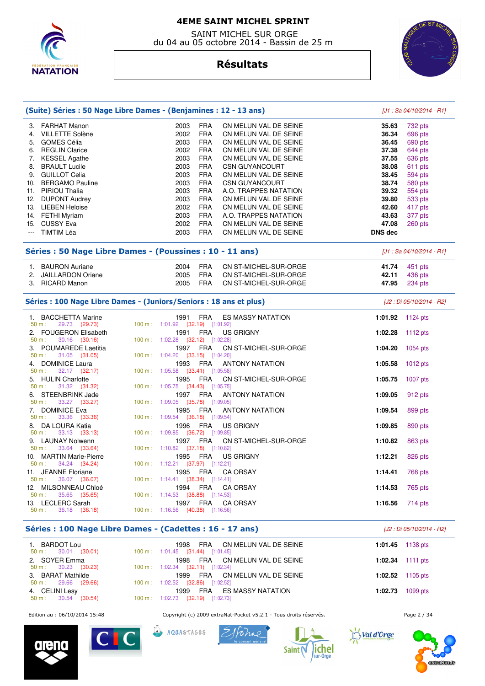

 SAINT MICHEL SUR ORGE du 04 au 05 octobre 2014 - Bassin de 25 m



# **Résultats**

| (Suite) Séries : 50 Nage Libre Dames - (Benjamines : 12 - 13 ans)                               |                                                                                  | [J1: Sa 04/10/2014 - R1] |                            |  |  |  |  |
|-------------------------------------------------------------------------------------------------|----------------------------------------------------------------------------------|--------------------------|----------------------------|--|--|--|--|
| 3. FARHAT Manon                                                                                 | 2003<br><b>FRA</b><br>CN MELUN VAL DE SEINE                                      | 35.63                    | 732 pts                    |  |  |  |  |
| 4. VILLETTE Solène                                                                              | 2002<br><b>FRA</b><br>CN MELUN VAL DE SEINE                                      | 36.34                    | 696 pts                    |  |  |  |  |
| 5. GOMES Célia                                                                                  | 2003<br><b>FRA</b><br>CN MELUN VAL DE SEINE                                      | 36.45                    | 690 pts                    |  |  |  |  |
| 6. REGLIN Clarice                                                                               | <b>FRA</b><br>2002<br>CN MELUN VAL DE SEINE                                      | 37.38                    | 644 pts                    |  |  |  |  |
| 7. KESSEL Agathe                                                                                | 2003<br><b>FRA</b><br>CN MELUN VAL DE SEINE                                      | 37.55                    | 636 pts                    |  |  |  |  |
| 8. BRAULT Lucile                                                                                | 2003<br><b>FRA</b><br><b>CSN GUYANCOURT</b>                                      | 38.08                    | 611 pts                    |  |  |  |  |
| 9. GUILLOT Celia                                                                                | <b>FRA</b><br>2003<br>CN MELUN VAL DE SEINE                                      | 38.45                    | 594 pts                    |  |  |  |  |
| 10. BERGAMO Pauline                                                                             | 2003<br><b>FRA</b><br><b>CSN GUYANCOURT</b>                                      | 38.74                    | 580 pts                    |  |  |  |  |
| 11. PIRIOU Thalia                                                                               | 2003<br><b>FRA</b><br>A.O. TRAPPES NATATION                                      | 39.32                    | 554 pts                    |  |  |  |  |
| <b>DUPONT Audrey</b><br>12.                                                                     | <b>FRA</b><br>2003<br>CN MELUN VAL DE SEINE                                      | 39.80                    | 533 pts                    |  |  |  |  |
| 13. LIEBEN Heloise                                                                              | 2002<br><b>FRA</b><br>CN MELUN VAL DE SEINE                                      | 42.60                    | 417 pts                    |  |  |  |  |
| 14. FETHI Myriam                                                                                | 2003<br><b>FRA</b><br>A.O. TRAPPES NATATION                                      | 43.63                    | 377 pts                    |  |  |  |  |
| 15. CUSSY Eva                                                                                   | <b>FRA</b><br>2002<br>CN MELUN VAL DE SEINE                                      | 47.08                    | 260 pts                    |  |  |  |  |
| <b>TIMTIM Léa</b><br>$\frac{1}{2}$                                                              | 2003<br><b>FRA</b><br>CN MELUN VAL DE SEINE                                      | <b>DNS</b> dec           |                            |  |  |  |  |
|                                                                                                 | Séries : 50 Nage Libre Dames - (Poussines : 10 - 11 ans)                         |                          | $[J1: Sa 04/10/2014 - R1]$ |  |  |  |  |
| 1. BAURON Auriane                                                                               | 2004<br><b>FRA</b><br>CN ST-MICHEL-SUR-ORGE                                      | 41.74                    | 451 pts                    |  |  |  |  |
| 2. JAILLARDON Oriane                                                                            | 2005<br><b>FRA</b><br>CN ST-MICHEL-SUR-ORGE                                      | 42.11                    | 436 pts                    |  |  |  |  |
| 3. RICARD Manon                                                                                 | 2005<br><b>FRA</b><br>CN ST-MICHEL-SUR-ORGE                                      | 47.95                    | 234 pts                    |  |  |  |  |
|                                                                                                 |                                                                                  |                          |                            |  |  |  |  |
| Séries : 100 Nage Libre Dames - (Juniors/Seniors : 18 ans et plus)<br>[J2 : Di 05/10/2014 - R2] |                                                                                  |                          |                            |  |  |  |  |
| 1. BACCHETTA Marine<br>29.73 (29.73)<br>50 m:                                                   | <b>FRA</b><br>1991<br>ES MASSY NATATION<br>100 m: 1:01.92 (32.19) [1:01.92]      | 1:01.92 1124 pts         |                            |  |  |  |  |
| 2. FOUGERON Elisabeth<br>30.16 (30.16)<br>50 m:                                                 | <b>FRA</b><br><b>US GRIGNY</b><br>1991<br>100 m: 1:02.28 (32.12) [1:02.28]       | 1:02.28                  | 1112 pts                   |  |  |  |  |
| 3. POUMAREDE Laetitia<br>50 m:<br>31.05 (31.05)                                                 | 1997 FRA<br>CN ST-MICHEL-SUR-ORGE<br>100 m: 1:04.20 (33.15) [1:04.20]            | 1:04.20                  | 1054 pts                   |  |  |  |  |
| 4. DOMINICE Laura<br>$32.17$ $(32.17)$<br>50 m:                                                 | 1993<br>FRA<br><b>ANTONY NATATION</b><br>100 m: 1:05.58 (33.41) [1:05.58]        | 1:05.58                  | $1012$ pts                 |  |  |  |  |
| 5. HULIN Charlotte                                                                              | <b>FRA</b><br>CN ST-MICHEL-SUR-ORGE<br>1995                                      | 1:05.75                  | 1007 pts                   |  |  |  |  |
| 31.32 (31.32)<br>50 m:                                                                          | 100 m: 1:05.75 (34.43) [1:05.75]                                                 |                          |                            |  |  |  |  |
| 6. STEENBRINK Jade<br>50 m:<br>33.27 (33.27)                                                    | 1997<br><b>FRA</b><br><b>ANTONY NATATION</b><br>100 m: 1:09.05 (35.78) [1:09.05] | 1:09.05                  | 912 pts                    |  |  |  |  |
| 7. DOMINICE Eva                                                                                 | 1995<br>FRA<br><b>ANTONY NATATION</b>                                            | 1:09.54                  | 899 pts                    |  |  |  |  |
| 33.36 (33.36)<br>50 m:                                                                          | 100 m: 1:09.54 (36.18) [1:09.54]                                                 |                          |                            |  |  |  |  |
| 8. DA LOURA Katia<br>33.13 (33.13)<br>50 m:                                                     | <b>FRA</b><br>1996<br><b>US GRIGNY</b><br>100 m: 1:09.85 (36.72) [1:09.85]       | 1:09.85                  | 890 pts                    |  |  |  |  |
| 9. LAUNAY Nolwenn                                                                               | FRA<br>CN ST-MICHEL-SUR-ORGE<br>1997                                             | 1:10.82                  | 863 pts                    |  |  |  |  |
| 33.64 (33.64)<br>50 m:                                                                          | 100 m: 1:10.82 (37.18) [1:10.82]                                                 |                          |                            |  |  |  |  |
| <b>MARTIN Marie-Pierre</b><br>10.<br>34.24 (34.24)<br>50 m:                                     | 1995<br>FRA<br><b>US GRIGNY</b><br>100 m: 1:12.21 (37.97) [1:12.21]              | 1:12.21                  | 826 pts                    |  |  |  |  |
| 11. JEANNE Floriane                                                                             | 1995 FRA CA ORSAY                                                                | 1:14.41                  | 768 pts                    |  |  |  |  |
| 36.07 (36.07)<br>50 m:                                                                          | $100 \text{ m}: 1:14.41$ (38.34) [1:14.41]                                       |                          |                            |  |  |  |  |
| 12. MILSONNEAU Chloé<br>35.65 (35.65)<br>50 m:                                                  | 1994<br>FRA<br><b>CA ORSAY</b><br>100 m: 1:14.53 (38.88) [1:14.53]               | 1:14.53                  | 765 pts                    |  |  |  |  |
| 13. LECLERC Sarah                                                                               | 1997 FRA<br><b>CA ORSAY</b>                                                      | 1:16.56                  | 714 pts                    |  |  |  |  |
| 36.18 (36.18)<br>$50 m$ :                                                                       | 100 m: 1:16.56 (40.38) [1:16.56]                                                 |                          |                            |  |  |  |  |
|                                                                                                 |                                                                                  |                          |                            |  |  |  |  |
| Séries : 100 Nage Libre Dames - (Cadettes : 16 - 17 ans)<br>[J2 : Di 05/10/2014 - R2]           |                                                                                  |                          |                            |  |  |  |  |

| 1. BARDOT Lou                                      | 1998 FRA CN MELUN VAL DE SEINE                                                  | 1:01.45 $1138 \text{ pts}$ |
|----------------------------------------------------|---------------------------------------------------------------------------------|----------------------------|
| $50 \text{ m}: 30.01 (30.01)$<br>2. SOYER Emma     | $100 \text{ m}$ : $1:01.45$ (31.44) [1:01.45]<br>1998 FRA CN MELUN VAL DE SEINE | 1:02.34 1111 pts           |
| $50 \text{ m}: 30.23 (30.23)$                      | $100 \text{ m}$ : 1:02.34 (32.11) [1:02.34]                                     |                            |
| 3. BARAT Mathilde<br>$50 \text{ m}: 29.66 (29.66)$ | 1999 FRA CN MELUN VAL DE SEINE<br>100 m : $1:02.52$ (32.86) [1:02.52]           | 1:02.52 1105 pts           |
| 4. CELINI Lesy                                     | FRA ES MASSY NATATION<br>1999                                                   | <b>1:02.73</b> 1099 pts    |
| $50 \text{ m}: 30.54 (30.54)$                      | 100 m : $1:02.73$ (32.19) [1:02.73]                                             |                            |

Edition au : 06/10/2014 15:48 Copyright (c) 2009 extraNat-Pocket v5.2.1 - Tous droits réservés. Page 2 / 34

ラ

Val d'Orge









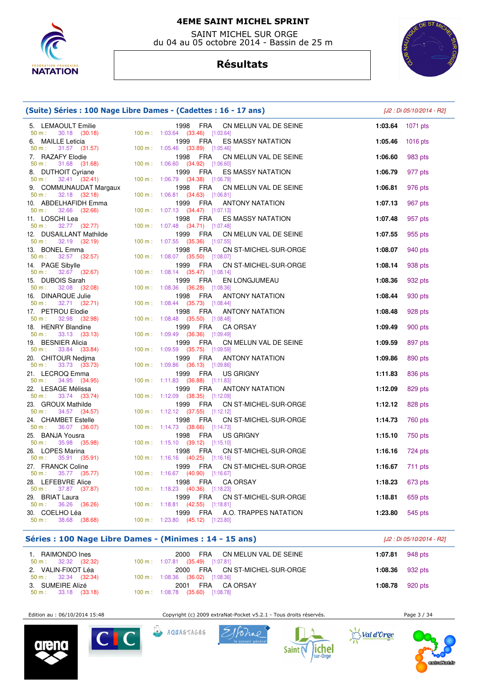

 SAINT MICHEL SUR ORGE du 04 au 05 octobre 2014 - Bassin de 25 m

# **Résultats**



| (Suite) Séries : 100 Nage Libre Dames - (Cadettes : 16 - 17 ans) |                                                                                         | [J2 : Di 05/10/2014 - R2] |          |
|------------------------------------------------------------------|-----------------------------------------------------------------------------------------|---------------------------|----------|
| 5. LEMAOULT Emilie<br>$50 \text{ m}: 30.18 (30.18)$              | CN MELUN VAL DE SEINE<br>1998 FRA<br>$100 \text{ m}$ : $1:03.64$ (33.46) [1:03.64]      | 1:03.64                   | 1071 pts |
| 6. MAILLE Leticia<br>$31.57$ (31.57)<br>50 m:                    | <b>FRA</b><br>1999<br>ES MASSY NATATION<br>100 m: 1:05.46 (33.89) [1:05.46]             | 1:05.46                   | 1016 pts |
| 7. RAZAFY Elodie                                                 | CN MELUN VAL DE SEINE<br>1998<br>FRA                                                    | 1:06.60                   | 983 pts  |
| 31.68 (31.68)<br>50 m:<br>8. DUTHOIT Cyriane                     | 100 m: 1:06.60 (34.92) [1:06.60]<br>1999<br>FRA<br>ES MASSY NATATION                    | 1:06.79                   | 977 pts  |
| 32.41 (32.41)<br>$50 m$ :<br>9. COMMUNAUDAT Margaux              | 100 m: 1:06.79 (34.38) [1:06.79]<br>1998<br>FRA<br>CN MELUN VAL DE SEINE                | 1:06.81                   | 976 pts  |
| 50 m:<br>$32.18$ $(32.18)$<br>10. ABDELHAFIDH Emma               | 100 m: 1:06.81 (34.63) [1:06.81]<br><b>FRA</b><br>1999<br><b>ANTONY NATATION</b>        | 1:07.13                   | 967 pts  |
| 32.66 (32.66)<br>50 m:                                           | 100 m: 1:07.13 (34.47) [1:07.13]                                                        |                           |          |
| 11. LOSCHI Lea<br>50 m:                                          | 1998<br>FRA<br>ES MASSY NATATION<br>100 m: 1:07.48 (34.71) [1:07.48]                    | 1:07.48                   | 957 pts  |
| 12. DUSAILLANT Mathilde                                          | 1999<br>FRA<br>CN MELUN VAL DE SEINE                                                    | 1:07.55                   | 955 pts  |
| 13. BONEL Emma                                                   | 100 m: 1:07.55 (35.36) [1:07.55]<br>1998<br>FRA<br>CN ST-MICHEL-SUR-ORGE                | 1:08.07                   | 940 pts  |
| 32.57 (32.57)<br>50 m:<br>14. PAGE Sibylle                       | 100 m: 1:08.07 (35.50) [1:08.07]<br><b>FRA</b><br>1999<br>CN ST-MICHEL-SUR-ORGE         | 1:08.14                   | 938 pts  |
| 32.67 (32.67)<br>$50 m$ :<br>15. DUBOIS Sarah                    | 100 m: 1:08.14 (35.47) [1:08.14]<br><b>FRA</b><br>1999<br>EN LONGJUMEAU                 | 1:08.36                   | 932 pts  |
| 32.08 (32.08)<br>50 m:                                           | 100 m: 1:08.36 (36.28) [1:08.36]                                                        |                           |          |
| 16. DINARQUE Julie<br>RQUE Julie<br>32.71 (32.71)<br>$50 m$ :    | FRA<br><b>ANTONY NATATION</b><br>1998<br>100 m: 1:08.44 (35.73) [1:08.44]               | 1:08.44                   | 930 pts  |
| 17. PETROU Elodie                                                | 1998<br>FRA<br><b>ANTONY NATATION</b>                                                   | 1:08.48                   | 928 pts  |
| 32.98 (32.98)<br>50 m:<br>18. HENRY Blandine                     | 100 m: 1:08.48 (35.50) [1:08.48]<br><b>FRA</b><br>1999<br><b>CA ORSAY</b>               | 1:09.49                   | 900 pts  |
| 33.13 (33.13)<br>$50 m$ :<br>19. BESNIER Alicia                  | 100 m: 1:09.49 (36.36) [1:09.49]<br>1999<br><b>FRA</b><br>CN MELUN VAL DE SEINE         | 1:09.59                   | 897 pts  |
| 33.84 (33.84)<br>50 m:                                           | 100 m: 1:09.59 (35.75) [1:09.59]                                                        |                           |          |
| 20. CHITOUR Nedima<br>33.73 (33.73)<br>$50 m$ :                  | 1999<br>FRA<br><b>ANTONY NATATION</b><br>100 m: 1:09.86 (36.13) [1:09.86]               | 1:09.86                   | 890 pts  |
| 21. LECROQ Emma                                                  | 1999<br><b>FRA</b><br><b>US GRIGNY</b>                                                  | 1:11.83                   | 836 pts  |
| $34.95$ $(34.95)$<br>50 m:<br>22. LESAGE Mélissa                 | 100 m: 1:11.83 (36.88) [1:11.83]<br><b>FRA</b><br>1999<br><b>ANTONY NATATION</b>        | 1:12.09                   | 829 pts  |
| 33.74 (33.74)<br>50 m:<br>23. GROUX Mathilde                     | 100 m: 1:12.09 (38.35) [1:12.09]<br><b>FRA</b><br>CN ST-MICHEL-SUR-ORGE<br>1999         | 1:12.12                   | 828 pts  |
| 34.57 (34.57)<br>50 m:                                           | 100 m: 1:12.12 (37.55) [1:12.12]                                                        |                           |          |
| 24. CHAMBET Estelle<br>36.07 (36.07)<br>50 m:                    | 1998<br>FRA<br>CN ST-MICHEL-SUR-ORGE<br>100 m: $1:14.73$ (38.66) [1:14.73]              | 1:14.73                   | 760 pts  |
| 25. BANJA Yousra<br>35.98 (35.98)                                | 1998<br>FRA<br>US GRIGNY                                                                | 1:15.10                   | 750 pts  |
| 50 m:<br>26. LOPES Marina                                        | 100 m: 1:15.10 (39.12) [1:15.10]<br>1998<br>FRA<br>CN ST-MICHEL-SUR-ORGE                | 1:16.16                   | 724 pts  |
| 35.91 (35.91)<br>50 m:<br>27. FRANCK Coline                      | 100 m: 1:16.16 (40.25) [1:16.16]<br>FRA<br>1999                                         | 1:16.67                   |          |
| 35.77 (35.77)<br>50 m:                                           | CN ST-MICHEL-SUR-ORGE<br>100 m: $1:16.67$ (40.90) [1:16.67]                             |                           | 711 pts  |
| 28. LEFEBVRE Alice<br>50 m:<br>37.87 (37.87)                     | 1998<br><b>FRA</b><br><b>CA ORSAY</b><br>100 m: 1:18.23 (40.36) [1:18.23]               | 1:18.23                   | 673 pts  |
| 29. BRIAT Laura                                                  | <b>FRA</b><br>CN ST-MICHEL-SUR-ORGE<br>1999                                             | 1:18.81                   | 659 pts  |
| 50 m:<br>30. COELHO Léa                                          | 36.26 (36.26) 100 m : 1:18.81 (42.55) [1:18.81]<br>1999<br>FRA<br>A.O. TRAPPES NATATION | 1:23.80                   | 545 pts  |
| $50 \text{ m}: 38.68 (38.68)$                                    | 100 m: 1:23.80 (45.12) [1:23.80]                                                        |                           |          |

### **Séries : 100 Nage Libre Dames - (Minimes : 14 - 15 ans)** [J2 : Di 05/10/2014 - R2]

| 1. RAIMONDO Ines<br>$50 \text{ m}: 32.32 (32.32)$   | 2000 FRA CN MELUN VAL DE SEINE<br>100 m : 1:07.81 (35.49) [1:07.81] | 1:07.81 $948 \text{ pts}$ |                        |
|-----------------------------------------------------|---------------------------------------------------------------------|---------------------------|------------------------|
| 2. VALIN-FIXOT Léa<br>$50 \text{ m}: 32.34 (32.34)$ | 2000 FRA CN ST-MICHEL-SUR-ORGE<br>100 m: 1:08.36 (36.02) [1:08.36]  | 1:08.36 $932 \text{ pts}$ |                        |
| 3. SUMEIRE Alizé<br>$50 \text{ m}: 33.18 (33.18)$   | 2001 FRA CAORSAY<br>100 m : 1:08.78 (35.60) [1:08.78]               |                           | <b>1:08.78</b> 920 pts |

Edition au : 06/10/2014 15:48 Copyright (c) 2009 extraNat-Pocket v5.2.1 - Tous droits réservés. Page 3 / 34





AQUASTAGES





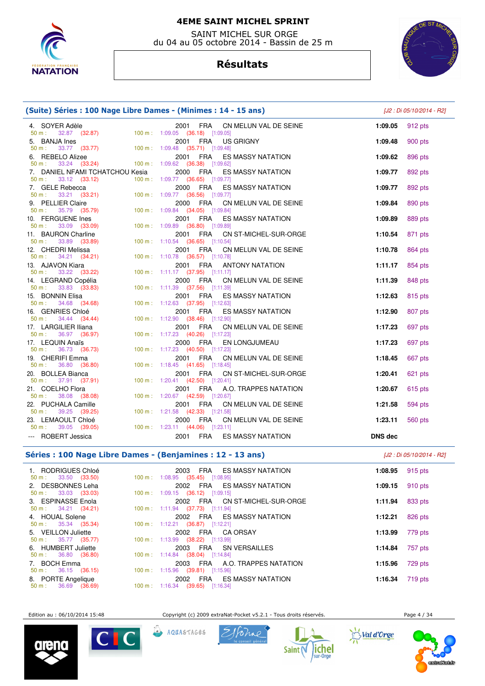

 SAINT MICHEL SUR ORGE du 04 au 05 octobre 2014 - Bassin de 25 m

# **Résultats**



| (Suite) Séries : 100 Nage Libre Dames - (Minimes : 14 - 15 ans)                                      |                                                                                                                     | [J2 : Di 05/10/2014 - R2] |                    |
|------------------------------------------------------------------------------------------------------|---------------------------------------------------------------------------------------------------------------------|---------------------------|--------------------|
| 4. SOYER Adèle<br>32.87 (32.87) 100 m : 1:09.05 (36.18) [1:09.05]<br>50 m:                           | 2001 FRA<br>CN MELUN VAL DE SEINE                                                                                   | 1:09.05                   | 912 pts            |
| 5. BANJA Ines<br>2001 FRA US<br>33.77 (33.77) 100 m : 1:09.48 (35.71) [1:09.48]<br>$50 m$ :          | <b>FRA</b><br>2001<br><b>US GRIGNY</b>                                                                              | 1:09.48                   | 900 pts            |
| 6. REBELO Alizee<br>33.24 (33.24) 100 m : 1:09.62 (36.38) [1:09.62]<br>50 m:                         | 2001 FRA<br><b>ES MASSY NATATION</b>                                                                                | 1:09.62                   | 896 pts            |
| 7. DANIEL NFAMI TCHATCHOU Kesia<br>$50 \text{ m}: 33.12 (33.12)$                                     | 2000 FRA<br><b>ES MASSY NATATION</b><br>100 m: 1:09.77 (36.65) [1:09.77]                                            | 1:09.77                   | 892 pts            |
| E Rebecca 2000 FRA ES<br>33.21 (33.21) 100 m : 1:09.77 (36.56) [1:09.77]<br>7. GELE Rebecca<br>50 m: | <b>ES MASSY NATATION</b>                                                                                            | 1:09.77                   | 892 pts            |
| 9. PELLIER Claire<br>IER Glaire<br>35.79 (35.79)<br>$50 m$ :                                         | 2000 FRA<br>CN MELUN VAL DE SEINE<br>100 m: 1:09.84 (34.05) [1:09.84]                                               | 1:09.84                   | 890 pts            |
| 10. FERGUENE Ines<br>$33.09$ (33.09)<br>50 m:                                                        | 2001 FRA ES MASSY NATATION<br>100 m: 1:09.89 (36.80) [1:09.89]                                                      | 1:09.89                   | 889 pts            |
| 11. BAURON Charline<br>33.89 ( <b>33.89</b> )<br>$50 m$ :                                            | 2001 FRA<br>CN ST-MICHEL-SUR-ORGE<br>100 m: 1:10.54 (36.65) [1:10.54]                                               | 1:10.54                   | 871 pts            |
| 12. CHEDRI Melissa<br>$50 \text{ m}: 34.21 (34.21)$                                                  | 2001 FRA<br>CN MELUN VAL DE SEINE<br>100 m: 1:10.78 (36.57) [1:10.78]                                               | 1:10.78                   | 864 pts            |
| 13. AJAVON Kiara<br>33.22 (33.22)<br>50 m:                                                           | 2001 FRA<br><b>ANTONY NATATION</b><br>100 m: 1:11.17 (37.95) [1:11.17]                                              | 1:11.17                   | 854 pts            |
| 14. LEGRAND Copélia<br>33.83 (33.83)<br>50 m:<br>15. BONNIN Elisa                                    | 2000 FRA<br>CN MELUN VAL DE SEINE<br>100 m: 1:11.39 (37.56) [1:11.39]<br>2001<br>FRA<br><b>ES MASSY NATATION</b>    | 1:11.39<br>1:12.63        | 848 pts            |
| 50 m:<br>34.68 (34.68)<br>16. GENRIES Chloé                                                          | 100 m: 1:12.63 (37.95) [1:12.63]<br>2001 FRA<br><b>ES MASSY NATATION</b>                                            | 1:12.90                   | 815 pts<br>807 pts |
| 34.44 (34.44)<br>$50 m$ :<br>17. LARGILIER Iliana                                                    | 100 m: 1:12.90 (38.46) [1:12.90]<br>2001 FRA<br>CN MELUN VAL DE SEINE                                               | 1:17.23                   | 697 pts            |
| 50 m:<br>36.97 (36.97)<br>17. LEQUIN Anaïs                                                           | 100 m: 1:17.23 (40.26) [1:17.23]<br>2000 FRA<br>EN LONGJUMEAU                                                       | 1:17.23                   | 697 pts            |
| 36.73 (36.73)<br>50 m:<br>19. CHERIFI Emma                                                           | 100 m: 1:17.23 (40.50) [1:17.23]<br>2001<br>FRA<br>CN MELUN VAL DE SEINE                                            | 1:18.45                   | 667 pts            |
| $36.80$ (36.80)<br>50 m:<br>20. BOLLEA Bianca                                                        | 100 m: 1:18.45 (41.65) [1:18.45]<br>2001 FRA<br>CN ST-MICHEL-SUR-ORGE                                               | 1:20.41                   | 621 pts            |
| $50 m$ :<br>37.91 (37.91)<br>21. COELHO Flora                                                        | 100 m: 1:20.41 (42.50) [1:20.41]<br>FRA<br>2001<br>A.O. TRAPPES NATATION                                            | 1:20.67                   | 615 pts            |
| 38.08 (38.08)<br>$50 m$ :<br>22. PUCHALA Camille                                                     | 100 m: 1:20.67 (42.59) [1:20.67]<br>2001<br>FRA<br>CN MELUN VAL DE SEINE                                            | 1:21.58                   | 594 pts            |
| 39.25 (39.25)<br>50 m:<br>23. LEMAOULT Chloé<br>39.05 (39.05)<br>50 m:                               | 100 m: 1:21.58 (42.33) [1:21.58]<br>2000 FRA<br>CN MELUN VAL DE SEINE<br>$100 \text{ m}: 1:23.11$ (44.06) [1:23.11] | 1:23.11                   | 560 pts            |
| --- ROBERT Jessica                                                                                   | 2001<br>FRA ES MASSY NATATION                                                                                       | <b>DNS</b> dec            |                    |

#### **Séries : 100 Nage Libre Dames - (Benjamines : 12 - 13 ans)** [J2 : Di 05/10/2014 - R2]

| 1. RODRIGUES Chloé<br>$50 \text{ m}: 33.50 (33.50)$  | ES MASSY NATATION<br>FRA<br>2003<br>$100 \text{ m}: 1:08.95$ (35.45) [1:08.95] |         | 1:08.95 $915$ pts |
|------------------------------------------------------|--------------------------------------------------------------------------------|---------|-------------------|
| 2. DESBONNES Leha<br>$50 \text{ m}: 33.03 (33.03)$   | 2002 FRA ES MASSY NATATION<br>100 m: 1:09.15 (36.12) [1:09.15]                 | 1:09.15 | 910 pts           |
| 3. ESPINASSE Enola<br>$50 \text{ m}: 34.21 (34.21)$  | 2002 FRA CN ST-MICHEL-SUR-ORGE<br>100 m: 1:11.94 (37.73) [1:11.94]             | 1:11.94 | 833 pts           |
| 4. HOUAL Solene                                      | 2002 FRA ES MASSY NATATION                                                     | 1:12.21 | 826 pts           |
| $50 \text{ m}: 35.34 (35.34)$<br>5. VEILLON Juliette | 100 m: 1:12.21 (36.87) [1:12.21]<br>2002 FRA CAORSAY                           | 1:13.99 | 779 pts           |
| $50 \text{ m}: 35.77 (35.77)$<br>6. HUMBERT Juliette | 100 m: 1:13.99 (38.22) [1:13.99]<br>2003 FRA SN VERSAILLES                     | 1:14.84 | 757 pts           |
| $50 \text{ m}: 36.80 (36.80)$<br>7. BOCH Emma        | $100 \text{ m}: 1:14.84$ (38.04) [1:14.84]<br>2003 FRA A.O. TRAPPES NATATION   | 1:15.96 | 729 pts           |
| $50 \text{ m}: 36.15 (36.15)$<br>8. PORTE Angelique  | 100 m: 1:15.96 (39.81) [1:15.96]<br>ES MASSY NATATION<br>FRA<br>2002           | 1:16.34 | 719 pts           |
| $50 \text{ m}: 36.69 (36.69)$                        | $100 \text{ m}$ : 1:16.34 (39.65) [1:16.34]                                    |         |                   |

Edition au : 06/10/2014 15:48 Copyright (c) 2009 extraNat-Pocket v5.2.1 - Tous droits réservés. Page 4 / 34









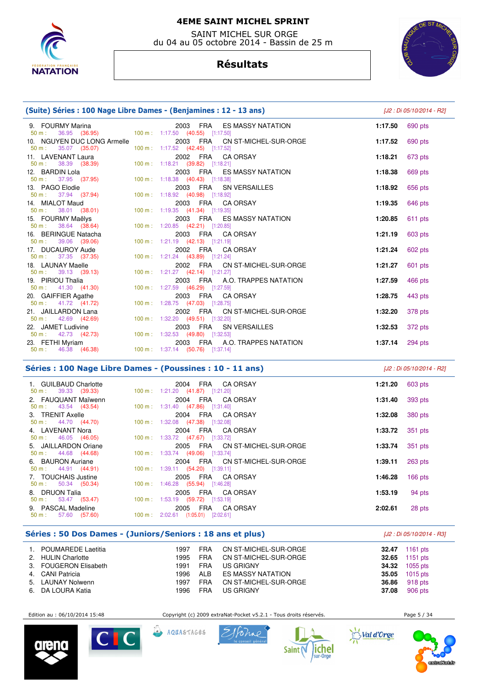

 SAINT MICHEL SUR ORGE du 04 au 05 octobre 2014 - Bassin de 25 m

# **Résultats**



# **(Suite) Séries : 100 Nage Libre Dames - (Benjamines : 12 - 13 ans)** [J2 : Di 05/10/2014 - R2]

| 9. FOURMY Marina<br>50 m : 36.95 (36.95)                                     | 2003 FRA ES MASSY NATATION<br>100 m: 1:17.50 (40.55) [1:17.50]     | 1:17.50 | 690 pts |
|------------------------------------------------------------------------------|--------------------------------------------------------------------|---------|---------|
| 10. NGUYEN DUC LONG Armelle<br>50 m : 35.07 (35.07)                          | 2003 FRA CN ST-MICHEL-SUR-ORGE<br>100 m: 1:17.52 (42.45) [1:17.52] | 1:17.52 | 690 pts |
| 11. LAVENANT Laura<br>$50 \text{ m}: 38.39 (38.39)$                          | 2002 FRA CA ORSAY<br>100 m: 1:18.21 (39.82) [1:18.21]              | 1:18.21 | 673 pts |
| 12. BARDIN Lola<br>50 m : 37.95 (37.95)                                      | 2003 FRA ES MASSY NATATION<br>100 m: 1:18.38 (40.43) [1:18.38]     | 1:18.38 | 669 pts |
| 13. PAGO Elodie<br>50 m : 37.94 (37.94)                                      | 2003 FRA SN VERSAILLES<br>100 m: 1:18.92 (40.98) [1:18.92]         | 1:18.92 | 656 pts |
| 14. MIALOT Maud<br>$50 \text{ m}: 38.01 (38.01)$                             | 2003 FRA CA ORSAY<br>100 m: 1:19.35 (41.34) [1:19.35]              | 1:19.35 | 646 pts |
| 15. FOURMY Maëlys<br>$50 \text{ m}: 38.64 (38.64)$                           | 2003 FRA ES MASSY NATATION<br>100 m: 1:20.85 (42.21) [1:20.85]     | 1:20.85 | 611 pts |
| 16. BERINGUE Natacha<br>50 m : 39.06 (39.06)                                 | 2003 FRA CA ORSAY<br>100 m: 1:21.19 (42.13) [1:21.19]              | 1:21.19 | 603 pts |
| 17. DUCAUROY Aude<br>$50 \text{ m}: 37.35 (37.35)$                           | 2002 FRA CA ORSAY<br>100 m: 1:21.24 (43.89) [1:21.24]              | 1:21.24 | 602 pts |
| 18. LAUNAY Maelle<br>$50 \text{ m}: 39.13 (39.13)$                           | 2002 FRA CN ST-MICHEL-SUR-ORGE<br>100 m: 1:21.27 (42.14) [1:21.27] | 1:21.27 | 601 pts |
| 19. PIRIOU Thalia<br>$50 \text{ m}$ : $41.30 \text{ (41.30)}$                | 2003 FRA A.O. TRAPPES NATATION<br>100 m: 1:27.59 (46.29) [1:27.59] | 1:27.59 | 466 pts |
| 20. GAIFFIER Agathe<br>$50 \text{ m}: 41.72 (41.72)$                         | 2003 FRA CA ORSAY<br>100 m: 1:28.75 (47.03) [1:28.75]              | 1:28.75 | 443 pts |
| 21. JAILLARDON Lana<br>$50 \text{ m}: 42.69 (42.69)$                         | 2002 FRA CN ST-MICHEL-SUR-ORGE<br>100 m: 1:32.20 (49.51) [1:32.20] | 1:32.20 | 378 pts |
| 22. JAMET Ludivine<br>50 m : 42.73 (42.73) 100 m : 1:32.53 (49.80) [1:32.53] | 2003 FRA SN VERSAILLES                                             | 1:32.53 | 372 pts |
| 23. FETHI Myriam                                                             | 2003 FRA A.O. TRAPPES NATATION                                     | 1:37.14 | 294 pts |
|                                                                              |                                                                    |         |         |

### **Séries : 100 Nage Libre Dames - (Poussines : 10 - 11 ans)** [J2 : Di 05/10/2014 - R2]

 1. GUILBAUD Charlotte 2004 FRA CA ORSAY **1:21.20** 603 pts 50 m : 39.33 (39.33) 100 m : 1:21.20 (41.87) [1:21.20] 2. FAUQUANT Maïwenn 2004 FRA CA ORSAY **1:31.40** 393 pts 50 m : 43.54 (43.54) 100 m : 1:31.40 (47.86) [1:31.40] 3. TRENIT Axelle 2004 FRA CA ORSAY **1:32.08** 380 pts 100 m : 1:32.08 (47.38) [1:32.08] 4. LAVENANT Nora 2004 FRA CA ORSAY **1:33.72** 351 pts 50 m : 46.05 (46.05) 100 m : 1:33.72 (47.67) [1:33.72] 5. JAILLARDON Oriane 2005 FRA CN ST-MICHEL-SUR-ORGE **1:33.74** 351 pts 50 m : 44.68 (44.68) 100 m : 1:33.74 (49.06) [1:33.74] 6. BAURON Auriane 2004 FRA CN ST-MICHEL-SUR-ORGE **1:39.11** 263 pts 100 m : 1:39.11 (54.20) [1:39.11] 7. TOUCHAIS Justine 2005 FRA CA ORSAY **1:46.28** 166 pts 1:46.28 (55.94) [1:46.28] 8. DRUON Talia 2005 FRA CA ORSAY **1:53.19** 94 pts 1:53.19 (59.72) [1:53.19] 9. PASCAL Madeline 2005 FRA CA ORSAY **2:02.61** 28 pts 100 m : 2:02.61 (1:05.01) [2:02.61]

#### **Séries : 50 Dos Dames - (Juniors/Seniors : 18 ans et plus)** [J2 : Di 05/10/2014 - R3]

| 1. POUMAREDE Laetitia | 1997  | FRA        | CN ST-MICHEL-SUR-ORGE |       | <b>32.47</b> 1161 pts |
|-----------------------|-------|------------|-----------------------|-------|-----------------------|
| 2. HULIN Charlotte    | 1995  | FRA        | CN ST-MICHEL-SUR-ORGE |       | <b>32.65</b> 1151 pts |
| 3. FOUGERON Elisabeth | 1991  | FRA        | US GRIGNY             |       | <b>34.32</b> 1055 pts |
| 4. CANI Patricia      |       | 1996 ALB   | ES MASSY NATATION     |       | <b>35.05</b> 1015 pts |
| 5. LAUNAY Nolwenn     | 1997  | <b>FRA</b> | CN ST-MICHEL-SUR-ORGE |       | <b>36.86</b> 918 pts  |
| 6. DA LOURA Katia     | 1996. | <b>FRA</b> | US GRIGNY             | 37.08 | 906 pts               |

Edition au : 06/10/2014 15:48 Copyright (c) 2009 extraNat-Pocket v5.2.1 - Tous droits réservés. Page 5 / 34





AQUASTAGES





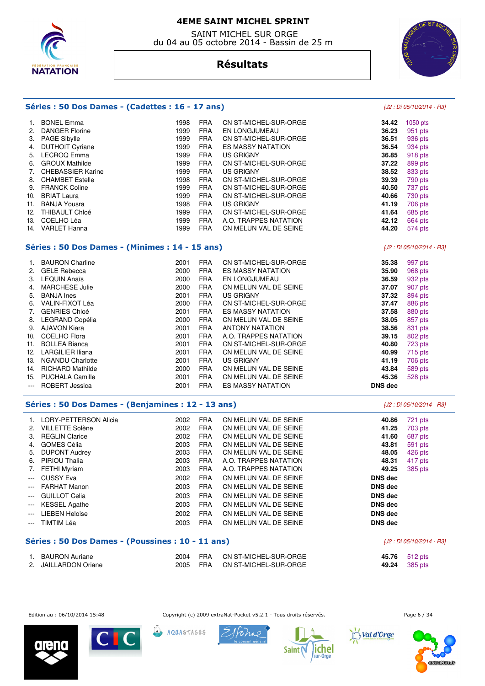

 SAINT MICHEL SUR ORGE du 04 au 05 octobre 2014 - Bassin de 25 m



[J2 : Di 05/10/2014 - R3]

# **Résultats**

| Séries : 50 Dos Dames - (Cadettes : 16 - 17 ans) |
|--------------------------------------------------|
|--------------------------------------------------|

#### 1. BONEL Emma 1998 FRA CN ST-MICHEL-SUR-ORGE **34.42** 1050 pts 2. DANGER Florine **36.23 1999 FRA** EN LONGJUMEAU **1998 PTS**  3. PAGE Sibylle 1999 FRA CN ST-MICHEL-SUR-ORGE **36.51** 936 pts 4. DUTHOIT Cyriane **1999 FRA** ES MASSY NATATION **36.54 36.54**  5. LECROQ Emma 1999 FRA US GRIGNY **36.85** 918 pts 6. GROUX Mathilde 1999 FRA CN ST-MICHEL-SUR-ORGE **37.22** 899 pts 7. CHEBASSIER Karine 1999 FRA US GRIGNY **38.52** 833 pts 8. CHAMBET Estelle 1998 FRA CN ST-MICHEL-SUR-ORGE **39.39** 790 pts 9. FRANCK Coline 1999 FRA CN ST-MICHEL-SUR-ORGE **40.50** 737 pts 10. BRIAT Laura 1999 FRA CN ST-MICHEL-SUR-ORGE **40.66** 730 pts 11. BANJA Yousra 1998 FRA US GRIGNY **41.19** 706 pts 12. THIBAULT Chloé 1999 FRA CN ST-MICHEL-SUR-ORGE **41.64** 685 pts 1999 FRA A.O. TRAPPES NATATION **42.12** 664 pts 14. VARLET Hanna 1999 FRA CN MELUN VAL DE SEINE **44.20** 574 pts

### **Séries : 50 Dos Dames - (Minimes : 14 - 15 ans)** [J2 : Di 05/10/2014 - R3]

|     | <b>BAURON Charline</b>  | 2001 | <b>FRA</b> | CN ST-MICHEL-SUR-ORGE    | 35.38          | 997 pts |
|-----|-------------------------|------|------------|--------------------------|----------------|---------|
| 2.  | <b>GELE Rebecca</b>     | 2000 | <b>FRA</b> | <b>ES MASSY NATATION</b> | 35.90          | 968 pts |
| 3.  | <b>LEQUIN Anaïs</b>     | 2000 | <b>FRA</b> | EN LONGJUMEAU            | 36.59          | 932 pts |
| 4.  | <b>MARCHESE Julie</b>   | 2000 | <b>FRA</b> | CN MELUN VAL DE SEINE    | 37.07          | 907 pts |
| 5.  | <b>BANJA</b> Ines       | 2001 | <b>FRA</b> | US GRIGNY                | 37.32          | 894 pts |
| 6.  | VALIN-FIXOT Léa         | 2000 | <b>FRA</b> | CN ST-MICHEL-SUR-ORGE    | 37.47          | 886 pts |
| 7.  | <b>GENRIES Chloé</b>    | 2001 | <b>FRA</b> | <b>ES MASSY NATATION</b> | 37.58          | 880 pts |
| 8.  | LEGRAND Copélia         | 2000 | <b>FRA</b> | CN MELUN VAL DE SEINE    | 38.05          | 857 pts |
| 9.  | <b>AJAVON Kiara</b>     | 2001 | <b>FRA</b> | <b>ANTONY NATATION</b>   | 38.56          | 831 pts |
| 10. | <b>COELHO Flora</b>     | 2001 | <b>FRA</b> | A.O. TRAPPES NATATION    | 39.15          | 802 pts |
| 11. | <b>BOLLEA Bianca</b>    | 2001 | <b>FRA</b> | CN ST-MICHEL-SUR-ORGE    | 40.80          | 723 pts |
| 12. | <b>LARGILIER Iliana</b> | 2001 | <b>FRA</b> | CN MELUN VAL DE SEINE    | 40.99          | 715 pts |
| 13. | <b>NGANDU Charlotte</b> | 2001 | <b>FRA</b> | US GRIGNY                | 41.19          | 706 pts |
| 14. | <b>RICHARD Mathilde</b> | 2000 | <b>FRA</b> | CN MELUN VAL DE SEINE    | 43.84          | 589 pts |
| 15. | <b>PUCHALA Camille</b>  | 2001 | <b>FRA</b> | CN MELUN VAL DE SEINE    | 45.36          | 528 pts |
| --- | <b>ROBERT Jessica</b>   | 2001 | <b>FRA</b> | <b>ES MASSY NATATION</b> | <b>DNS dec</b> |         |

## **Séries : 50 Dos Dames - (Benjamines : 12 - 13 ans)** [J2 : Di 05/10/2014 - R3]

| 2.<br>3.<br>4.<br>5.<br>6.<br>7.<br>$---$<br>$---$<br>$---$ | <b>LORY-PETTERSON Alicia</b><br><b>VILLETTE Solène</b><br><b>REGLIN Clarice</b><br><b>GOMES Célia</b><br><b>DUPONT Audrey</b><br><b>PIRIOU Thalia</b><br><b>FETHI Myriam</b><br><b>CUSSY Eva</b><br><b>FARHAT Manon</b><br><b>GUILLOT Celia</b> | 2002<br>2002<br>2002<br>2003<br>2003<br>2003<br>2003<br>2002<br>2003<br>2003 | <b>FRA</b><br><b>FRA</b><br><b>FRA</b><br><b>FRA</b><br><b>FRA</b><br><b>FRA</b><br><b>FRA</b><br><b>FRA</b><br><b>FRA</b><br><b>FRA</b> | CN MELUN VAL DE SEINE<br>CN MELUN VAL DE SEINE<br>CN MELUN VAL DE SEINE<br>CN MELUN VAL DE SEINE<br>CN MELUN VAL DE SEINE<br>A.O. TRAPPES NATATION<br>A.O. TRAPPES NATATION<br>CN MELUN VAL DE SEINE<br>CN MELUN VAL DE SEINE<br>CN MELUN VAL DE SEINE | 40.86<br>41.25<br>41.60<br>43.81<br>48.05<br>48.31<br>49.25<br><b>DNS dec</b><br><b>DNS</b> dec<br><b>DNS</b> dec | 721 pts<br>703 pts<br>687 pts<br>591 pts<br>426 pts<br>417 pts<br>385 pts |
|-------------------------------------------------------------|-------------------------------------------------------------------------------------------------------------------------------------------------------------------------------------------------------------------------------------------------|------------------------------------------------------------------------------|------------------------------------------------------------------------------------------------------------------------------------------|--------------------------------------------------------------------------------------------------------------------------------------------------------------------------------------------------------------------------------------------------------|-------------------------------------------------------------------------------------------------------------------|---------------------------------------------------------------------------|
|                                                             |                                                                                                                                                                                                                                                 |                                                                              |                                                                                                                                          |                                                                                                                                                                                                                                                        |                                                                                                                   |                                                                           |
|                                                             |                                                                                                                                                                                                                                                 |                                                                              |                                                                                                                                          |                                                                                                                                                                                                                                                        |                                                                                                                   |                                                                           |
|                                                             |                                                                                                                                                                                                                                                 |                                                                              |                                                                                                                                          |                                                                                                                                                                                                                                                        |                                                                                                                   |                                                                           |
|                                                             |                                                                                                                                                                                                                                                 |                                                                              |                                                                                                                                          |                                                                                                                                                                                                                                                        |                                                                                                                   |                                                                           |
|                                                             |                                                                                                                                                                                                                                                 |                                                                              |                                                                                                                                          |                                                                                                                                                                                                                                                        |                                                                                                                   |                                                                           |
|                                                             |                                                                                                                                                                                                                                                 |                                                                              |                                                                                                                                          |                                                                                                                                                                                                                                                        |                                                                                                                   |                                                                           |
|                                                             |                                                                                                                                                                                                                                                 |                                                                              |                                                                                                                                          |                                                                                                                                                                                                                                                        |                                                                                                                   |                                                                           |
| $---$                                                       | <b>KESSEL Agathe</b>                                                                                                                                                                                                                            | 2003                                                                         | <b>FRA</b>                                                                                                                               | CN MELUN VAL DE SEINE                                                                                                                                                                                                                                  | <b>DNS</b> dec                                                                                                    |                                                                           |
| $\cdots$                                                    | <b>LIEBEN Heloise</b>                                                                                                                                                                                                                           | 2002                                                                         | <b>FRA</b>                                                                                                                               | CN MELUN VAL DE SEINE                                                                                                                                                                                                                                  | <b>DNS dec</b>                                                                                                    |                                                                           |
|                                                             | TIMTIM Léa                                                                                                                                                                                                                                      | 2003                                                                         | <b>FRA</b>                                                                                                                               | CN MELUN VAL DE SEINE                                                                                                                                                                                                                                  | <b>DNS</b> dec                                                                                                    |                                                                           |
|                                                             |                                                                                                                                                                                                                                                 |                                                                              |                                                                                                                                          |                                                                                                                                                                                                                                                        |                                                                                                                   |                                                                           |

# **Séries : 50 Dos Dames - (Poussines : 10 - 11 ans)** [J2 : Di 05/10/2014 - R3] 1. BAURON Auriane 2004 FRA CN ST-MICHEL-SUR-ORGE **45.76** 512 pts 2005 FRA CN ST-MICHEL-SUR-ORGE 49.24 385 pts

Edition au : 06/10/2014 15:48 Copyright (c) 2009 extraNat-Pocket v5.2.1 - Tous droits réservés. Page 6 / 34

val d'Orge









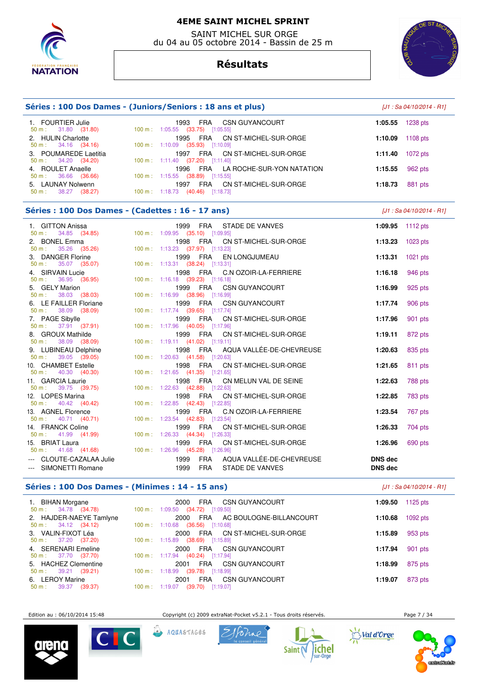

 SAINT MICHEL SUR ORGE du 04 au 05 octobre 2014 - Bassin de 25 m

# **Résultats**



| Séries : 100 Dos Dames - (Juniors/Seniors : 18 ans et plus)               | $[J1: Sa 04/10/2014 - R1]$                                                                                                  |                                  |                           |
|---------------------------------------------------------------------------|-----------------------------------------------------------------------------------------------------------------------------|----------------------------------|---------------------------|
| 1. FOURTIER Julie<br>31.80 (31.80)<br>50 m:                               | 1993 FRA<br><b>CSN GUYANCOURT</b><br>100 m: 1:05.55 (33.75) [1:05.55]                                                       | 1:05.55                          | 1238 pts                  |
| 2. HULIN Charlotte<br>34.16 (34.16)<br>50 m:                              | 1995 FRA<br>CN ST-MICHEL-SUR-ORGE<br>100 m: 1:10.09 (35.93) [1:10.09]                                                       | 1:10.09                          | $1108$ pts                |
| 3. POUMAREDE Laetitia<br>34.20 (34.20)<br>$50 m$ :                        | FRA<br>CN ST-MICHEL-SUR-ORGE<br>1997<br>100 m: 1:11.40 (37.20) [1:11.40]                                                    | 1:11.40                          | $1072$ pts                |
| 4. ROULET Anaelle<br>36.66 (36.66)<br>50 m:                               | 1996<br><b>FRA</b><br>LA ROCHE-SUR-YON NATATION<br>100 m: 1:15.55 (38.89) [1:15.55]                                         | 1:15.55                          | 962 pts                   |
| 5. LAUNAY Nolwenn<br>38.27 (38.27)<br>50 m:                               | 1997 FRA<br>CN ST-MICHEL-SUR-ORGE<br>100 m: 1:18.73 (40.46) [1:18.73]                                                       | 1:18.73                          | 881 pts                   |
| Séries : 100 Dos Dames - (Cadettes : 16 - 17 ans)                         |                                                                                                                             |                                  | [J1 : Sa 04/10/2014 - R1] |
| 1. GITTON Anissa<br>34.85 (34.85)<br>50 m:                                | 1999 FRA<br>STADE DE VANVES<br>100 m: 1:09.95 (35.10) [1:09.95]                                                             | 1:09.95                          | 1112 $pts$                |
| 2. BONEL Emma<br>35.26 (35.26)<br>$50 m$ :                                | 1998 FRA<br>CN ST-MICHEL-SUR-ORGE<br>100 m: 1:13.23 (37.97) [1:13.23]                                                       | 1:13.23                          | $1023$ pts                |
| 3. DANGER Florine<br>35.07 (35.07)<br>50 m:                               | 1999 FRA<br>EN LONGJUMEAU<br>100 m: 1:13.31 (38.24) [1:13.31]                                                               | 1:13.31                          | $1021$ pts                |
| 4. SIRVAIN Lucie<br>36.95 (36.95)<br>50 m:                                | 1998 FRA<br>C.N OZOIR-LA-FERRIERE<br>100 m: 1:16.18 (39.23) [1:16.18]                                                       | 1:16.18                          | 946 pts                   |
| 5. GELY Marion<br>38.03 (38.03)<br>50 m:                                  | 1999 FRA<br><b>CSN GUYANCOURT</b><br>100 m: 1:16.99 (38.96) [1:16.99]                                                       | 1:16.99                          | 925 pts                   |
| 6. LE FAILLER Floriane<br>38.09 (38.09)<br>50 m:                          | 1999 FRA<br><b>CSN GUYANCOURT</b><br>100 m: 1:17.74 (39.65) [1:17.74]                                                       | 1:17.74                          | 906 pts                   |
| 7. PAGE Sibylle<br>37.91 (37.91)<br>$50 m$ :                              | 1999<br><b>FRA</b><br>CN ST-MICHEL-SUR-ORGE<br>100 m: 1:17.96 (40.05) [1:17.96]                                             | 1:17.96                          | 901 pts                   |
| 8. GROUX Mathilde<br>38.09 (38.09)<br>50 m:                               | 1999 FRA<br>CN ST-MICHEL-SUR-ORGE<br>100 m: 1:19.11 (41.02) [1:19.11]                                                       | 1:19.11                          | 872 pts                   |
| 9. LUBINEAU Delphine<br>50 m:<br>39.05 (39.05)                            | 1998 FRA<br>AQUA VALLÉE-DE-CHEVREUSE<br>100 m: 1:20.63 (41.58) [1:20.63]                                                    | 1:20.63                          | 835 pts                   |
| 10. CHAMBET Estelle<br>40.30 (40.30)<br>50 m:                             | 1998 FRA<br>CN ST-MICHEL-SUR-ORGE<br>100 m: 1:21.65 (41.35) [1:21.65]                                                       | 1:21.65                          | 811 pts                   |
| 11. GARCIA Laurie<br>$50 m$ :<br>39.75 (39.75)                            | 1998 FRA<br>CN MELUN VAL DE SEINE                                                                                           | 1:22.63                          | 788 pts                   |
| 12. LOPES Marina<br>40.42 (40.42)<br>50 m:                                | 100 m : 1:22.63 (42.88) [1:22.63]<br>1998 FRA<br>CN ST-MICHEL-SUR-ORGE<br>100 m: 1:22.85 (42.43) [1:22.85]                  | 1:22.85                          | 783 pts                   |
| 13. AGNEL Florence<br>40.71 (40.71)<br>$50 m$ :                           | 1999 FRA<br>C.N OZOIR-LA-FERRIERE                                                                                           | 1:23.54                          | 767 pts                   |
| 14. FRANCK Coline                                                         | 100 m: 1:23.54 (42.83) [1:23.54]<br>1999 FRA<br>CN ST-MICHEL-SUR-ORGE                                                       | 1:26.33                          | 704 pts                   |
| 41.99 (41.99)<br>50 m:<br>15. BRIAT Laura                                 | 100 m: 1:26.33 (44.34) [1:26.33]<br>1999 FRA<br>CN ST-MICHEL-SUR-ORGE                                                       | 1:26.96                          | 690 pts                   |
| $50 \text{ m}: 41.68 (41.68)$<br>CLOUTE-CAZALAA Julie<br>SIMONETTI Romane | 100 m: 1:26.96 (45.28) [1:26.96]<br>1999<br><b>FRA</b><br>AQUA VALLÉE-DE-CHEVREUSE<br>1999<br><b>FRA</b><br>STADE DE VANVES | <b>DNS</b> dec<br><b>DNS dec</b> |                           |

# **Séries : 100 Dos Dames - (Minimes : 14 - 15 ans)**

| $[J1: Sa 04/10/2014 - R1]$ |  |
|----------------------------|--|
|----------------------------|--|

| 1. BIHAN Morgane<br>$50 \text{ m}: 34.78 (34.78)$        | 2000<br>CSN GUYANCOURT<br>FRA<br>100 m: $1:09.50$ (34.72) [1:09.50]                      | 1:09.50 | 1125 $p$ ts |
|----------------------------------------------------------|------------------------------------------------------------------------------------------|---------|-------------|
| 2. HAJDER-NAEYE Tamlyne<br>$50 \text{ m}: 34.12 (34.12)$ | 2000<br>FRA<br>AC BOULOGNE-BILLANCOURT<br>100 m: 1:10.68<br>$(36.56)$ [1:10.68]          | 1:10.68 | $1092$ pts  |
| 3. VALIN-FIXOT Léa<br>$50 \text{ m}: 37.20 (37.20)$      | CN ST-MICHEL-SUR-ORGE<br>2000<br>FRA<br>100 m: 1:15.89<br>$(38.69)$ [1:15.89]            | 1:15.89 | 953 pts     |
| 4. SERENARI Emeline<br>$50 \text{ m}: 37.70 (37.70)$     | CSN GUYANCOURT<br>FRA<br>2000<br>100 m: $1:17.94$ (40.24) [1:17.94]                      | 1:17.94 | 901 pts     |
| 5. HACHEZ Clementine<br>$50 \text{ m}: 39.21 (39.21)$    | <b>FRA</b><br>CSN GUYANCOURT<br>2001<br>100 m: 1:18.99 (39.78) [1:18.99]                 | 1:18.99 | 875 pts     |
| 6. LEROY Marine<br>39.37 (39.37)<br>$50 m$ :             | CSN GUYANCOURT<br><b>FRA</b><br>2001<br>$(39.70)$ [1:19.07]<br>$100 \text{ m}$ : 1:19.07 | 1:19.07 | 873 pts     |

Edition au : 06/10/2014 15:48 Copyright (c) 2009 extraNat-Pocket v5.2.1 - Tous droits réservés. Page 7 / 34











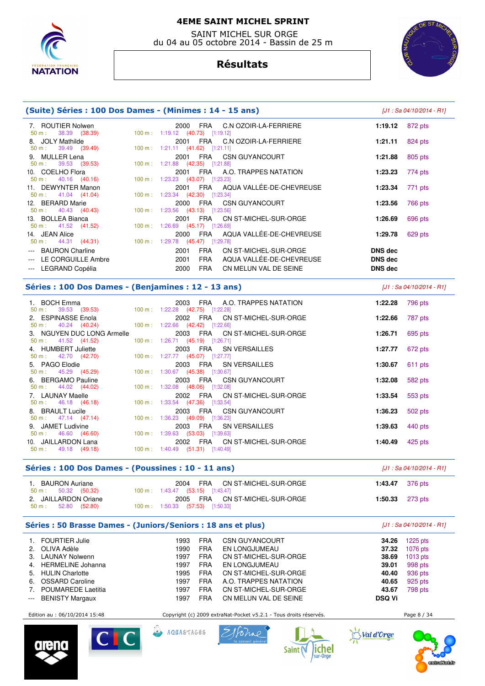

 SAINT MICHEL SUR ORGE du 04 au 05 octobre 2014 - Bassin de 25 m

# **Résultats**



| (Suite) Séries : 100 Dos Dames - (Minimes : 14 - 15 ans)             |                                                                                                                         |                    | $[J1: Sa 04/10/2014 - R1]$ |
|----------------------------------------------------------------------|-------------------------------------------------------------------------------------------------------------------------|--------------------|----------------------------|
| 7. ROUTIER Nolwen<br>50 m:<br>38.39 (38.39)                          | 2000 FRA<br>C.N OZOIR-LA-FERRIERE<br>100 m: 1:19.12 (40.73) [1:19.12]                                                   | 1:19.12            | 872 pts                    |
| 8. JOLY Mathilde<br>39.49 (39.49)<br>50 m:                           | C.N OZOIR-LA-FERRIERE<br>2001 FRA<br>100 m: 1:21.11 (41.62) [1:21.11]                                                   | 1:21.11            | 824 pts                    |
| 9. MULLER Lena<br>39.53 (39.53)<br>50 m:                             | CSN GUYANCOURT<br>2001 FRA<br>100 m: 1:21.88 (42.35) [1:21.88]                                                          | 1:21.88            | 805 pts                    |
| 10. COELHO Flora<br>50 m:<br>40.16 (40.16)                           | FRA<br>A.O. TRAPPES NATATION<br>2001<br>100 m: 1:23.23 (43.07) [1:23.23]                                                | 1:23.23            | 774 pts                    |
| 11. DEWYNTER Manon<br>41.04 (41.04)<br>$50 m$ :                      | AQUA VALLÉE-DE-CHEVREUSE<br>2001 FRA<br>100 m: 1:23.34 (42.30) [1:23.34]                                                | 1:23.34            | 771 pts                    |
| 12. BERARD Marie<br>40.43 (40.43)<br>50 m:                           | 2000<br>FRA<br>CSN GUYANCOURT<br>100 m: 1:23.56 (43.13) [1:23.56]                                                       | 1:23.56            | 766 pts                    |
| 13. BOLLEA Bianca<br>$50 \text{ m}: 41.52 (41.52)$<br>14. JEAN Alice | CN ST-MICHEL-SUR-ORGE<br>2001<br><b>FRA</b><br>100 m: 1:26.69 (45.17) [1:26.69]<br>AQUA VALLÉE-DE-CHEVREUSE<br>2000 FRA | 1:26.69<br>1:29.78 | 696 pts<br>629 pts         |
| $50 \text{ m}: 44.31 (44.31)$<br><b>BAURON Charline</b><br>$---$     | 100 m: 1:29.78 (45.47) [1:29.78]<br>FRA<br>CN ST-MICHEL-SUR-ORGE<br>2001                                                | <b>DNS dec</b>     |                            |
| --- LE CORGUILLE Ambre                                               | <b>FRA</b><br>AQUA VALLÉE-DE-CHEVREUSE<br>2001                                                                          | <b>DNS dec</b>     |                            |
| --- LEGRAND Copélia                                                  | <b>FRA</b><br>2000<br>CN MELUN VAL DE SEINE                                                                             | <b>DNS</b> dec     |                            |
| Séries : 100 Dos Dames - (Benjamines : 12 - 13 ans)                  |                                                                                                                         |                    | [J1 : Sa 04/10/2014 - R1]  |
| 1. BOCH Emma<br>39.53 (39.53)<br>$50 m$ :                            | 2003 FRA<br>A.O. TRAPPES NATATION<br>100 m: 1:22.28 (42.75) [1:22.28]                                                   | 1:22.28            | 796 pts                    |
| 2. ESPINASSE Enola<br>40.24 (40.24)<br>$50 m$ :                      | FRA<br>CN ST-MICHEL-SUR-ORGE<br>2002<br>100 m: 1:22.66 (42.42) [1:22.66]                                                | 1:22.66            | 787 pts                    |
| 3. NGUYEN DUC LONG Armelle<br>41.52 (41.52)<br>$50 m$ :              | 2003<br>FRA<br>CN ST-MICHEL-SUR-ORGE<br>100 m: 1:26.71 (45.19) [1:26.71]                                                | 1:26.71            | 695 pts                    |
| 4. HUMBERT Juliette<br>42.70 (42.70)<br>50 m:                        | 2003 FRA<br><b>SN VERSAILLES</b><br>100 m: 1:27.77 (45.07) [1:27.77]                                                    | 1:27.77            | 672 pts                    |
| 5. PAGO Elodie<br>45.29 (45.29)<br>$50 m$ :                          | <b>FRA</b><br><b>SN VERSAILLES</b><br>2003<br>100 m: 1:30.67 (45.38) [1:30.67]                                          | 1:30.67            | 611 pts                    |
| <b>BERGAMO Pauline</b><br>44.02 (44.02)<br>$50 m$ :                  | 2003 FRA<br><b>CSN GUYANCOURT</b><br>100 m: 1:32.08 (48.06) [1:32.08]                                                   | 1:32.08            | 582 pts                    |
| 7. LAUNAY Maelle<br>50 m:<br>46.18 (46.18)                           | FRA<br>CN ST-MICHEL-SUR-ORGE<br>2002<br>100 m: 1:33.54 (47.36) [1:33.54]                                                | 1:33.54            | 553 pts                    |
| 8. BRAULT Lucile<br>$50 \text{ m}: 47.14 (47.14)$                    | 2003<br>FRA<br><b>CSN GUYANCOURT</b><br>100 m: 1:36.23 (49.09) [1:36.23]                                                | 1:36.23            | 502 pts                    |
| 9. JAMET Ludivine<br>46.60 (46.60)<br>$50 m$ :                       | 2003<br>FRA<br><b>SN VERSAILLES</b><br>100 m: 1:39.63 (53.03) [1:39.63]                                                 | 1:39.63            | 440 pts                    |
| 10. JAILLARDON Lana<br>49.18 (49.18)<br>50 m:                        | FRA<br>CN ST-MICHEL-SUR-ORGE<br>2002<br>100 m: 1:40.49 (51.31) [1:40.49]                                                | 1:40.49            | 425 pts                    |

## **Séries : 100 Dos Dames - (Poussines : 10 - 11 ans)** [J1 : Sa 04/10/2014 - R1]

| <b>BAURON Auriane</b><br>$50 \text{ m}: 50.32 (50.32)$ | FRA CN ST-MICHEL-SUR-ORGE<br>2004<br>100 m : 1:43.47 (53.15) [1:43.47]          | <b>1:43.47</b> 376 pts    |
|--------------------------------------------------------|---------------------------------------------------------------------------------|---------------------------|
| 2. JAILLARDON Oriane<br>$50 \text{ m}: 52.80 (52.80)$  | 2005<br>FRA CN ST-MICHEL-SUR-ORGE<br>$100 \text{ m}: 1:50.33$ (57.53) [1:50.33] | 1:50.33 $273 \text{ pts}$ |

# **Séries : 50 Brasse Dames - (Juniors/Seniors : 18 ans et plus)** [J1 : Sa 04/10/2014 - R1]

|                                                                                                | 1. FOURTIER Julie         | 1993 | <b>FRA</b> | <b>CSN GUYANCOURT</b> | 34.26         | $1225$ pts |
|------------------------------------------------------------------------------------------------|---------------------------|------|------------|-----------------------|---------------|------------|
|                                                                                                | 2. OLIVA Adèle            | 1990 | <b>FRA</b> | EN LONGJUMEAU         | 37.32         | 1076 pts   |
|                                                                                                | 3. LAUNAY Nolwenn         | 1997 | <b>FRA</b> | CN ST-MICHEL-SUR-ORGE | 38.69         | $1013$ pts |
|                                                                                                | 4. HERMELINE Johanna      | 1997 | <b>FRA</b> | EN LONGJUMEAU         | 39.01         | 998 pts    |
|                                                                                                | 5. HULIN Charlotte        | 1995 | <b>FRA</b> | CN ST-MICHEL-SUR-ORGE | 40.40         | 936 pts    |
|                                                                                                | 6. OSSARD Caroline        | 1997 | <b>FRA</b> | A.O. TRAPPES NATATION | 40.65         | 925 pts    |
| 7.                                                                                             | <b>POUMAREDE Laetitia</b> | 1997 | <b>FRA</b> | CN ST-MICHEL-SUR-ORGE | 43.67         | 798 pts    |
| $\frac{1}{2} \left( \frac{1}{2} \right) \left( \frac{1}{2} \right) \left( \frac{1}{2} \right)$ | <b>BENISTY Margaux</b>    | 1997 | <b>FRA</b> | CN MELUN VAL DE SEINE | <b>DSQ Vi</b> |            |

Edition au : 06/10/2014 15:48 Copyright (c) 2009 extraNat-Pocket v5.2.1 - Tous droits réservés. Page 8 / 34











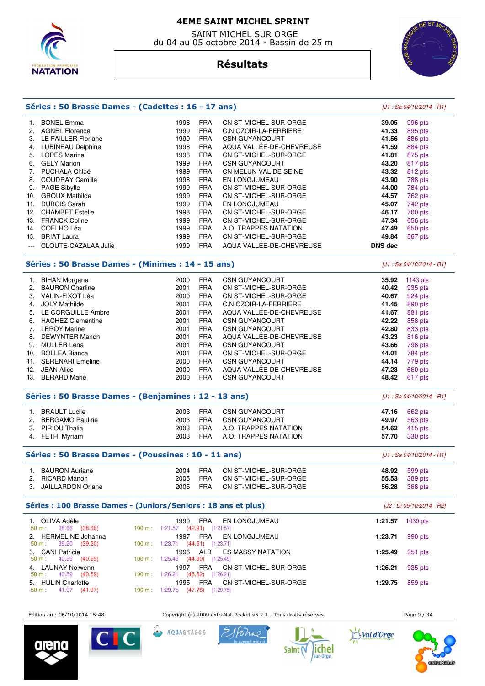

 SAINT MICHEL SUR ORGE du 04 au 05 octobre 2014 - Bassin de 25 m



# **Résultats**

|     | Séries : 50 Brasse Dames - (Cadettes : 16 - 17 ans) |      | [J1 : Sa 04/10/2014 - R1] |                          |                |                           |
|-----|-----------------------------------------------------|------|---------------------------|--------------------------|----------------|---------------------------|
|     | <b>BONEL Emma</b>                                   | 1998 | <b>FRA</b>                | CN ST-MICHEL-SUR-ORGE    | 39.05          | 996 pts                   |
| 2.  | <b>AGNEL Florence</b>                               | 1999 | <b>FRA</b>                | C.N OZOIR-LA-FERRIERE    | 41.33          | 895 pts                   |
| 3.  | LE FAILLER Floriane                                 | 1999 | <b>FRA</b>                | <b>CSN GUYANCOURT</b>    | 41.56          | 886 pts                   |
| 4.  | <b>LUBINEAU Delphine</b>                            | 1998 | <b>FRA</b>                | AQUA VALLÉE-DE-CHEVREUSE | 41.59          | 884 pts                   |
| 5.  | <b>LOPES Marina</b>                                 | 1998 | <b>FRA</b>                | CN ST-MICHEL-SUR-ORGE    | 41.81          | 875 pts                   |
| 6.  | <b>GELY Marion</b>                                  | 1999 | <b>FRA</b>                | <b>CSN GUYANCOURT</b>    | 43.20          | 817 pts                   |
| 7.  | PUCHALA Chloé                                       | 1999 | <b>FRA</b>                | CN MELUN VAL DE SEINE    | 43.32          | 812 pts                   |
| 8.  | <b>COUDRAY Camille</b>                              | 1998 | <b>FRA</b>                | <b>EN LONGJUMEAU</b>     | 43.90          | 788 pts                   |
| 9.  | <b>PAGE Sibylle</b>                                 | 1999 | <b>FRA</b>                | CN ST-MICHEL-SUR-ORGE    | 44.00          | 784 pts                   |
| 10. | <b>GROUX Mathilde</b>                               | 1999 | <b>FRA</b>                | CN ST-MICHEL-SUR-ORGE    | 44.57          | 762 pts                   |
| 11. | <b>DUBOIS Sarah</b>                                 | 1999 | <b>FRA</b>                | EN LONGJUMEAU            | 45.07          | 742 pts                   |
| 12. | <b>CHAMBET Estelle</b>                              | 1998 | <b>FRA</b>                | CN ST-MICHEL-SUR-ORGE    | 46.17          | 700 pts                   |
| 13. | <b>FRANCK Coline</b>                                | 1999 | <b>FRA</b>                | CN ST-MICHEL-SUR-ORGE    | 47.34          | 656 pts                   |
| 14. | COELHO Léa                                          | 1999 | <b>FRA</b>                | A.O. TRAPPES NATATION    | 47.49          | 650 pts                   |
| 15. | <b>BRIAT Laura</b>                                  | 1999 | <b>FRA</b>                | CN ST-MICHEL-SUR-ORGE    | 49.84          | 567 pts                   |
|     | CLOUTE-CAZALAA Julie                                | 1999 | <b>FRA</b>                | AQUA VALLÉE-DE-CHEVREUSE | <b>DNS dec</b> |                           |
|     | Séries : 50 Brasse Dames - (Minimes : 14 - 15 ans)  |      |                           |                          |                | [J1 : Sa 04/10/2014 - R1] |
| 1.  | <b>BIHAN Morgane</b>                                | 2000 | <b>FRA</b>                | <b>CSN GUYANCOURT</b>    | 35.92          | 1143 $pts$                |
| 2.  | <b>BAURON Charline</b>                              | 2001 | <b>FRA</b>                | CN ST-MICHEL-SUR-ORGE    | 40.42          | 935 pts                   |
| З.  | VALIN-FIXOT Léa                                     | 2000 | <b>FRA</b>                | CN ST-MICHEL-SUR-ORGE    | 40.67          | $924$ nts                 |

|                | <b>DAUNUN UNIMING</b>   | ZUU I | <b>FNA</b> | UN 31-MIUNEL-JUN-UNUE    | 40.42 | ອວວ ນເຣ |
|----------------|-------------------------|-------|------------|--------------------------|-------|---------|
| 3.             | VALIN-FIXOT Léa         | 2000  | <b>FRA</b> | CN ST-MICHEL-SUR-ORGE    | 40.67 | 924 pts |
| 4.             | <b>JOLY Mathilde</b>    | 2001  | <b>FRA</b> | C.N OZOIR-LA-FERRIERE    | 41.45 | 890 pts |
|                | 5. LE CORGUILLE Ambre   | 2001  | <b>FRA</b> | AQUA VALLÉE-DE-CHEVREUSE | 41.67 | 881 pts |
|                | 6. HACHEZ Clementine    | 2001  | <b>FRA</b> | <b>CSN GUYANCOURT</b>    | 42.22 | 858 pts |
| 7 <sup>1</sup> | <b>LEROY Marine</b>     | 2001  | <b>FRA</b> | <b>CSN GUYANCOURT</b>    | 42.80 | 833 pts |
|                | 8. DEWYNTER Manon       | 2001  | <b>FRA</b> | AQUA VALLÉE-DE-CHEVREUSE | 43.23 | 816 pts |
| 9.             | MULLER Lena             | 2001  | <b>FRA</b> | <b>CSN GUYANCOURT</b>    | 43.66 | 798 pts |
| 10.            | <b>BOLLEA Bianca</b>    | 2001  | <b>FRA</b> | CN ST-MICHEL-SUR-ORGE    | 44.01 | 784 pts |
| 11.            | <b>SERENARI Emeline</b> | 2000  | <b>FRA</b> | <b>CSN GUYANCOURT</b>    | 44.14 | 779 pts |
| 12.            | <b>JEAN Alice</b>       | 2000  | <b>FRA</b> | AQUA VALLÉE-DE-CHEVREUSE | 47.23 | 660 pts |
| 13.            | <b>BERARD Marie</b>     | 2000  | <b>FRA</b> | <b>CSN GUYANCOURT</b>    | 48.42 | 617 pts |
|                |                         |       |            |                          |       |         |
|                |                         |       |            |                          |       |         |

|    | Séries : 50 Brasse Dames - (Benjamines : 12 - 13 ans) |      | [J1 : Sa 04/10/2014 - R1] |                       |       |         |
|----|-------------------------------------------------------|------|---------------------------|-----------------------|-------|---------|
|    | BRAULT Lucile                                         | 2003 | <b>FRA</b>                | <b>CSN GUYANCOURT</b> | 47.16 | 662 pts |
|    | 2. BERGAMO Pauline                                    | 2003 | <b>FRA</b>                | <b>CSN GUYANCOURT</b> | 49.97 | 563 pts |
| 3. | PIRIOU Thalia                                         | 2003 | <b>FRA</b>                | A.O. TRAPPES NATATION | 54.62 | 415 pts |
|    | 4. FETHI Myriam                                       | 2003 | <b>FRA</b>                | A.O. TRAPPES NATATION | 57.70 | 330 pts |

| Séries : 50 Brasse Dames - (Poussines : 10 - 11 ans) | [J1 : Sa 04/10/2014 - R1]                                        |                      |                   |                                                                         |       |                                                  |
|------------------------------------------------------|------------------------------------------------------------------|----------------------|-------------------|-------------------------------------------------------------------------|-------|--------------------------------------------------|
|                                                      | <b>BAURON Auriane</b><br>2. RICARD Manon<br>3. JAILLARDON Oriane | 2004<br>2005<br>2005 | FRA<br>FRA<br>FRA | CN ST-MICHEL-SUR-ORGE<br>CN ST-MICHEL-SUR-ORGE<br>CN ST-MICHEL-SUR-ORGE | 48.92 | 599 pts<br>55.53 389 pts<br><b>56.28</b> 368 pts |

# Séries : 100 Brasse Dames - (Juniors/Seniors : 18 ans et plus)  $[J2 : Di 05/10/2014 - R2]$

| 1. OLIVA Adèle<br>$50 \text{ m}: 38.66 (38.66)$     | FRA EN LONGJUMEAU<br>1990<br>100 m: 1:21.57 (42.91) [1:21.57]          | 1:21.57 | 1039 pts |
|-----------------------------------------------------|------------------------------------------------------------------------|---------|----------|
| 2. HERMELINE Johanna                                | FRA EN LONGJUMEAU<br>1997                                              | 1:23.71 | 990 pts  |
| $50 \text{ m}: 39.20 (39.20)$<br>3. CANI Patricia   | 100 m : 1:23.71 $(44.51)$ [1:23.71]<br>1996 ALB ES MASSY NATATION      | 1:25.49 | 951 pts  |
| $50 \text{ m}: 40.59 (40.59)$<br>4. LAUNAY Nolwenn  | 100 m : 1:25.49 (44.90) [1:25.49]<br>1997 FRA CN ST-MICHEL-SUR-ORGE    | 1:26.21 | 935 pts  |
| $50 \text{ m}: 40.59 (40.59)$<br>5. HULIN Charlotte | 100 m : 1:26.21 (45.62) [1:26.21]<br>FRA CN ST-MICHEL-SUR-ORGE<br>1995 | 1:29.75 | 859 pts  |
| $50 \text{ m}: 41.97 (41.97)$                       | $(47.78)$ [1:29.75]<br>$100 \text{ m}: 1:29.75$                        |         |          |

Edition au : 06/10/2014 15:48 Copyright (c) 2009 extraNat-Pocket v5.2.1 - Tous droits réservés. Page 9 / 34









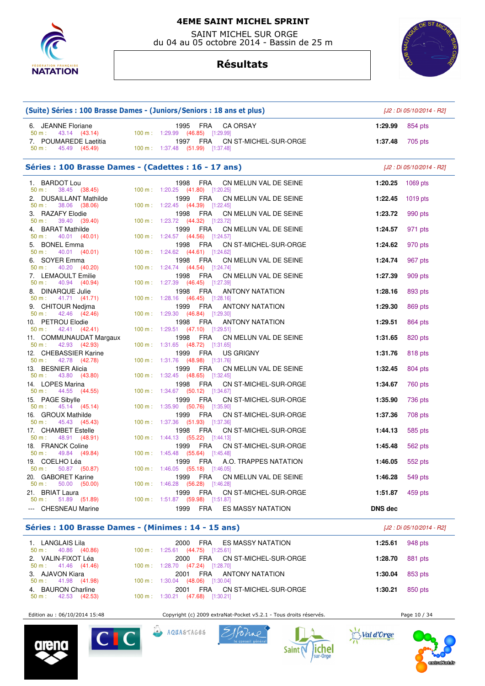

 SAINT MICHEL SUR ORGE du 04 au 05 octobre 2014 - Bassin de 25 m



**Résultats**

|                                                      | (Suite) Séries : 100 Brasse Dames - (Juniors/Seniors : 18 ans et plus)          |                | [J2 : Di 05/10/2014 - R2] |
|------------------------------------------------------|---------------------------------------------------------------------------------|----------------|---------------------------|
| 6. JEANNE Floriane<br>43.14 (43.14)<br>50 m:         | 1995 FRA<br><b>CA ORSAY</b><br>100 m: 1:29.99 (46.85) [1:29.99]                 | 1:29.99        | 854 pts                   |
| 7. POUMAREDE Laetitia<br>50 m: 45.49 (45.49)         | 1997 FRA<br>CN ST-MICHEL-SUR-ORGE<br>100 m: 1:37.48 (51.99) [1:37.48]           | 1:37.48        | 705 pts                   |
| Séries : 100 Brasse Dames - (Cadettes : 16 - 17 ans) |                                                                                 |                | [J2 : Di 05/10/2014 - R2] |
| 1. BARDOT Lou<br>50 m:<br>38.45 (38.45)              | 1998 FRA<br>CN MELUN VAL DE SEINE<br>100 m : 1:20.25 (41.80) [1:20.25]          | 1:20.25        | 1069 $pts$                |
| 2. DUSAILLANT Mathilde<br>38.06 (38.06)<br>50 m:     | 1999<br>FRA<br>CN MELUN VAL DE SEINE<br>100 m: 1:22.45 (44.39) [1:22.45]        | 1:22.45        | 1019 pts                  |
| 3. RAZAFY Elodie<br>39.40 (39.40)<br>$50 m$ :        | FRA<br>1998<br>CN MELUN VAL DE SEINE<br>100 m: 1:23.72 (44.32) [1:23.72]        | 1:23.72        | 990 pts                   |
| 4. BARAT Mathilde<br>$50 m$ :<br>40.01 (40.01)       | FRA<br>1999<br>CN MELUN VAL DE SEINE<br>100 m: 1:24.57 (44.56) [1:24.57]        | 1:24.57        | 971 pts                   |
| 5. BONEL Emma<br>$50 m$ :<br>40.01 (40.01)           | FRA<br>CN ST-MICHEL-SUR-ORGE<br>1998<br>100 m: 1:24.62 (44.61) [1:24.62]        | 1:24.62        | 970 pts                   |
| 6. SOYER Emma<br>40.20 (40.20)<br>50 m:              | 1998 FRA<br>CN MELUN VAL DE SEINE<br>100 m: 1:24.74 (44.54) [1:24.74]           | 1:24.74        | 967 pts                   |
| 7. LEMAOULT Emilie<br>50 m:<br>40.94 (40.94)         | 1998<br>FRA<br>CN MELUN VAL DE SEINE<br>100 m: 1:27.39 (46.45) [1:27.39]        | 1:27.39        | 909 pts                   |
| 8. DINARQUE Julie<br>$50 m$ :<br>41.71 (41.71)       | 1998<br>FRA<br><b>ANTONY NATATION</b><br>100 m: 1:28.16 (46.45) [1:28.16]       | 1:28.16        | 893 pts                   |
| 9. CHITOUR Nedima<br>42.46 (42.46)<br>$50 m$ :       | FRA<br>1999<br><b>ANTONY NATATION</b><br>100 m: 1:29.30 (46.84) [1:29.30]       | 1:29.30        | 869 pts                   |
| 10. PETROU Elodie<br>42.41 (42.41)<br>50 m:          | 1998<br>FRA<br><b>ANTONY NATATION</b><br>100 m: 1:29.51 (47.10) [1:29.51]       | 1:29.51        | 864 pts                   |
| 11. COMMUNAUDAT Margaux<br>42.93 (42.93)<br>$50 m$ : | 1998<br>FRA<br>CN MELUN VAL DE SEINE<br>100 m: 1:31.65 (48.72) [1:31.65]        | 1:31.65        | 820 pts                   |
| 12. CHEBASSIER Karine<br>42.78 (42.78)<br>50 m:      | FRA<br>US GRIGNY<br>1999<br>100 m: 1:31.76 (48.98) [1:31.76]                    | 1:31.76        | 818 pts                   |
| 13. BESNIER Alicia<br>43.80 (43.80)<br>$50 m$ :      | FRA<br>1999<br>CN MELUN VAL DE SEINE<br>100 m: 1:32.45 (48.65) [1:32.45]        | 1:32.45        | 804 pts                   |
| 14. LOPES Marina<br>44.55 (44.55)<br>50 m:           | 1998<br>FRA<br>CN ST-MICHEL-SUR-ORGE<br>100 m: 1:34.67 (50.12) [1:34.67]        | 1:34.67        | 760 pts                   |
| 15. PAGE Sibylle<br>$50 m$ :<br>45.14 (45.14)        | FRA<br>1999<br>CN ST-MICHEL-SUR-ORGE<br>100 m: 1:35.90 (50.76) [1:35.90]        | 1:35.90        | 736 pts                   |
| 16. GROUX Mathilde<br>45.43 (45.43)<br>50 m:         | 1999<br>FRA<br>CN ST-MICHEL-SUR-ORGE<br>100 m: 1:37.36 (51.93) [1:37.36]        | 1:37.36        | 708 pts                   |
| 17. CHAMBET Estelle<br>48.91 (48.91)<br>$50 m$ :     | 1998<br>FRA<br>CN ST-MICHEL-SUR-ORGE<br>100 m: 1:44.13 (55.22) [1:44.13]        | 1:44.13        | 585 pts                   |
| 18. FRANCK Coline<br>50 m:<br>49.84 (49.84)          | 1999<br>FRA<br>CN ST-MICHEL-SUR-ORGE<br>100 m: 1:45.48 (55.64) [1:45.48]        | 1:45.48        | 562 pts                   |
| 19. COELHO Léa<br>50.87 (50.87)<br>50 m:             | 1999<br>FRA<br>A.O. TRAPPES NATATION<br>100 m: 1:46.05 (55.18) [1:46.05]        | 1:46.05        | 552 pts                   |
| 20. GABORET Karine<br>50.00 (50.00)<br>$50 m$ :      | 1999<br>FRA<br>CN MELUN VAL DE SEINE<br>100 m: 1:46.28 (56.28) [1:46.28]        | 1:46.28        | 549 pts                   |
| 21. BRIAT Laura<br>$50 m$ :<br>51.89 (51.89)         | 1999<br><b>FRA</b><br>CN ST-MICHEL-SUR-ORGE<br>100 m: 1:51.87 (59.98) [1:51.87] | 1:51.87        | 459 pts                   |
| --- CHESNEAU Marine                                  | 1999<br>FRA<br><b>ES MASSY NATATION</b>                                         | <b>DNS</b> dec |                           |

#### **Séries : 100 Brasse Dames - (Minimes : 14 - 15 ans)** [J2 : Di 05/10/2014 - R2]

| 1. LANGLAIS Lila<br>$50 \text{ m}: 40.86 (40.86)$   | FRA ES MASSY NATATION<br>2000<br>100 m: 1:25.61 (44.75) [1:25.61]     | 1:25.61 $948 \text{ pts}$ |  |
|-----------------------------------------------------|-----------------------------------------------------------------------|---------------------------|--|
| 2. VALIN-FIXOT Léa<br>$50 \text{ m}: 41.46 (41.46)$ | 2000 FRA CN ST-MICHEL-SUR-ORGE<br>100 m : 1:28.70 (47.24) [1:28.70]   | <b>1:28.70</b> 881 pts    |  |
| 3. AJAVON Kiara<br>$50 \text{ m}: 41.98 (41.98)$    | FRA ANTONY NATATION<br>2001<br>100 m: 1:30.04 (48.06) [1:30.04]       | 1:30.04 $853 \text{ pts}$ |  |
| 4. BAURON Charline<br>$50 \text{ m}: 42.53 (42.53)$ | FRA CN ST-MICHEL-SUR-ORGE<br>2001<br>100 m: 1:30.21 (47.68) [1:30.21] | 1:30.21 $850 \text{ pts}$ |  |

Edition au : 06/10/2014 15:48 Copyright (c) 2009 extraNat-Pocket v5.2.1 - Tous droits réservés. Page 10 / 34











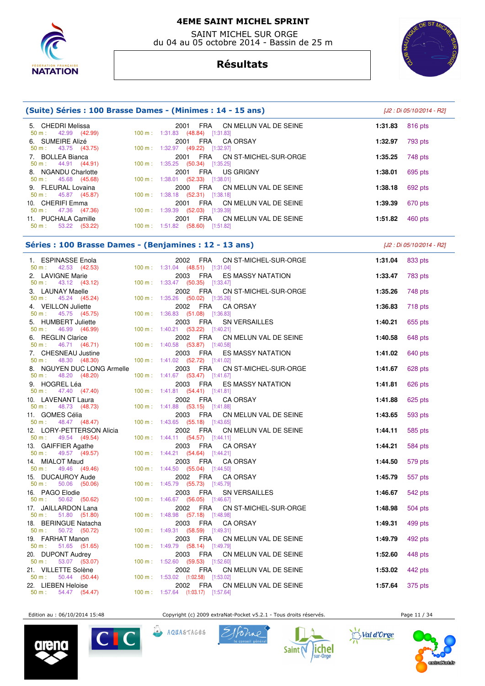

 SAINT MICHEL SUR ORGE du 04 au 05 octobre 2014 - Bassin de 25 m

# **Résultats**



| (Suite) Séries : 100 Brasse Dames - (Minimes : 14 - 15 ans) | [J2 : Di 05/10/2014 - R2]                                                          |                    |
|-------------------------------------------------------------|------------------------------------------------------------------------------------|--------------------|
| 5. CHEDRI Melissa<br>$50 \text{ m}: 42.99 (42.99)$          | FRA<br>CN MELUN VAL DE SEINE<br>2001<br>100 m: 1:31.83 (48.84) [1:31.83]           | 1:31.83<br>816 pts |
| 6. SUMEIRE Alizé<br>$50 \text{ m}: 43.75 (43.75)$           | FRA CAORSAY<br>2001<br>100 m: 1:32.97 (49.22) [1:32.97]                            | 793 pts<br>1:32.97 |
| 7. BOLLEA Bianca<br>$50 \text{ m}: 44.91 (44.91)$           | FRA CN ST-MICHEL-SUR-ORGE<br>2001<br>100 m: $1:35.25$ (50.34) [1:35.25]            | 748 pts<br>1:35.25 |
| 8. NGANDU Charlotte<br>$50 \text{ m}: 45.68 (45.68)$        | FRA US GRIGNY<br>2001<br>$100 \text{ m}: 1:38.01$ (52.33) [1:38.01]                | 695 pts<br>1:38.01 |
| 9. FLEURAL Lovaina<br>$50 \text{ m}: 45.87 (45.87)$         | FRA CN MELUN VAL DE SEINE<br>2000<br>$100 \text{ m}: 1:38.18$ (52.31) [1:38.18]    | 692 pts<br>1:38.18 |
| 10. CHERIFI Emma<br>$50 \text{ m}: 47.36 (47.36)$           | FRA<br>CN MELUN VAL DE SEINE<br>2001<br>$100 \text{ m}: 1:39.39$ (52.03) [1:39.39] | 1:39.39<br>670 pts |
| 11. PUCHALA Camille<br>53.22 (53.22)<br>50 m :              | FRA<br>CN MELUN VAL DE SEINE<br>2001<br>$(58.60)$ [1:51.82]<br>100 m: 1:51.82      | 460 pts<br>1:51.82 |

## **Séries : 100 Brasse Dames - (Benjamines : 12 - 13 ans)** [J2 : Di 05/10/2014 - R2]

 1. ESPINASSE Enola 2002 FRA CN ST-MICHEL-SUR-ORGE **1:31.04** 833 pts  $(48.51)$   $[1:31.04]$  2. LAVIGNE Marie 2003 FRA ES MASSY NATATION **1:33.47** 783 pts  $(50.35)$   $[1:33.47]$  3. LAUNAY Maelle 2002 FRA CN ST-MICHEL-SUR-ORGE **1:35.26** 748 pts 50 m : 45.24 (45.24) 100 m : 1:35.26 (50.02) [1:35.26] 4. VEILLON Juliette 2002 FRA CA ORSAY **1:36.83** 718 pts 1:36.83 (51.08) [1:36.83] 5. HUMBERT Juliette 2003 FRA SN VERSAILLES **1:40.21** 655 pts 1:40.21 (53.22) [1:40.21] 6. REGLIN Clarice 2002 FRA CN MELUN VAL DE SEINE **1:40.58** 648 pts 50 m : 46.71 (46.71) 100 m : 1:40.58 (53.87) [1:40.58] 7. CHESNEAU Justine 2003 FRA ES MASSY NATATION **1:41.02** 640 pts 50 m : 48.30 (48.30) 100 m : 1:41.02 (52.72) [1:41.02] 8. NGUYEN DUC LONG Armelle 2003 FRA CN ST-MICHEL-SUR-ORGE **1:41.67** 628 pts 50 m : 48.20 (48.20) 100 m : 1:41.67 (53.47) [1:41.67] 9. HOGREL Léa 2003 FRA ES MASSY NATATION **1:41.81** 626 pts 50 m : 47.40 (47.40) 100 m : 1:41.81 (54.41) [1:41.81] 10. LAVENANT Laura 2002 FRA CA ORSAY **1:41.88** 625 pts 1:41.88 (53.15) [1:41.88] 11. GOMES Célia **2003 FRA CN MELUN VAL DE SEINE 1:43.65** 593 pts<br>
50 m : 48.47 (48.47) 100 m : 1:43.65 (55.18) [1:43.65] 100 m : 1:43.65 (55.18) [1:43.65] 12. LORY-PETTERSON Alicia 2002 FRA CN MELUN VAL DE SEINE **1:44.11** 585 pts 50 m : 49.54 (49.54) 100 m : 1:44.11 (54.57) [1:44.11]<br>13. GAIFFIER Agathe 2003 FRA CA 13. GAIFFIER Agathe **2003 FRA CA ORSAY 1:44.21** 584 pts<br>
50 m : 49.57 (49.57) 100 m : 1:44.21 (54.64) [1:44.21] 1:44.21 (54.64) [1:44.21] 14. MIALOT Maud 2003 FRA CA ORSAY **1:44.50** 579 pts  $1:44.50$  (55.04) [1:44.50] 15. DUCAUROY Aude 2002 FRA CA ORSAY **1:45.79** 557 pts 50 m : 50.06 (50.06) 100 m : 1:45.79 (55.73) [1:45.79 16. PAGO Elodie 2003 FRA SN VERSAILLES **1:46.67** 542 pts 50 m : 50.62 (50.62) 100 m : 1:46.67 (56.05) [1:46.67] 17. JAILLARDON Lana 2002 FRA CN ST-MICHEL-SUR-ORGE **1:48.98** 504 pts 50 m : 51.80 (51.80) 100 m : 1:48.98 (57.18) [1:48.98] 18. BERINGUE Natacha 2003 FRA CA ORSAY **1:49.31** 499 pts 1:49.31 (58.59) [1:49.31] 19. FARHAT Manon 2003 FRA CN MELUN VAL DE SEINE **1:49.79** 492 pts 1:49.79 (58.14) [1:49.79] 20. DUPONT Audrey 2003 FRA CN MELUN VAL DE SEINE **1:52.60** 448 pts 50 m : 53.07 (53.07) 100 m : 1:52.60 (59.53) [1:52.60] 21. VILLETTE Solène 2002 FRA CN MELUN VAL DE SEINE **1:53.02** 442 pts 50 m : 50.44 (50.44) 100 m : 1:53.02 (1:02.58) [1:53.02] 22. LIEBEN Heloise 2002 FRA CN MELUN VAL DE SEINE **1:57.64** 375 pts 100 m : 1:57.64 (1:03.17) [1:57.64]

Edition au : 06/10/2014 15:48 Copyright (c) 2009 extraNat-Pocket v5.2.1 - Tous droits réservés.













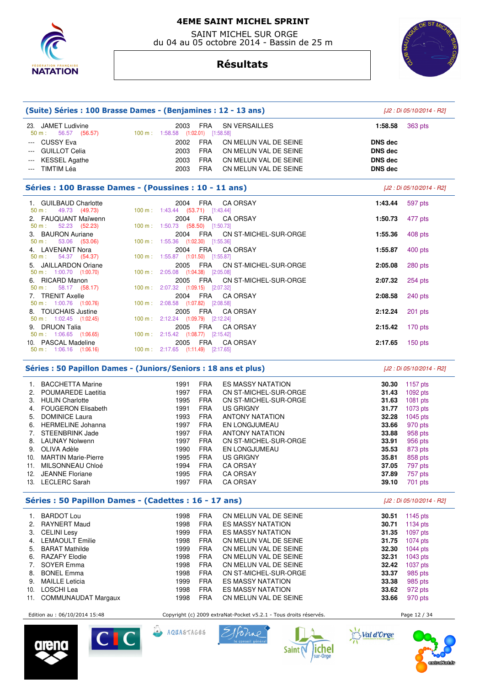

 SAINT MICHEL SUR ORGE du 04 au 05 octobre 2014 - Bassin de 25 m





|                                                                                                                        | (Suite) Séries : 100 Brasse Dames - (Benjamines : 12 - 13 ans) |                                                         |                |                          |  |  |
|------------------------------------------------------------------------------------------------------------------------|----------------------------------------------------------------|---------------------------------------------------------|----------------|--------------------------|--|--|
| 23. JAMET Ludivine<br>50 m : 56.57 (56.57) 100 m : 1:58.58 (1:02.01) [1:58.58]                                         |                                                                | 2003<br><b>SN VERSAILLES</b><br>FRA                     | 1:58.58        | 363 pts                  |  |  |
| --- CUSSY Eva                                                                                                          |                                                                | <b>FRA</b><br>2002<br>CN MELUN VAL DE SEINE             | <b>DNS</b> dec |                          |  |  |
| <b>GUILLOT Celia</b><br>$\frac{1}{2} \left( \frac{1}{2} \right) \left( \frac{1}{2} \right) \left( \frac{1}{2} \right)$ |                                                                | 2003<br>FRA<br>CN MELUN VAL DE SEINE                    | <b>DNS dec</b> |                          |  |  |
| <b>KESSEL Agathe</b>                                                                                                   |                                                                | FRA<br>2003<br>CN MELUN VAL DE SEINE                    | <b>DNS</b> dec |                          |  |  |
| --- TIMTIM Léa                                                                                                         |                                                                | FRA<br>2003<br>CN MELUN VAL DE SEINE                    | <b>DNS</b> dec |                          |  |  |
| Séries : 100 Brasse Dames - (Poussines : 10 - 11 ans)                                                                  |                                                                |                                                         |                | [J2 : Di 05/10/2014 - R2 |  |  |
| 1. GUILBAUD Charlotte                                                                                                  |                                                                | 2004 FRA<br><b>CA ORSAY</b>                             | 1:43.44        | 597 pts                  |  |  |
| $50 \text{ m}: 49.73 (49.73)$                                                                                          |                                                                | 100 m: 1:43.44 (53.71) [1:43.44]                        |                |                          |  |  |
| 2. FAUQUANT Maïwenn<br>50 m:<br>52.23 (52.23)                                                                          |                                                                | 2004 FRA CA ORSAY<br>100 m: 1:50.73 (58.50) [1:50.73]   | 1:50.73        | 477 pts                  |  |  |
| 3. BAURON Auriane                                                                                                      |                                                                | 2004 FRA CN ST-MICHEL-SUR-ORGE                          | 1:55.36        | 408 pts                  |  |  |
| 53.06 (53.06)<br>50 m:                                                                                                 |                                                                | 100 m: 1:55.36 (1:02.30) [1:55.36]                      |                |                          |  |  |
| 4. LAVENANT Nora                                                                                                       |                                                                | 2004 FRA<br><b>CA ORSAY</b>                             | 1:55.87        | $400$ pts                |  |  |
| 54.37 (54.37)<br>50 m:                                                                                                 |                                                                | 100 m: 1:55.87 (1:01.50) [1:55.87]                      |                |                          |  |  |
| 5. JAILLARDON Oriane                                                                                                   |                                                                | 2005 FRA CN ST-MICHEL-SUR-ORGE                          | 2:05.08        | 280 pts                  |  |  |
| $50 \text{ m}: 1:00.70$ $(1:00.70)$                                                                                    |                                                                | 100 m: 2:05.08 (1:04.38) [2:05.08]                      |                |                          |  |  |
| 6. RICARD Manon                                                                                                        |                                                                | 2005<br>FRA CN ST-MICHEL-SUR-ORGE                       | 2:07.32        | 254 pts                  |  |  |
| 58.17 (58.17)<br>$50 m$ :<br>7. TRENIT Axelle                                                                          |                                                                | 100 m: 2:07.32 (1:09.15) [2:07.32]<br>2004 FRA CA ORSAY |                |                          |  |  |
| $50 \text{ m}: 1:00.76$ (1:00.76)                                                                                      |                                                                | 100 m: 2:08.58 (1:07.82) [2:08.58]                      | 2:08.58        | $240$ pts                |  |  |
| 8. TOUCHAIS Justine                                                                                                    |                                                                | FRA<br>2005<br><b>CA ORSAY</b>                          | 2:12.24        | 201 pts                  |  |  |
| $50 \text{ m}: 1:02.45$ $(1:02.45)$                                                                                    |                                                                | 100 m: 2:12.24 (1:09.79) [2:12.24]                      |                |                          |  |  |
| 9. DRUON Talia                                                                                                         |                                                                | 2005 FRA CA ORSAY                                       | 2:15.42        | $170$ pts                |  |  |
| 50 m : 1:06.65 (1:06.65)                                                                                               |                                                                | 100 m: 2:15.42 (1:08.77) [2:15.42]                      |                |                          |  |  |
| 10. PASCAL Madeline                                                                                                    |                                                                | 2005 FRA CA ORSAY                                       | 2:17.65        | $150$ pts                |  |  |
| $50 \text{ m}$ : 1:06.16 (1:06.16)                                                                                     |                                                                | 100 m: 2:17.65 (1:11.49) [2:17.65]                      |                |                          |  |  |

## Séries : 50 Papillon Dames - (Juniors/Seniors : 18 ans et plus)  $[J2 : Di 05/10/2014 - R2]$

| 1.  | <b>BACCHETTA Marine</b>    | 1991 | <b>FRA</b> | <b>ES MASSY NATATION</b> | 30.30 | 1157 $pts$ |
|-----|----------------------------|------|------------|--------------------------|-------|------------|
| 2.  | <b>POUMAREDE Laetitia</b>  | 1997 | <b>FRA</b> | CN ST-MICHEL-SUR-ORGE    | 31.43 | $1092$ pts |
| 3.  | <b>HULIN Charlotte</b>     | 1995 | <b>FRA</b> | CN ST-MICHEL-SUR-ORGE    | 31.63 | $1081$ pts |
| 4.  | <b>FOUGERON Elisabeth</b>  | 1991 | <b>FRA</b> | <b>US GRIGNY</b>         | 31.77 | $1073$ pts |
| 5.  | <b>DOMINICE Laura</b>      | 1993 | <b>FRA</b> | <b>ANTONY NATATION</b>   | 32.28 | $1045$ pts |
| 6.  | <b>HERMELINE Johanna</b>   | 1997 | <b>FRA</b> | EN LONGJUMEAU            | 33.66 | 970 pts    |
| 7.  | STEENBRINK Jade            | 1997 | <b>FRA</b> | <b>ANTONY NATATION</b>   | 33.88 | 958 pts    |
| 8.  | <b>LAUNAY Nolwenn</b>      | 1997 | <b>FRA</b> | CN ST-MICHEL-SUR-ORGE    | 33.91 | 956 pts    |
| 9.  | OLIVA Adèle                | 1990 | <b>FRA</b> | EN LONGJUMEAU            | 35.53 | 873 pts    |
| 10. | <b>MARTIN Marie-Pierre</b> | 1995 | <b>FRA</b> | <b>US GRIGNY</b>         | 35.81 | 858 pts    |
|     |                            |      |            |                          |       |            |
| 11. | MILSONNEAU Chloé           | 1994 | <b>FRA</b> | <b>CA ORSAY</b>          | 37.05 | 797 pts    |
| 12. | <b>JEANNE Floriane</b>     | 1995 | <b>FRA</b> | <b>CA ORSAY</b>          | 37.89 | 757 pts    |
| 13. | LECLERC Sarah              | 1997 | <b>FRA</b> | <b>CA ORSAY</b>          | 39.10 | 701 pts    |

# **Séries : 50 Papillon Dames - (Cadettes : 16 - 17 ans)** [J2 : Di 05/10/2014 - R2]

| 1.  | <b>BARDOT Lou</b>          | 1998 | <b>FRA</b> | CN MELUN VAL DE SEINE    | 30.51 | 1145 $pts$ |
|-----|----------------------------|------|------------|--------------------------|-------|------------|
|     | 2. RAYNERT Maud            | 1998 | <b>FRA</b> | <b>ES MASSY NATATION</b> | 30.71 | $1134$ pts |
|     | 3. CELINI Lesy             | 1999 | <b>FRA</b> | <b>ES MASSY NATATION</b> | 31.35 | $1097$ pts |
|     | 4. LEMAOULT Emilie         | 1998 | <b>FRA</b> | CN MELUN VAL DE SEINE    | 31.75 | $1074$ pts |
| 5.  | <b>BARAT Mathilde</b>      | 1999 | <b>FRA</b> | CN MELUN VAL DE SEINE    | 32.30 | $1044$ pts |
|     | 6. RAZAFY Elodie           | 1998 | <b>FRA</b> | CN MELUN VAL DE SEINE    | 32.31 | $1043$ pts |
| 7.  | SOYER Emma                 | 1998 | <b>FRA</b> | CN MELUN VAL DE SEINE    | 32.42 | $1037$ pts |
| 8.  | <b>BONEL Emma</b>          | 1998 | <b>FRA</b> | CN ST-MICHEL-SUR-ORGE    | 33.37 | 985 pts    |
|     | 9. MAILLE Leticia          | 1999 | FRA        | <b>ES MASSY NATATION</b> | 33.38 | 985 pts    |
| 10. | LOSCHI Lea                 | 1998 | <b>FRA</b> | <b>ES MASSY NATATION</b> | 33.62 | 972 pts    |
| 11. | <b>COMMUNAUDAT Margaux</b> | 1998 | <b>FRA</b> | CN MELUN VAL DE SEINE    | 33.66 | 970 pts    |





Edition au : 06/10/2014 15:48 Copyright (c) 2009 extraNat-Pocket v5.2.1 - Tous droits réservés. Page 12 / 34

AQUASTAGES





**Saint** 



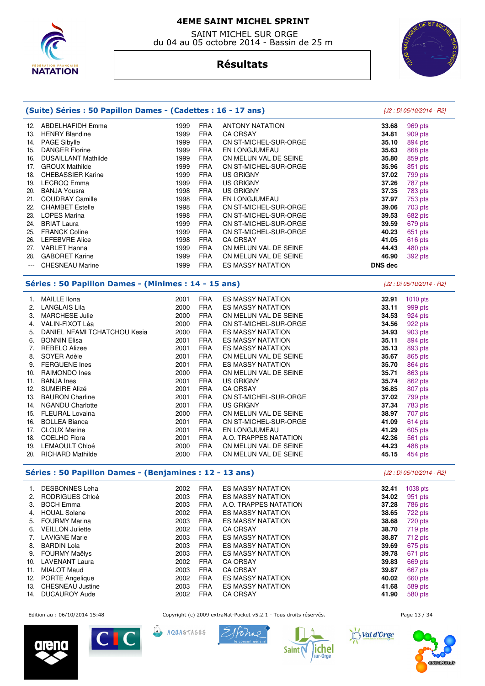

 SAINT MICHEL SUR ORGE du 04 au 05 octobre 2014 - Bassin de 25 m



# **Résultats**

| (Suite) Séries : 50 Papillon Dames - (Cadettes : 16 - 17 ans) |                                                                                              |      |            |                          | [J2 : Di 05/10/2014 - R2] |            |
|---------------------------------------------------------------|----------------------------------------------------------------------------------------------|------|------------|--------------------------|---------------------------|------------|
|                                                               | 12. ABDELHAFIDH Emma                                                                         | 1999 | <b>FRA</b> | <b>ANTONY NATATION</b>   | 33.68                     | 969 pts    |
|                                                               | 13. HENRY Blandine                                                                           | 1999 | <b>FRA</b> | <b>CA ORSAY</b>          | 34.81                     | 909 pts    |
|                                                               | 14. PAGE Sibylle                                                                             | 1999 | <b>FRA</b> | CN ST-MICHEL-SUR-ORGE    | 35.10                     | 894 pts    |
|                                                               | 15. DANGER Florine                                                                           | 1999 | <b>FRA</b> | EN LONGJUMEAU            | 35.63                     | 868 pts    |
|                                                               | 16. DUSAILLANT Mathilde                                                                      | 1999 | <b>FRA</b> | CN MELUN VAL DE SEINE    | 35.80                     | 859 pts    |
|                                                               | 17. GROUX Mathilde                                                                           | 1999 | <b>FRA</b> | CN ST-MICHEL-SUR-ORGE    | 35.96                     | 851 pts    |
|                                                               | 18. CHEBASSIER Karine                                                                        | 1999 | <b>FRA</b> | US GRIGNY                | 37.02                     | 799 pts    |
|                                                               | 19. LECROQ Emma                                                                              | 1999 | <b>FRA</b> | <b>US GRIGNY</b>         | 37.26                     | 787 pts    |
|                                                               | 20. BANJA Yousra                                                                             | 1998 | <b>FRA</b> | <b>US GRIGNY</b>         | 37.35                     | 783 pts    |
|                                                               | 21. COUDRAY Camille                                                                          | 1998 | <b>FRA</b> | EN LONGJUMEAU            | 37.97                     | 753 pts    |
|                                                               | 22. CHAMBET Estelle                                                                          | 1998 | <b>FRA</b> | CN ST-MICHEL-SUR-ORGE    | 39.06                     | 703 pts    |
|                                                               | 23. LOPES Marina                                                                             | 1998 | <b>FRA</b> | CN ST-MICHEL-SUR-ORGE    | 39.53                     | 682 pts    |
|                                                               | 24. BRIAT Laura                                                                              | 1999 | <b>FRA</b> | CN ST-MICHEL-SUR-ORGE    | 39.59                     | 679 pts    |
|                                                               | 25. FRANCK Coline                                                                            | 1999 | <b>FRA</b> | CN ST-MICHEL-SUR-ORGE    | 40.23                     | 651 pts    |
|                                                               | 26. LEFEBVRE Alice                                                                           | 1998 | <b>FRA</b> | <b>CA ORSAY</b>          | 41.05                     | 616 pts    |
|                                                               | 27. VARLET Hanna                                                                             | 1999 | <b>FRA</b> | CN MELUN VAL DE SEINE    | 44.43                     | 480 pts    |
|                                                               | 28. GABORET Karine                                                                           | 1999 | <b>FRA</b> | CN MELUN VAL DE SEINE    | 46.90                     | 392 pts    |
| $---$                                                         | <b>CHESNEAU Marine</b>                                                                       | 1999 | <b>FRA</b> | ES MASSY NATATION        | <b>DNS</b> dec            |            |
| Séries : 50 Papillon Dames - (Minimes : 14 - 15 ans)          |                                                                                              |      |            |                          | [J2 : Di 05/10/2014 - R2] |            |
|                                                               | 1. MAILLE Ilona                                                                              | 2001 | <b>FRA</b> | ES MASSY NATATION        | 32.91                     | $1010$ pts |
|                                                               | 2. LANGLAIS Lila                                                                             | 2000 | <b>FRA</b> | <b>ES MASSY NATATION</b> | 33.11                     | 999 pts    |
|                                                               | 3. MARCHESE Julie                                                                            | 2000 | <b>FRA</b> | CN MELUN VAL DE SEINE    | 34.53                     | 924 pts    |
|                                                               | 4. VALIN-FIXOT Léa                                                                           | 2000 | <b>FRA</b> | CN ST-MICHEL-SUR-ORGE    | 34.56                     | 922 pts    |
|                                                               | 5. DANIEL NFAMI TCHATCHOU Kesia                                                              | 2000 | <b>FRA</b> | ES MASSY NATATION        | 34.93                     | 903 pts    |
|                                                               | 6. BONNIN Elisa                                                                              | 2001 | <b>FRA</b> | ES MASSY NATATION        | 35.11                     | 894 pts    |
|                                                               | 7. REBELO Alizee                                                                             | 2001 | <b>FRA</b> | <b>ES MASSY NATATION</b> | 35.13                     | 893 pts    |
| 8.                                                            | SOYER Adèle                                                                                  | 2001 | <b>FRA</b> | CN MELUN VAL DE SEINE    | 35.67                     | 865 pts    |
|                                                               | 9. FERGUENE Ines                                                                             | 2001 | <b>FRA</b> | <b>ES MASSY NATATION</b> | 35.70                     | 864 pts    |
|                                                               | 10. RAIMONDO Ines                                                                            | 2000 | <b>FRA</b> | CN MELUN VAL DE SEINE    | 35.71                     | 863 pts    |
|                                                               | 11. BANJA Ines                                                                               | 2001 | <b>FRA</b> | <b>US GRIGNY</b>         | 35.74                     | 862 pts    |
|                                                               | 12. SUMEIRE Alizé                                                                            | 2001 | <b>FRA</b> | <b>CA ORSAY</b>          | 36.85                     | 807 pts    |
|                                                               | 13. BAURON Charline                                                                          | 2001 | <b>FRA</b> | CN ST-MICHEL-SUR-ORGE    | 37.02                     | 799 pts    |
|                                                               | 14. NGANDU Charlotte                                                                         | 2001 | <b>FRA</b> | <b>US GRIGNY</b>         | 37.34                     | 783 pts    |
|                                                               | 15. FLEURAL Lovaina                                                                          | 2000 | <b>FRA</b> | CN MELUN VAL DE SEINE    | 38.97                     | 707 pts    |
|                                                               | 16. BOLLEA Bianca                                                                            | 2001 | <b>FRA</b> | CN ST-MICHEL-SUR-ORGE    | 41.09                     | 614 pts    |
|                                                               | 17. CLOUX Marine                                                                             | 2001 | <b>FRA</b> | EN LONGJUMEAU            | 41.29                     | 605 pts    |
|                                                               | 18. COELHO Flora                                                                             | 2001 | <b>FRA</b> | A.O. TRAPPES NATATION    | 42.36                     | 561 pts    |
|                                                               | 19. LEMAOULT Chloé                                                                           | 2000 | <b>FRA</b> | CN MELUN VAL DE SEINE    | 44.23                     | 488 pts    |
|                                                               | 20. RICHARD Mathilde                                                                         | 2000 | <b>FRA</b> | CN MELUN VAL DE SEINE    | 45.15                     | 454 pts    |
|                                                               | $\mathcal{L}$ . The position process of position to a set of $\mathcal{L}$ and $\mathcal{L}$ |      |            |                          |                           |            |

### **Séries : 50 Papillon Dames - (Benjamines : 12 - 13 ans)** [J2 : Di 05/10/2014 - R2]

| 1.  | <b>DESBONNES Leha</b>   | 2002 | <b>FRA</b> | <b>ES MASSY NATATION</b> | 32.41 | 1038 pts |
|-----|-------------------------|------|------------|--------------------------|-------|----------|
|     |                         |      |            |                          |       |          |
| 2.  | RODRIGUES Chloé         | 2003 | <b>FRA</b> | <b>ES MASSY NATATION</b> | 34.02 | 951 pts  |
| 3.  | <b>BOCH Emma</b>        | 2003 | <b>FRA</b> | A.O. TRAPPES NATATION    | 37.28 | 786 pts  |
| 4.  | <b>HOUAL Solene</b>     | 2002 | <b>FRA</b> | <b>ES MASSY NATATION</b> | 38.65 | 722 pts  |
| 5.  | <b>FOURMY Marina</b>    | 2003 | <b>FRA</b> | <b>ES MASSY NATATION</b> | 38.68 | 720 pts  |
| 6.  | <b>VEILLON Juliette</b> | 2002 | <b>FRA</b> | <b>CA ORSAY</b>          | 38.70 | 719 pts  |
| 7.  | <b>LAVIGNE Marie</b>    | 2003 | <b>FRA</b> | <b>ES MASSY NATATION</b> | 38.87 | 712 pts  |
| 8.  | <b>BARDIN Lola</b>      | 2003 | <b>FRA</b> | <b>ES MASSY NATATION</b> | 39.69 | 675 pts  |
| 9.  | <b>FOURMY Maëlys</b>    | 2003 | <b>FRA</b> | <b>ES MASSY NATATION</b> | 39.78 | 671 pts  |
| 10. | <b>LAVENANT Laura</b>   | 2002 | <b>FRA</b> | <b>CA ORSAY</b>          | 39.83 | 669 pts  |
| 11. | <b>MIALOT Maud</b>      | 2003 | <b>FRA</b> | <b>CA ORSAY</b>          | 39.87 | 667 pts  |
| 12. | PORTE Angelique         | 2002 | <b>FRA</b> | <b>ES MASSY NATATION</b> | 40.02 | 660 pts  |
| 13. | <b>CHESNEAU Justine</b> | 2003 | <b>FRA</b> | <b>ES MASSY NATATION</b> | 41.68 | 589 pts  |
| 14. | <b>DUCAUROY Aude</b>    | 2002 | <b>FRA</b> | CA ORSAY                 | 41.90 | 580 pts  |

Edition au : 06/10/2014 15:48 Copyright (c) 2009 extraNat-Pocket v5.2.1 - Tous droits réservés. Page 13 / 34













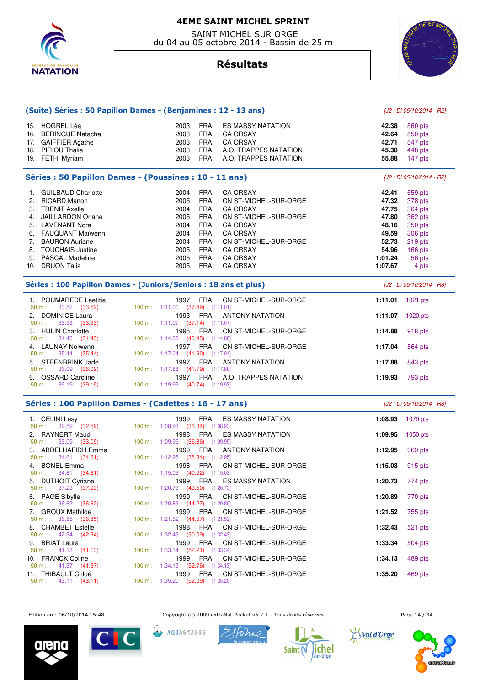

 SAINT MICHEL SUR ORGE du 04 au 05 octobre 2014 - Bassin de 25 m

# **Résultats**



|                                                                                               | (Suite) Séries : 50 Papillon Dames - (Benjamines : 12 - 13 ans) |                          |         | [J2 : Di 05/10/2014 - R2] |  |
|-----------------------------------------------------------------------------------------------|-----------------------------------------------------------------|--------------------------|---------|---------------------------|--|
| 15. HOGREL Léa                                                                                | 2003<br><b>FRA</b>                                              | ES MASSY NATATION        | 42.38   | 560 pts                   |  |
| 16. BERINGUE Natacha                                                                          | 2003<br><b>FRA</b>                                              | <b>CA ORSAY</b>          | 42.64   | 550 pts                   |  |
| 17. GAIFFIER Agathe                                                                           | 2003<br><b>FRA</b>                                              | <b>CA ORSAY</b>          | 42.71   | 547 pts                   |  |
| 18. PIRIOU Thalia                                                                             | <b>FRA</b><br>2003                                              | A.O. TRAPPES NATATION    | 45.30   | 448 pts                   |  |
| 19. FETHI Myriam                                                                              | <b>FRA</b><br>2003                                              | A.O. TRAPPES NATATION    | 55.88   | 147 pts                   |  |
|                                                                                               |                                                                 |                          |         |                           |  |
|                                                                                               | Séries : 50 Papillon Dames - (Poussines : 10 - 11 ans)          |                          |         | [J2 : Di 05/10/2014 - R2] |  |
| 1. GUILBAUD Charlotte                                                                         | 2004<br><b>FRA</b>                                              | <b>CA ORSAY</b>          | 42.41   | 559 pts                   |  |
| 2. RICARD Manon                                                                               | 2005<br><b>FRA</b>                                              | CN ST-MICHEL-SUR-ORGE    | 47.32   | 378 pts                   |  |
| 3. TRENIT Axelle                                                                              | 2004<br><b>FRA</b>                                              | <b>CA ORSAY</b>          | 47.75   | <b>364 pts</b>            |  |
| 4. JAILLARDON Oriane                                                                          | 2005<br><b>FRA</b>                                              | CN ST-MICHEL-SUR-ORGE    | 47.80   | 362 pts                   |  |
| 5. LAVENANT Nora                                                                              | 2004<br><b>FRA</b>                                              | <b>CA ORSAY</b>          | 48.16   | 350 pts                   |  |
| 6. FAUQUANT Maïwenn                                                                           | 2004<br><b>FRA</b>                                              | <b>CA ORSAY</b>          | 49.59   | 306 pts                   |  |
| 7. BAURON Auriane                                                                             | 2004<br><b>FRA</b>                                              | CN ST-MICHEL-SUR-ORGE    | 52.73   | 219 pts                   |  |
| 8. TOUCHAIS Justine                                                                           | 2005<br><b>FRA</b>                                              | <b>CA ORSAY</b>          | 54.96   | 166 pts                   |  |
| 9. PASCAL Madeline                                                                            | 2005<br><b>FRA</b>                                              | <b>CA ORSAY</b>          | 1:01.24 | 56 pts                    |  |
| 10. DRUON Talia                                                                               | 2005<br><b>FRA</b>                                              | <b>CA ORSAY</b>          | 1:07.67 | 4 pts                     |  |
| Séries : 100 Papillon Dames - (Juniors/Seniors : 18 ans et plus)<br>[J2 : Di 05/10/2014 - R3] |                                                                 |                          |         |                           |  |
| 1. POUMAREDE Laetitia<br>33.52 (33.52)<br>50 m:                                               | 1997<br><b>FRA</b><br>100 m: 1:11.01 (37.49) [1:11.01]          | CN ST-MICHEL-SUR-ORGE    | 1:11.01 | 1021 pts                  |  |
| 2. DOMINICE Laura<br>50 m:<br>33.93 (33.93)                                                   | 1993<br>FRA<br>100 m: 1:11.07 (37.14) [1:11.07]                 | <b>ANTONY NATATION</b>   | 1:11.07 | 1020 $pts$                |  |
| 3. HULIN Charlotte<br>34.43 (34.43)<br>50 m:                                                  | 1995<br>FRA<br>100 m: 1:14.88 (40.45) [1:14.88]                 | CN ST-MICHEL-SUR-ORGE    | 1:14.88 | 918 pts                   |  |
| 4. LAUNAY Nolwenn                                                                             | 1997 FRA                                                        | CN ST-MICHEL-SUR-ORGE    | 1:17.04 | 864 pts                   |  |
| 35.44 (35.44)<br>50 m:                                                                        | 100 m: 1:17.04 (41.60) [1:17.04]                                |                          |         |                           |  |
| 5. STEENBRINK Jade                                                                            | FRA<br>1997                                                     | <b>ANTONY NATATION</b>   | 1:17.88 | 843 pts                   |  |
| 50 m:<br>36.09 (36.09)                                                                        | 100 m : 1:17.88 $(41.79)$ [1:17.88]                             |                          |         |                           |  |
| 6. OSSARD Caroline<br>50 m:                                                                   | 1997 FRA                                                        | A.O. TRAPPES NATATION    | 1:19.93 | 793 pts                   |  |
| 39.19 (39.19)                                                                                 | 100 m : 1:19.93 (40.74) [1:19.93]                               |                          |         |                           |  |
|                                                                                               | Séries : 100 Papillon Dames - (Cadettes : 16 - 17 ans)          |                          |         | [J2 : Di 05/10/2014 - R3] |  |
| 1. CELINI Lesy<br>$32.59$ $(32.59)$<br>50 m:                                                  | 1999<br><b>FRA</b><br>100 m: 1:08.93 (36.34) [1:08.93]          | <b>ES MASSY NATATION</b> | 1:08.93 | 1079 pts                  |  |
| 2. RAYNERT Maud                                                                               | 1998<br><b>FRA</b>                                              | ES MASSY NATATION        | 1:09.95 | 1050 pts                  |  |
| 33.09 (33.09)<br>50 m:                                                                        | 100 m: 1:09.95 (36.86) [1:09.95]                                |                          |         |                           |  |
| 3. ABDELHAFIDH Emma<br>34.61 (34.61)<br>50 m:                                                 | 1999<br>FRA<br>100 m: 1:12.95 (38.34) [1:12.95]                 | <b>ANTONY NATATION</b>   | 1:12.95 | 969 pts                   |  |
| 4. BONEL Emma                                                                                 | 1998<br>FRA                                                     | CN ST-MICHEL-SUR-ORGE    | 1:15.03 | 915 pts                   |  |
| 34.81 (34.81)<br>50 m:                                                                        | 100 m: 1:15.03 (40.22) [1:15.03]                                |                          |         |                           |  |
| 5. DUTHOIT Cyriane<br>37.23 (37.23)<br>50 m:                                                  | FRA<br>1999<br>100 m: 1:20.73 (43.50) [1:20.73]                 | <b>ES MASSY NATATION</b> | 1:20.73 | 774 pts                   |  |
| 6. PAGE Sibylle                                                                               | 1999<br>FRA                                                     | CN ST-MICHEL-SUR-ORGE    | 1:20.89 | 770 pts                   |  |
| $50 m$ :<br>36.62 (36.62)<br>7. GROUX Mathilde                                                | 100 m: 1:20.89 (44.27) [1:20.89]<br>1999<br>FRA                 | CN ST-MICHEL-SUR-ORGE    | 1:21.52 |                           |  |
| 36.85 (36.85)<br>50 m:                                                                        | 100 m: 1:21.52 (44.67) [1:21.52]                                |                          |         | 755 pts                   |  |
| 8. CHAMBET Estelle                                                                            | 1998<br>FRA                                                     | CN ST-MICHEL-SUR-ORGE    | 1:32.43 | 521 pts                   |  |
| 42.34 (42.34)<br>50 m:<br>9. BRIAT Laura                                                      | 100 m: 1:32.43 (50.09) [1:32.43]<br>1999<br><b>FRA</b>          | CN ST-MICHEL-SUR-ORGE    | 1:33.34 | 504 pts                   |  |
| 41.13 (41.13)<br>50 m:                                                                        | 100 m: 1:33.34 (52.21) [1:33.34]                                |                          |         |                           |  |
| 10. FRANCK Coline                                                                             | 1999<br>FRA                                                     | CN ST-MICHEL-SUR-ORGE    | 1:34.13 | 489 pts                   |  |

50 m : 41.37 (41.37) 100 m : 1:34.13 (52.76) [1:34.13] 11. THIBAULT Chloé 1999 FRA CN ST-MICHEL-SUR-ORGE **1:35.20** 469 pts 50 m : 43.11 (43.11) 100 m : 1:35.20 (52.09) [1:35.20]

Edition au : 06/10/2014 15:48 Copyright (c) 2009 extraNat-Pocket v5.2.1 - Tous droits réservés. Page 14 / 34







AQUASTAGES





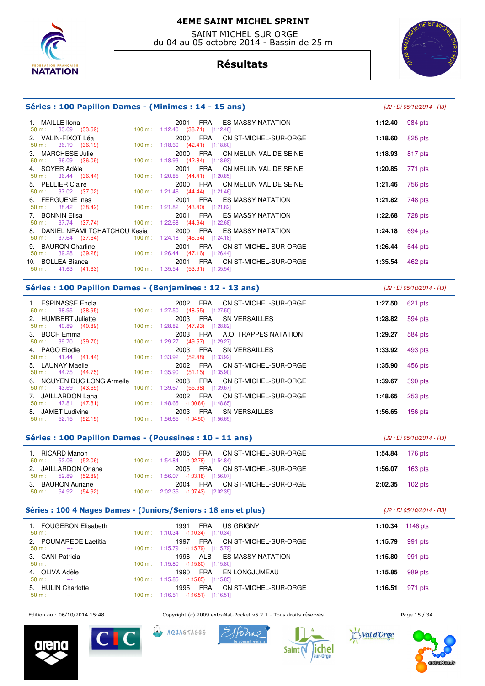

 SAINT MICHEL SUR ORGE du 04 au 05 octobre 2014 - Bassin de 25 m



# **Résultats**

#### **Séries : 100 Papillon Dames - (Minimes : 14 - 15 ans)** [J2 : Di 05/10/2014 - R3]

| 1. MAILLE Ilona                                                                           | 2001 FRA ES MASSY NATATION                                                       | 1:12.40 $984 \text{ pts}$ |         |
|-------------------------------------------------------------------------------------------|----------------------------------------------------------------------------------|---------------------------|---------|
| $50 \text{ m}: 33.69 (33.69)$<br>2. VALIN-FIXOT Léa                                       | $100 \text{ m}: 1:12.40$ (38.71) [1:12.40]<br>2000 FRA CN ST-MICHEL-SUR-ORGE     | 1:18.60 $825 \text{ pts}$ |         |
| $50 \text{ m}: 36.19 (36.19)$<br>3. MARCHESE Julie                                        | 100 m: $1:18.60$ (42.41) [1:18.60]<br>2000 FRA CN MELUN VAL DE SEINE             | 1:18.93 $817 \text{ pts}$ |         |
| 50 m : 36.09 (36.09)<br>4. SOYER Adèle                                                    | 100 m: 1:18.93 (42.84) [1:18.93]<br>2001 FRA CN MELUN VAL DE SEINE               | 1:20.85                   | 771 pts |
| 50 m : 36.44 (36.44) 100 m : 1:20.85 (44.41) [1:20.85]<br>5. PELLIER Claire               | 2000 FRA CN MELUN VAL DE SEINE                                                   | 1:21.46                   | 756 pts |
| 50 m : 37.02 (37.02) 100 m : 1:21.46 (44.44) [1:21.46]<br>6. FERGUENE Ines                | 2001 FRA ES MASSY NATATION                                                       | 1:21.82                   | 748 pts |
| 50 m : 38.42 (38.42) 100 m : 1:21.82 (43.40) [1:21.82]<br>7. BONNIN Elisa                 | 2001 FRA ES MASSY NATATION                                                       | 1:22.68                   | 728 pts |
| 50 m : 37.74 (37.74) 100 m : 1:22.68 (44.94) [1:22.68]<br>8. DANIEL NFAMI TCHATCHOU Kesia | 2000 FRA ES MASSY NATATION                                                       | 1:24.18                   | 694 pts |
| $50 \text{ m}: 37.64 (37.64)$<br>9. BAURON Charline                                       | $100 \text{ m}: 1:24.18$ $(46.54)$ $[1:24.18]$<br>2001 FRA CN ST-MICHEL-SUR-ORGE | 1:26.44                   | 644 pts |
| 50 m : 39.28 (39.28) 100 m : 1:26.44 (47.16) [1:26.44]<br>10. BOLLEA Bianca               | 2001 FRA CN ST-MICHEL-SUR-ORGE                                                   | 1:35.54                   | 462 pts |
| $50 \text{ m}: 41.63 (41.63)$                                                             | $100 \text{ m}: 1:35.54$ (53.91) [1:35.54]                                       |                           |         |
|                                                                                           |                                                                                  |                           |         |

#### **Séries : 100 Papillon Dames - (Benjamines : 12 - 13 ans)** [J2 : Di 05/10/2014 - R3]

| 1. ESPINASSE Enola<br>$50 \text{ m}: 38.95 (38.95)$                        | 2002 FRA CN ST-MICHEL-SUR-ORGE<br>100 m : 1:27.50 (48.55) [1:27.50]             | 1:27.50 | 621 pts   |
|----------------------------------------------------------------------------|---------------------------------------------------------------------------------|---------|-----------|
| 2. HUMBERT Juliette<br>$50 \text{ m}: 40.89 (40.89)$                       | 2003 FRA SN VERSAILLES<br>100 m: 1:28.82 (47.93) [1:28.82]                      | 1:28.82 | 594 pts   |
| 3. BOCH Emma<br>$50 \text{ m}: 39.70 (39.70)$                              | 2003 FRA A.O. TRAPPES NATATION<br>100 m : 1:29.27 (49.57) [1:29.27]             | 1:29.27 | 584 pts   |
| 4. PAGO Elodie<br>$50 \text{ m}: 41.44 (41.44)$                            | 2003 FRA SN VERSAILLES<br>100 m: 1:33.92 (52.48) [1:33.92]                      | 1:33.92 | 493 pts   |
| 5. LAUNAY Maelle<br>50 m : 44.75 (44.75) 100 m : 1:35.90 (51.15) [1:35.90] | 2002 FRA CN ST-MICHEL-SUR-ORGE                                                  | 1:35.90 | 456 pts   |
| 6. NGUYEN DUC LONG Armelle<br>$50 \text{ m}: 43.69 (43.69)$                | 2003 FRA CN ST-MICHEL-SUR-ORGE<br>100 m: 1:39.67 (55.98) [1:39.67]              | 1:39.67 | 390 pts   |
| 7. JAILLARDON Lana<br>$50 \text{ m}: 47.81 (47.81)$                        | 2002 FRA CN ST-MICHEL-SUR-ORGE<br>$100 \text{ m}$ : 1:48.65 (1:00.84) [1:48.65] | 1:48.65 | 253 pts   |
| 8. JAMET Ludivine<br>$50 \text{ m}: 52.15 (52.15)$                         | FRA SN VERSAILLES<br>2003<br>$100 \text{ m}: 1:56.65$ $(1:04.50)$ $[1:56.65]$   | 1:56.65 | $156$ pts |

## **Séries : 100 Papillon Dames - (Poussines : 10 - 11 ans)** [J2 : Di 05/10/2014 - R3]

| 1. RICARD Manon<br>$50 \text{ m}: 52.06 (52.06)$      | FRA CN ST-MICHEL-SUR-ORGE<br>2005<br>100 m: 1:54.84 (1:02.78) [1:54.84]               | 1:54.84 $176 \text{ pts}$ |  |
|-------------------------------------------------------|---------------------------------------------------------------------------------------|---------------------------|--|
| 2. JAILLARDON Oriane<br>$50 \text{ m}: 52.89 (52.89)$ | 2005 FRA CN ST-MICHEL-SUR-ORGE<br>100 m: 1:56.07 (1:03.18) [1:56.07]                  | 1:56.07 $163 \text{ pts}$ |  |
| 3. BAURON Auriane<br>$50 \text{ m}: 54.92 (54.92)$    | FRA CN ST-MICHEL-SUR-ORGE<br>2004<br>$100 \text{ m}: 2:02.35$ $(1:07.43)$ $[2:02.35]$ | $2:02.35$ 102 pts         |  |

## **Séries : 100 4 Nages Dames - (Juniors/Seniors : 18 ans et plus)** [J2 : Di 05/10/2014 - R3]

| 1. FOUGERON Elisabeth<br>$50 \text{ m}$ :<br>$- - -$                       | 1991<br><b>US GRIGNY</b><br>FRA<br>$(1:10.34)$ $[1:10.34]$<br>$100 \text{ m}: 1:10.34$                                                                 | 1:10.34 | 1146 pts |
|----------------------------------------------------------------------------|--------------------------------------------------------------------------------------------------------------------------------------------------------|---------|----------|
| 2. POUMAREDE Laetitia<br>$50 \text{ m}$ :<br>$- - -$                       | CN ST-MICHEL-SUR-ORGE<br>1997<br>FRA<br>$(1:15.79)$ $[1:15.79]$<br>$100 \text{ m}: 1:15.79$                                                            | 1:15.79 | 991 pts  |
| 3. CANI Patricia<br>$50 \text{ m}$ :<br>----                               | ES MASSY NATATION<br>1996<br>ALB<br>$(1:15.80)$ $[1:15.80]$<br>$100 \text{ m}: 1:15.80$                                                                | 1:15.80 | 991 pts  |
| 4. OLIVA Adèle                                                             | 1990<br><b>FRA</b><br>EN LONGJUMEAU                                                                                                                    | 1:15.85 | 989 pts  |
| $50 \text{ m}$ :<br>----<br>5. HULIN Charlotte<br>$50 \text{ m}$ :<br>---- | $(1:15.85)$ $[1:15.85]$<br>$100 \text{ m}: 1:15.85$<br>CN ST-MICHEL-SUR-ORGE<br>1995<br>FRA<br>$(1:16.51)$ $[1:16.51]$<br>$100 \text{ m}$ :<br>1:16.51 | 1:16.51 | 971 pts  |

Edition au : 06/10/2014 15:48 Copyright (c) 2009 extraNat-Pocket v5.2.1 - Tous droits réservés. Page 15 / 34











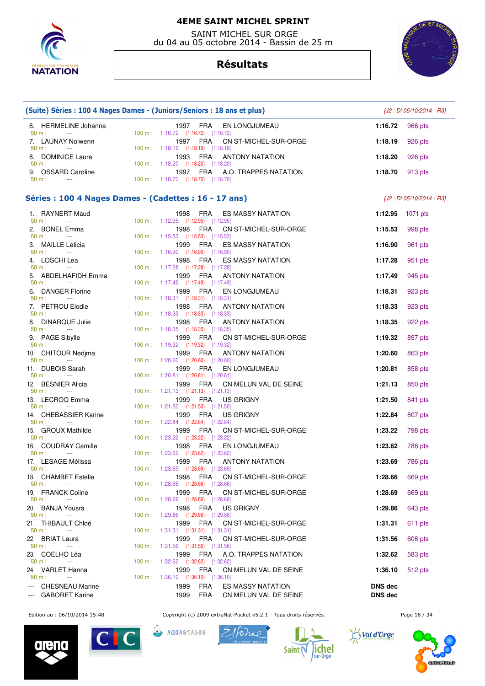

 SAINT MICHEL SUR ORGE du 04 au 05 octobre 2014 - Bassin de 25 m

# **Résultats**



| (Suite) Séries : 100 4 Nages Dames - (Juniors/Seniors : 18 ans et plus) |                                                                          |            |                          |                | [J2 : Di 05/10/2014 - R3] |
|-------------------------------------------------------------------------|--------------------------------------------------------------------------|------------|--------------------------|----------------|---------------------------|
| 6. HERMELINE Johanna<br>50 m:<br>$\sim$ $\sim$                          | 1997<br>100 m: 1:16.72 (1:16.72) [1:16.72]                               | FRA        | EN LONGJUMEAU            | 1:16.72        | 966 pts                   |
| 7. LAUNAY Nolwenn<br>$50 m$ :<br>$\sim$ $\sim$ $\sim$                   | 100 m: 1:18.19 (1:18.19) [1:18.19]                                       | 1997 FRA   | CN ST-MICHEL-SUR-ORGE    | 1:18.19        | 926 pts                   |
| 8. DOMINICE Laura<br>$50 m$ :                                           | 1993                                                                     | FRA        | <b>ANTONY NATATION</b>   | 1:18.20        | 926 pts                   |
| $\sim$ $\sim$ $\sim$<br>9. OSSARD Caroline<br>50 m:<br>$\sim$ $\sim$    | 100 m: 1:18.20 (1:18.20) [1:18.20]<br>100 m: 1:18.70 (1:18.70) [1:18.70] | 1997 FRA   | A.O. TRAPPES NATATION    | 1:18.70        | 913 pts                   |
|                                                                         |                                                                          |            |                          |                |                           |
| Séries : 100 4 Nages Dames - (Cadettes : 16 - 17 ans)                   |                                                                          |            |                          |                | [J2 : Di 05/10/2014 - R3] |
| 1. RAYNERT Maud<br>50 m:<br>$\sim$ $\sim$                               | 1998<br>100 m: 1:12.95 (1:12.95) [1:12.95]                               | FRA        | <b>ES MASSY NATATION</b> | 1:12.95        | 1071 pts                  |
| 2. BONEL Emma<br>50 m:<br>$\sim 100$ mass $^{-1}$                       | 1998<br>100 m: 1:15.53 (1:15.53) [1:15.53]                               | FRA        | CN ST-MICHEL-SUR-ORGE    | 1:15.53        | 998 pts                   |
| 3. MAILLE Leticia                                                       | 1999                                                                     | FRA        | <b>ES MASSY NATATION</b> | 1:16.90        | 961 pts                   |
| $50 m$ :<br>$\sim$ $\sim$<br>4. LOSCHI Lea                              | 100 m: 1:16.90 (1:16.90) [1:16.90]<br>1998                               | FRA        | <b>ES MASSY NATATION</b> | 1:17.28        | 951 pts                   |
| 50 m:<br>$\sim$ 1000 $\mu$<br>5. ABDELHAFIDH Emma                       | 100 m: 1:17.28 (1:17.28) [1:17.28]                                       | 1999 FRA   | <b>ANTONY NATATION</b>   | 1:17.49        | 945 pts                   |
| 50 m:<br>$\sim$ $\sim$                                                  | 100 m: 1:17.49 (1:17.49) [1:17.49]                                       |            |                          |                |                           |
| 6. DANGER Florine<br>50 m:<br>$\sim$ 100 $\mu$                          | 1999<br>100 m: 1:18.31 (1:18.31) [1:18.31]                               | FRA        | EN LONGJUMEAU            | 1:18.31        | 923 pts                   |
| 7. PETROU Elodie<br>50 m:<br>$\sim$ 1000 $\mu$                          | 1998<br>100 m: 1:18.33 (1:18.33) [1:18.33]                               | <b>FRA</b> | <b>ANTONY NATATION</b>   | 1:18.33        | 923 pts                   |
| 8. DINARQUE Julie                                                       | 1998                                                                     | FRA        | <b>ANTONY NATATION</b>   | 1:18.35        | 922 pts                   |
| $50 m$ :<br><b>Contractor</b><br>9. PAGE Sibylle                        | 100 m: 1:18.35 (1:18.35) [1:18.35]<br>1999                               | FRA        | CN ST-MICHEL-SUR-ORGE    | 1:19.32        | 897 pts                   |
| 50 m:<br><b>Contract Contract</b><br>10. CHITOUR Nedjma                 | 100 m: 1:19.32 (1:19.32) [1:19.32]<br>1999                               | <b>FRA</b> | <b>ANTONY NATATION</b>   | 1:20.60        | 863 pts                   |
| 50 m:<br>$\sim$ $\sim$                                                  | 100 m: 1:20.60 (1:20.60) [1:20.60]                                       |            |                          |                |                           |
| 11. DUBOIS Sarah<br>50 m:<br>$\sim$ 1000 $\pm$                          | 1999<br>100 m: 1:20.81 (1:20.81) [1:20.81]                               | FRA        | EN LONGJUMEAU            | 1:20.81        | 858 pts                   |
| <b>BESNIER Alicia</b><br>12.<br>50 m:<br>$\sim$ $\sim$                  | 1999<br>100 m: 1:21.13 (1:21.13) [1:21.13]                               | FRA        | CN MELUN VAL DE SEINE    | 1:21.13        | 850 pts                   |
| 13. LECROQ Emma                                                         | 1999                                                                     | FRA        | <b>US GRIGNY</b>         | 1:21.50        | 841 pts                   |
| 50 m:<br>$\sim$ $\sim$<br>14. CHEBASSIER Karine                         | 100 m: 1:21.50 (1:21.50) [1:21.50]<br>1999                               | FRA        | <b>US GRIGNY</b>         | 1:22.84        | 807 pts                   |
| 50 m:<br>$\sim$ $\sim$<br>15. GROUX Mathilde                            | 100 m: 1:22.84 (1:22.84) [1:22.84]<br>1999                               | FRA        | CN ST-MICHEL-SUR-ORGE    | 1:23.22        | 798 pts                   |
| 50 m:                                                                   | 100 m: 1:23.22 (1:23.22) [1:23.22]                                       |            |                          |                |                           |
| 16. COUDRAY Camille<br>50 m:<br>$- - -$                                 | 1998<br>100 m: 1:23.62 (1:23.62) [1:23.62]                               | FRA        | EN LONGJUMEAU            | 1:23.62        | 788 pts                   |
| 17. LESAGE Mélissa<br>$50 m$ :<br>$\sim 100$ and $\sim 100$             | 1999<br>100 m : 1:23.69 (1:23.69) [1:23.69]                              | FRA        | <b>ANTONY NATATION</b>   | 1:23.69        | 786 pts                   |
| 18. CHAMBET Estelle<br>50 m:<br>$\sim$ 0.000 $\mu$                      | 1998<br>100 m: 1:28.66 (1:28.66) [1:28.66]                               | FRA        | CN ST-MICHEL-SUR-ORGE    | 1:28.66        | 669 pts                   |
| 19. FRANCK Coline                                                       | 1999                                                                     | FRA        | CN ST-MICHEL-SUR-ORGE    | 1:28.69        | 669 pts                   |
| 50 m:<br>$\sim 100$ mass $^{-1}$<br>20. BANJA Yousra                    | 100 m: 1:28.69 (1:28.69) [1:28.69]<br>1998                               | FRA        | <b>US GRIGNY</b>         | 1:29.86        | 643 pts                   |
| 50 m:<br>$\sim 100$ mass $^{-1}$<br>21. THIBAULT Chloé                  | 100 m: 1:29.86 (1:29.86) [1:29.86]                                       |            |                          |                |                           |
| $50 m$ :<br><b>Contract</b>                                             | 1999<br>100 m : 1:31.31 (1:31.31) [1:31.31]                              | FRA        | CN ST-MICHEL-SUR-ORGE    | 1:31.31        | 611 pts                   |
| 22. BRIAT Laura<br>50 m:<br>$\sim 100$ mass $^{-1}$                     | 1999<br>100 m: 1:31.56 (1:31.56) [1:31.56]                               | <b>FRA</b> | CN ST-MICHEL-SUR-ORGE    | 1:31.56        | 606 pts                   |
| 23. COELHO Léa<br>$50 m$ :<br>$\sim$ $\sim$                             | 1999<br>100 m: 1:32.62 (1:32.62) [1:32.62]                               | FRA        | A.O. TRAPPES NATATION    | 1:32.62        | 583 pts                   |
| 24. VARLET Hanna<br>50 m:<br>$\sim$ $\sim$                              | 1999<br>100 m: 1:36.10 (1:36.10) [1:36.10]                               | FRA        | CN MELUN VAL DE SEINE    | 1:36.10        | 512 pts                   |
| <b>CHESNEAU Marine</b>                                                  | 1999                                                                     | FRA        | <b>ES MASSY NATATION</b> | <b>DNS dec</b> |                           |
| --- GABORET Karine                                                      | 1999                                                                     | FRA        | CN MELUN VAL DE SEINE    | <b>DNS</b> dec |                           |

Edition au : 06/10/2014 15:48 Copyright (c) 2009 extraNat-Pocket v5.2.1 - Tous droits réservés. Page 16 / 34







 $\widehat{\mathbb{D}}$ AQUASTAGES







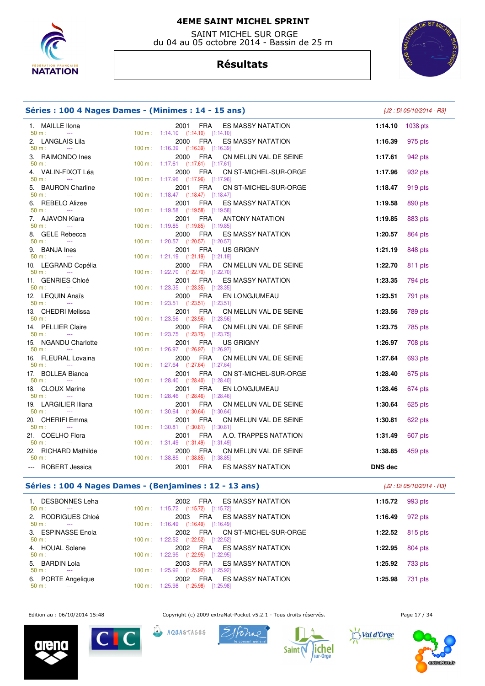

 SAINT MICHEL SUR ORGE du 04 au 05 octobre 2014 - Bassin de 25 m

# **Résultats**



| Séries : 100 4 Nages Dames - (Minimes : 14 - 15 ans)      |  |                                                                                    |                | [J2 : Di 05/10/2014 - R3] |
|-----------------------------------------------------------|--|------------------------------------------------------------------------------------|----------------|---------------------------|
| 1. MAILLE Ilona                                           |  | 2001<br>FRA<br><b>ES MASSY NATATION</b>                                            | 1:14.10        | 1038 pts                  |
| 50 m:<br>$\sim$<br>2. LANGLAIS Lila                       |  | 100 m: 1:14.10 (1:14.10) [1:14.10]<br>FRA<br>ES MASSY NATATION<br>2000             | 1:16.39        | 975 pts                   |
| 50 m:<br>$\sim 100$ and $\sim 100$                        |  | 100 m: 1:16.39 (1:16.39) [1:16.39]                                                 |                |                           |
| 3. RAIMONDO Ines                                          |  | FRA<br>CN MELUN VAL DE SEINE<br>2000                                               | 1:17.61        | 942 pts                   |
| 50 m:<br><b>Contractor</b>                                |  | 100 m: 1:17.61 (1:17.61) [1:17.61]                                                 |                |                           |
| 4. VALIN-FIXOT Léa<br>$50 m$ :<br>$\sim 100$ mass $^{-1}$ |  | CN ST-MICHEL-SUR-ORGE<br>2000<br>FRA<br>100 m: 1:17.96 (1:17.96) [1:17.96]         | 1:17.96        | 932 pts                   |
| 5. BAURON Charline                                        |  | 2001<br>FRA<br>CN ST-MICHEL-SUR-ORGE                                               | 1:18.47        | 919 pts                   |
| 50 m:<br>$\sim$ 1000 $\mu$                                |  | 100 m: 1:18.47 (1:18.47) [1:18.47]                                                 |                |                           |
| 6. REBELO Alizee                                          |  | 2001<br>FRA<br><b>ES MASSY NATATION</b>                                            | 1:19.58        | 890 pts                   |
| $50 m$ :<br><b>College</b>                                |  | 100 m: 1:19.58 (1:19.58) [1:19.58]                                                 |                |                           |
| 7. AJAVON Kiara<br>50 m:<br>$\sim 100$                    |  | <b>FRA</b><br><b>ANTONY NATATION</b><br>2001<br>100 m: 1:19.85 (1:19.85) [1:19.85] | 1:19.85        | 883 pts                   |
| 8. GELE Rebecca                                           |  | FRA<br>ES MASSY NATATION<br>2000                                                   | 1:20.57        | 864 pts                   |
| $50 m$ :<br>$\sim$ 1000 $\mu$                             |  | 100 m: 1:20.57 (1:20.57) [1:20.57]                                                 |                |                           |
| 9. BANJA Ines                                             |  | 2001<br>FRA<br>US GRIGNY                                                           | 1:21.19        | 848 pts                   |
| $50 m$ :<br>$\sim 100$ mass $^{-1}$                       |  | 100 m: 1:21.19 (1:21.19) [1:21.19]                                                 |                |                           |
| 10. LEGRAND Copélia                                       |  | FRA<br>CN MELUN VAL DE SEINE<br>2000                                               | 1:22.70        | 811 pts                   |
| 50 m:<br><b>State State</b><br>11. GENRIES Chloé          |  | 100 m: 1:22.70 (1:22.70) [1:22.70]<br>2001<br>FRA<br>ES MASSY NATATION             | 1:23.35        | 794 pts                   |
| 50 m:<br><b>Contractor</b>                                |  | 100 m: 1:23.35 (1:23.35) [1:23.35]                                                 |                |                           |
| 12. LEQUIN Anaïs                                          |  | FRA<br>2000<br>EN LONGJUMEAU                                                       | 1:23.51        | 791 pts                   |
| 50 m:<br>$\sim 10^{11}$ and $\sim 10^{11}$                |  | 100 m: 1:23.51 (1:23.51) [1:23.51]                                                 |                |                           |
| 13. CHEDRI Melissa                                        |  | FRA<br>CN MELUN VAL DE SEINE<br>2001                                               | 1:23.56        | 789 pts                   |
| $50 m$ :<br><b>College</b>                                |  | 100 m: 1:23.56 (1:23.56) [1:23.56]                                                 |                |                           |
| 14. PELLIER Claire<br>$50 m$ :<br>$\sim 100$ mass $^{-1}$ |  | FRA<br>2000<br>CN MELUN VAL DE SEINE<br>100 m: 1:23.75 (1:23.75) [1:23.75]         | 1:23.75        | 785 pts                   |
| 15. NGANDU Charlotte                                      |  | 2001<br>FRA<br><b>US GRIGNY</b>                                                    | 1:26.97        | 708 pts                   |
| $50 m$ :<br>$\sim$ 1000 $\mu$                             |  | 100 m: 1:26.97 (1:26.97) [1:26.97]                                                 |                |                           |
| 16. FLEURAL Lovaina                                       |  | 2000<br>FRA<br>CN MELUN VAL DE SEINE                                               | 1:27.64        | 693 pts                   |
| $50 m$ :<br>$\sim 100$ mass $^{-1}$                       |  | 100 m: 1:27.64 (1:27.64) [1:27.64]                                                 |                |                           |
| 17. BOLLEA Bianca<br>$50 m$ :<br>$\sim 100$               |  | <b>FRA</b><br>CN ST-MICHEL-SUR-ORGE<br>2001<br>100 m: 1:28.40 (1:28.40) [1:28.40]  | 1:28.40        | 675 pts                   |
| 18. CLOUX Marine                                          |  | 2001<br><b>FRA</b><br>EN LONGJUMEAU                                                | 1:28.46        | 674 pts                   |
| $50 m$ :<br>$\sim 100$ and $\sim 100$                     |  | 100 m: 1:28.46 (1:28.46) [1:28.46]                                                 |                |                           |
| 19. LARGILIER Iliana                                      |  | 2001<br><b>FRA</b><br>CN MELUN VAL DE SEINE                                        | 1:30.64        | 625 pts                   |
| 50 m:<br>$\sim 10^{11}$ and $\sim 10^{11}$                |  | 100 m: 1:30.64 (1:30.64) [1:30.64]                                                 |                |                           |
| 20. CHERIFI Emma                                          |  | 2001<br>FRA<br>CN MELUN VAL DE SEINE                                               | 1:30.81        | 622 pts                   |
| $50 m$ :<br>$\sim$<br>21. COELHO Flora                    |  | 100 m: 1:30.81 (1:30.81) [1:30.81]<br><b>FRA</b><br>2001<br>A.O. TRAPPES NATATION  | 1:31.49        |                           |
| 50 m:<br><b>Contract Contract</b>                         |  | 100 m: 1:31.49 (1:31.49) [1:31.49]                                                 |                | 607 pts                   |
| 22. RICHARD Mathilde                                      |  | FRA<br>CN MELUN VAL DE SEINE<br>2000                                               | 1:38.85        | 459 pts                   |
| $50 m$ :<br>$\sim$                                        |  | 100 m: 1:38.85 (1:38.85) [1:38.85]                                                 |                |                           |
| --- ROBERT Jessica                                        |  | <b>FRA</b><br>2001<br><b>ES MASSY NATATION</b>                                     | <b>DNS</b> dec |                           |
|                                                           |  |                                                                                    |                |                           |

# **Séries : 100 4 Nages Dames - (Benjamines : 12 - 13 ans)** [J2 : Di 05/10/2014 - R3]

| 1. DESBONNES Leha<br>$50 m$ :<br>$- - -$           | ES MASSY NATATION<br>2002<br>FRA<br>$(1:15.72)$ $[1:15.72]$<br>$100 \text{ m}: 1:15.72$        | 1:15.72 | 993 pts |
|----------------------------------------------------|------------------------------------------------------------------------------------------------|---------|---------|
| 2. RODRIGUES Chloé<br>$50 m$ :<br>$- - -$          | ES MASSY NATATION<br>2003<br><b>FRA</b><br>$100 \text{ m}: 1:16.49$<br>$(1:16.49)$ $[1:16.49]$ | 1:16.49 | 972 pts |
| 3. ESPINASSE Enola<br>50 m:<br>$- - -$             | CN ST-MICHEL-SUR-ORGE<br>2002<br>FRA<br>(1:22.52)<br>$100 \text{ m}$ : 1:22.52<br>[1:22.52]    | 1:22.52 | 815 pts |
| 4. HOUAL Solene<br>$50 m$ :<br>$\sim$ $\sim$       | ES MASSY NATATION<br>FRA<br>2002<br>(1:22.95)<br>$100 \text{ m}: 1:22.95$<br>[1:22.95]         | 1:22.95 | 804 pts |
| 5. BARDIN Lola<br>$50 m$ :<br>$\sim$ $\sim$ $\sim$ | ES MASSY NATATION<br><b>FRA</b><br>2003<br>(1:25.92)<br>100 m: 1:25.92<br>[1:25.92]            | 1:25.92 | 733 pts |
| 6. PORTE Angelique<br>$50 m$ :<br>$\sim$ $\sim$    | <b>ES MASSY NATATION</b><br><b>FRA</b><br>2002<br>(1:25.98)<br>[1:25.98]<br>100 m: 1:25.98     | 1:25.98 | 731 pts |

Edition au : 06/10/2014 15:48 Copyright (c) 2009 extraNat-Pocket v5.2.1 - Tous droits réservés. Page 17 / 34











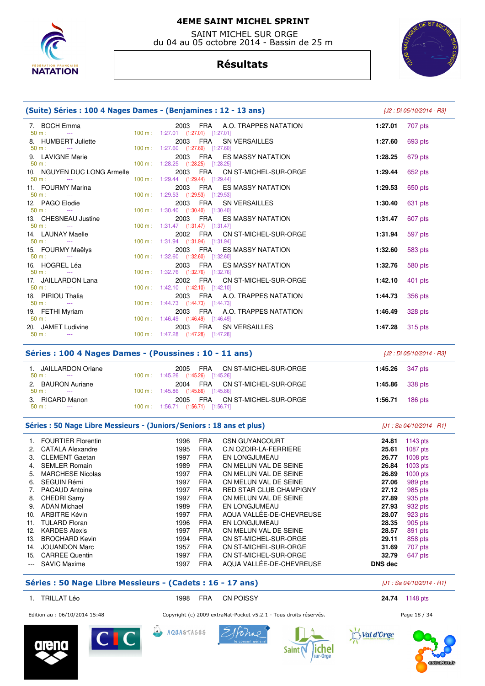

 SAINT MICHEL SUR ORGE du 04 au 05 octobre 2014 - Bassin de 25 m

# **Résultats**



| (Suite) Séries : 100 4 Nages Dames - (Benjamines : 12 - 13 ans)                     |  |                                                                                   |         | [J2 : Di 05/10/2014 - R3] |  |
|-------------------------------------------------------------------------------------|--|-----------------------------------------------------------------------------------|---------|---------------------------|--|
| 7. BOCH Emma<br>$50 m$ :<br><b>Service</b>                                          |  | 2003 FRA A.O. TRAPPES NATATION<br>100 m: 1:27.01 (1:27.01) [1:27.01]              | 1:27.01 | 707 pts                   |  |
| 8. HUMBERT Juliette                                                                 |  | 2003 FRA<br><b>SN VERSAILLES</b>                                                  | 1:27.60 | 693 pts                   |  |
| $50 m$ :<br><b>Contractor</b><br>9. LAVIGNE Marie                                   |  | 100 m: 1:27.60 (1:27.60) [1:27.60]<br>2003 FRA<br><b>ES MASSY NATATION</b>        | 1:28.25 | 679 pts                   |  |
| $50 m$ :<br><b>Contract</b><br>10. NGUYEN DUC LONG Armelle                          |  | 100 m: 1:28.25 (1:28.25) [1:28.25]<br>2003 FRA<br>CN ST-MICHEL-SUR-ORGE           | 1:29.44 | 652 pts                   |  |
| $50 m$ :<br><b>Contract Contract</b><br>11. FOURMY Marina                           |  | 100 m: 1:29.44 (1:29.44) [1:29.44]<br>2003 FRA<br>ES MASSY NATATION               | 1:29.53 | 650 pts                   |  |
| $50 m$ :<br><b>Contractor</b><br>12. PAGO Elodie                                    |  | 100 m: 1:29.53 (1:29.53) [1:29.53]<br>2003 FRA<br><b>SN VERSAILLES</b>            | 1:30.40 | 631 pts                   |  |
| $50 m$ :<br><b>Contract Contract</b><br>13. CHESNEAU Justine                        |  | 100 m: 1:30.40 (1:30.40) [1:30.40]<br>2003 FRA<br><b>ES MASSY NATATION</b>        | 1:31.47 | 607 pts                   |  |
| $50 m$ :<br><b>Contract Contract</b><br>14. LAUNAY Maelle                           |  | 100 m: 1:31.47 (1:31.47) [1:31.47]<br>2002 FRA CN ST-MICHEL-SUR-ORGE              | 1:31.94 | 597 pts                   |  |
| $50 m$ :<br>$\sim 100$ and $\sim 100$<br>15. FOURMY Maëlys                          |  | 100 m: 1:31.94 (1:31.94) [1:31.94]<br>2003 FRA<br><b>ES MASSY NATATION</b>        | 1:32.60 | 583 pts                   |  |
| $50 m$ :<br>$\sim 100$ mass $^{-1}$<br>16. HOGREL Léa                               |  | 100 m: 1:32.60 (1:32.60) [1:32.60]<br>ES MASSY NATATION<br>2003 FRA               | 1:32.76 | 580 pts                   |  |
| $50 m$ :<br>$\sim$ $\sim$<br>17. JAILLARDON Lana                                    |  | 100 m: 1:32.76 (1:32.76) [1:32.76]<br>CN ST-MICHEL-SUR-ORGE<br>2002 FRA           | 1:42.10 | 401 pts                   |  |
| $50 m$ :<br><b>Contract Contract</b><br>18. PIRIOU Thalia                           |  | 100 m: 1:42.10 (1:42.10) [1:42.10]<br>A.O. TRAPPES NATATION<br>2003<br>FRA        | 1:44.73 | 356 pts                   |  |
| $50 m$ :<br>$\sim 100$ mass $^{-1}$<br>19. FETHI Myriam                             |  | 100 m: 1:44.73 (1:44.73) [1:44.73]<br>2003 FRA A.O. TRAPPES NATATION              | 1:46.49 | 328 pts                   |  |
| $50 m$ :<br>$\sim$ $\sim$<br>20. JAMET Ludivine                                     |  | 100 m: 1:46.49 (1:46.49) [1:46.49]<br>2003 FRA SN VERSAILLES                      | 1:47.28 | 315 pts                   |  |
| $50 m$ :<br><b>Contract Contract</b>                                                |  | 100 m: 1:47.28 (1:47.28) [1:47.28]                                                |         |                           |  |
| Séries : 100 4 Nages Dames - (Poussines : 10 - 11 ans)<br>[J2 : Di 05/10/2014 - R3] |  |                                                                                   |         |                           |  |
| 1. JAILLARDON Oriane<br>$50 m:$ ---                                                 |  | <b>FRA</b><br>CN ST-MICHEL-SUR-ORGE<br>2005<br>100 m: 1:45.26 (1:45.26) [1:45.26] | 1:45.26 | 347 pts                   |  |
| 2. BAURON Auriane<br>$50 m$ :<br><b>Contract Contract</b>                           |  | <b>FRA</b><br>2004<br>CN ST-MICHEL-SUR-ORGE<br>100 m: 1:45.86 (1:45.86) [1:45.86] | 1:45.86 | 338 pts                   |  |
| 3. RICARD Manon                                                                     |  | 2005<br><b>FRA</b><br>CN ST-MICHEL-SUR-ORGE                                       | 1:56.71 | 186 pts                   |  |

# Séries : 50 Nage Libre Messieurs - (Juniors/Seniors : 18 ans et plus)  $[J1:Sa 04/10/2014 - RI]$

50 m : --- 100 m : 1:56.71 (1:56.71) [1:56.71]

|         | <b>FOURTIER Florentin</b> | 1996 | <b>FRA</b> | <b>CSN GUYANCOURT</b>          | 24.81          | 1143 $pts$ |
|---------|---------------------------|------|------------|--------------------------------|----------------|------------|
| 2.      | <b>CATALA Alexandre</b>   | 1995 | <b>FRA</b> | C.N OZOIR-LA-FERRIERE          | 25.61          | $1087$ pts |
| 3.      | <b>CLEMENT Gaetan</b>     | 1997 | <b>FRA</b> | <b>EN LONGJUMEAU</b>           | 26.77          | $1008$ pts |
| 4.      | <b>SEMLER Romain</b>      | 1989 | <b>FRA</b> | CN MELUN VAL DE SEINE          | 26.84          | $1003$ pts |
| 5.      | <b>MARCHESE Nicolas</b>   | 1997 | <b>FRA</b> | CN MELUN VAL DE SEINE          | 26.89          | $1000$ pts |
| 6.      | SEGUIN Rémi               | 1997 | <b>FRA</b> | CN MELUN VAL DE SEINE          | 27.06          | 989 pts    |
|         | <b>PACAUD Antoine</b>     | 1997 | <b>FRA</b> | <b>RED STAR CLUB CHAMPIGNY</b> | 27.12          | 985 pts    |
| 8.      | CHEDRI Samy               | 1997 | <b>FRA</b> | CN MELUN VAL DE SEINE          | 27.89          | 935 pts    |
| 9.      | <b>ADAN Michael</b>       | 1989 | <b>FRA</b> | EN LONGJUMEAU                  | 27.93          | 932 pts    |
| 10.     | <b>ARBITRE Kévin</b>      | 1997 | <b>FRA</b> | AQUA VALLÉE-DE-CHEVREUSE       | 28.07          | 923 pts    |
| 11.     | <b>TULARD Floran</b>      | 1996 | <b>FRA</b> | <b>EN LONGJUMEAU</b>           | 28.35          | 905 pts    |
| 12.     | <b>KARDES Alexis</b>      | 1997 | <b>FRA</b> | CN MELUN VAL DE SEINE          | 28.57          | 891 pts    |
| 13.     | <b>BROCHARD Kevin</b>     | 1994 | <b>FRA</b> | CN ST-MICHEL-SUR-ORGE          | 29.11          | 858 pts    |
| 14.     | <b>JOUANDON Marc</b>      | 1957 | <b>FRA</b> | CN ST-MICHEL-SUR-ORGE          | 31.69          | 707 pts    |
| 15.     | <b>CARREE Quentin</b>     | 1997 | <b>FRA</b> | CN ST-MICHEL-SUR-ORGE          | 32.79          | 647 pts    |
| $- - -$ | <b>SAVIC Maxime</b>       | 1997 | <b>FRA</b> | AQUA VALLÉE-DE-CHEVREUSE       | <b>DNS dec</b> |            |

#### Séries : 50 Nage Libre Messieurs - (Cadets : 16 - 17 ans)

|  | [J1 : Sa 04/10/2014 - R1] |  |
|--|---------------------------|--|
|  |                           |  |

| TRILLAT Léo                   | FRA<br>1998       | <b>CN POISSY</b>                                                  | 24.74<br>1148 pts |
|-------------------------------|-------------------|-------------------------------------------------------------------|-------------------|
| Edition au : 06/10/2014 15:48 |                   | Copyright (c) 2009 extraNat-Pocket v5.2.1 - Tous droits réservés. | Page 18 / 34      |
| <b>No. 15</b>                 | AQUASTAGES<br>کتہ | Florap?                                                           |                   |









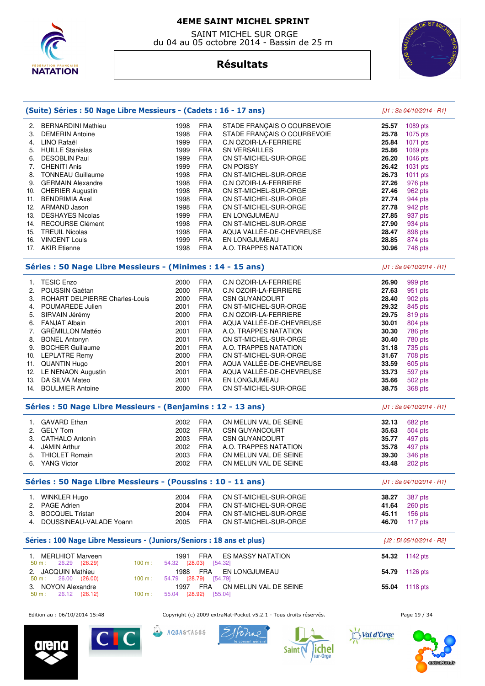

 SAINT MICHEL SUR ORGE du 04 au 05 octobre 2014 - Bassin de 25 m



# **Résultats**

| (Suite) Séries : 50 Nage Libre Messieurs - (Cadets : 16 - 17 ans)      |                               |            |                                    |       | [J1 : Sa 04/10/2014 - R1]  |
|------------------------------------------------------------------------|-------------------------------|------------|------------------------------------|-------|----------------------------|
| <b>BERNARDINI Mathieu</b><br>2.                                        | 1998                          | <b>FRA</b> | STADE FRANÇAIS O COURBEVOIE        | 25.57 | 1089 pts                   |
| <b>DEMERIN Antoine</b><br>3.                                           | 1998                          | <b>FRA</b> | STADE FRANÇAIS O COURBEVOIE        | 25.78 | 1075 pts                   |
| LINO Rafaël<br>4.                                                      | 1999                          | <b>FRA</b> | C.N OZOIR-LA-FERRIERE              | 25.84 | 1071 pts                   |
| 5.<br><b>HUILLE Stanislas</b>                                          | 1999                          | <b>FRA</b> | SN VERSAILLES                      | 25.86 | 1069 pts                   |
| <b>DESOBLIN Paul</b><br>6.                                             | 1999                          | <b>FRA</b> | CN ST-MICHEL-SUR-ORGE              | 26.20 | 1046 pts                   |
| 7.<br><b>CHENITI Anis</b>                                              | 1999                          | <b>FRA</b> | <b>CN POISSY</b>                   | 26.42 | 1031 pts                   |
| 8.<br><b>TONNEAU Guillaume</b>                                         | 1998                          | <b>FRA</b> | CN ST-MICHEL-SUR-ORGE              | 26.73 | 1011 pts                   |
| 9.<br><b>GERMAIN Alexandre</b>                                         | 1998                          | <b>FRA</b> | C.N OZOIR-LA-FERRIERE              | 27.26 | 976 pts                    |
| 10. CHERIER Augustin                                                   | 1998                          | <b>FRA</b> | CN ST-MICHEL-SUR-ORGE              | 27.46 | 962 pts                    |
| <b>BENDRIMIA Axel</b><br>11.                                           | 1998                          | <b>FRA</b> | CN ST-MICHEL-SUR-ORGE              | 27.74 | 944 pts                    |
| 12. ARMAND Jason                                                       | 1998                          | <b>FRA</b> | CN ST-MICHEL-SUR-ORGE              | 27.78 | 942 pts                    |
| <b>DESHAYES Nicolas</b><br>13.                                         | 1999                          | <b>FRA</b> | EN LONGJUMEAU                      | 27.85 | 937 pts                    |
| 14. RECOURSE Clément                                                   | 1998                          | <b>FRA</b> | CN ST-MICHEL-SUR-ORGE              | 27.90 | 934 pts                    |
| 15. TREUIL Nicolas                                                     | 1998                          | <b>FRA</b> | AQUA VALLÉE-DE-CHEVREUSE           | 28.47 | 898 pts                    |
| <b>VINCENT Louis</b><br>16.                                            | 1999                          | <b>FRA</b> | EN LONGJUMEAU                      | 28.85 | 874 pts                    |
| 17. AKIR Etienne                                                       | 1998                          | <b>FRA</b> | A.O. TRAPPES NATATION              | 30.96 | 748 pts                    |
| Séries : 50 Nage Libre Messieurs - (Minimes : 14 - 15 ans)             |                               |            |                                    |       | $[J1: Sa 04/10/2014 - R1]$ |
| <b>TESIC Enzo</b><br>1.                                                | 2000                          | <b>FRA</b> | C.N OZOIR-LA-FERRIERE              | 26.90 | 999 pts                    |
| POUSSIN Gaétan<br>2.                                                   | 2000                          | <b>FRA</b> | C.N OZOIR-LA-FERRIERE              | 27.63 | 951 pts                    |
| 3.<br>ROHART DELPIERRE Charles-Louis                                   | 2000                          | <b>FRA</b> | CSN GUYANCOURT                     | 28.40 | 902 pts                    |
| POUMAREDE Julien<br>4.                                                 | 2001                          | <b>FRA</b> | CN ST-MICHEL-SUR-ORGE              | 29.32 | 845 pts                    |
| SIRVAIN Jérémy<br>5.                                                   | 2000                          | <b>FRA</b> | C.N OZOIR-LA-FERRIERE              | 29.75 | 819 pts                    |
| <b>FANJAT Albain</b><br>6.                                             | 2001                          | <b>FRA</b> | AQUA VALLÉE-DE-CHEVREUSE           | 30.01 | 804 pts                    |
| <b>GRÉMILLON Mattéo</b><br>7.                                          | 2001                          | <b>FRA</b> | A.O. TRAPPES NATATION              | 30.30 | 786 pts                    |
| 8.<br><b>BONEL Antonyn</b>                                             | 2001                          | <b>FRA</b> | CN ST-MICHEL-SUR-ORGE              | 30.40 | 780 pts                    |
| 9.<br><b>BOCHER Guillaume</b>                                          | 2001                          | <b>FRA</b> | A.O. TRAPPES NATATION              | 31.18 | 735 pts                    |
| <b>LEPLATRE Remy</b><br>10.                                            | 2000                          | <b>FRA</b> | CN ST-MICHEL-SUR-ORGE              | 31.67 | 708 pts                    |
| 11. QUANTIN Hugo                                                       | 2001                          | <b>FRA</b> | AQUA VALLÉE-DE-CHEVREUSE           | 33.59 | 605 pts                    |
| 12. LE NENAON Augustin                                                 | 2001                          | <b>FRA</b> | AQUA VALLÉE-DE-CHEVREUSE           | 33.73 | 597 pts                    |
| DA SILVA Mateo<br>13.                                                  | 2001                          | <b>FRA</b> | EN LONGJUMEAU                      | 35.66 | 502 pts                    |
| 14. BOULMIER Antoine                                                   | 2000                          | <b>FRA</b> | CN ST-MICHEL-SUR-ORGE              | 38.75 | 368 pts                    |
| Séries : 50 Nage Libre Messieurs - (Benjamins : 12 - 13 ans)           |                               |            |                                    |       | [J1 : Sa 04/10/2014 - R1]  |
| 1. GAVARD Ethan                                                        | 2002                          | <b>FRA</b> | CN MELUN VAL DE SEINE              | 32.13 | 682 pts                    |
| <b>GELY Tom</b><br>2.                                                  | 2002                          | <b>FRA</b> | <b>CSN GUYANCOURT</b>              | 35.63 | 504 pts                    |
| <b>CATHALO Antonin</b><br>3.                                           | 2003                          | <b>FRA</b> | <b>CSN GUYANCOURT</b>              | 35.77 | 497 pts                    |
| <b>JAMIN Arthur</b><br>4.                                              | 2002                          | <b>FRA</b> | A.O. TRAPPES NATATION              | 35.78 | 497 pts                    |
| 5.<br><b>THIOLET Romain</b>                                            | 2003                          | <b>FRA</b> | CN MELUN VAL DE SEINE              | 39.30 | 346 pts                    |
| 6.<br><b>YANG Victor</b>                                               | 2002                          | <b>FRA</b> | CN MELUN VAL DE SEINE              | 43.48 | 202 pts                    |
| Séries : 50 Nage Libre Messieurs - (Poussins : 10 - 11 ans)            |                               |            |                                    |       | [J1 : Sa 04/10/2014 - R1]  |
| 1. WINKLER Hugo                                                        | 2004                          | <b>FRA</b> | CN ST-MICHEL-SUR-ORGE              | 38.27 | 387 pts                    |
| 2. PAGE Adrien                                                         | 2004                          | <b>FRA</b> | CN ST-MICHEL-SUR-ORGE              | 41.64 | 260 pts                    |
| 3. BOCQUEL Tristan                                                     | 2004                          | <b>FRA</b> | CN ST-MICHEL-SUR-ORGE              | 45.11 | 156 pts                    |
| DOUSSINEAU-VALADE Yoann<br>4.                                          | 2005                          | <b>FRA</b> | CN ST-MICHEL-SUR-ORGE              | 46.70 | 117 pts                    |
| Séries : 100 Nage Libre Messieurs - (Juniors/Seniors : 18 ans et plus) |                               |            |                                    |       | [J2 : Di 05/10/2014 - R2]  |
| 1. MERLHIOT Marveen<br>100 m:<br>50 m:<br>26.29 (26.29)                | 1991<br>54.32 (28.03) [54.32] | FRA        | <b>ES MASSY NATATION</b>           |       | <b>54.32</b> 1142 pts      |
| 2. JACQUIN Mathieu<br>100 m:<br>50 m:<br>26.00 (26.00)                 | 1988<br>54.79 (28.79) [54.79] | FRA        | EN LONGJUMEAU                      | 54.79 | 1126 pts                   |
| <b>NOYON Alexandre</b><br>3.<br>26.12 (26.12)<br>100 m:<br>50 m:       | 1997<br>55.04 (28.92)         | FRA        | CN MELUN VAL DE SEINE<br>$[55.04]$ | 55.04 | $1118$ pts                 |
|                                                                        |                               |            |                                    |       |                            |

Edition au : 06/10/2014 15:48 Copyright (c) 2009 extraNat-Pocket v5.2.1 - Tous droits réservés. Page 19 / 34









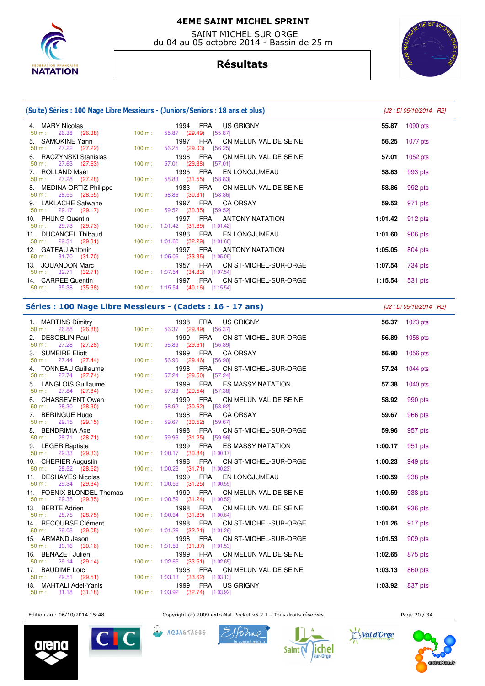

 SAINT MICHEL SUR ORGE du 04 au 05 octobre 2014 - Bassin de 25 m

# **Résultats**



|                                                           | (Suite) Séries : 100 Nage Libre Messieurs - (Juniors/Seniors : 18 ans et plus) | [J2 : Di 05/10/2014 - R2 |
|-----------------------------------------------------------|--------------------------------------------------------------------------------|--------------------------|
| 4. MARY Nicolas<br>$50 \text{ m}: 26.38 (26.38)$          | 1994 FRA US GRIGNY<br>55.87 (29.49) [55.87]<br>100 m:                          | 55.87<br>1090 $pts$      |
| 5. SAMOKINE Yann<br>$50 \text{ m}: 27.22 (27.22)$         | FRA CN MELUN VAL DE SEINE<br>1997<br>100 m:<br>56.25 (29.03) [56.25]           | 1077 pts<br>56.25        |
| 6. RACZYNSKI Stanislas<br>$50 \text{ m}: 27.63 (27.63)$   | 1996 FRA CN MELUN VAL DE SEINE<br>57.01 (29.38) [57.01]<br>$100 \text{ m}$ :   | 1052 pts<br>57.01        |
| 7. ROLLAND Maël<br>$50 \text{ m}: 27.28 (27.28)$          | FRA EN LONGJUMEAU<br>1995<br>58.83 (31.55) [58.83]<br>100 m:                   | 993 pts<br>58.83         |
| 8. MEDINA ORTIZ Philippe<br>$50 \text{ m}: 28.55 (28.55)$ | 1983 FRA CN MELUN VAL DE SEINE<br>58.86 (30.31) [58.86]<br>$100 \text{ m}$ :   | 992 pts<br>58.86         |
| 9. LAKLACHE Safwane<br>$50 \text{ m}: 29.17 (29.17)$      | 1997<br>FRA CAORSAY<br>59.52 (30.35) [59.52]<br>100 m:                         | 971 pts<br>59.52         |
| 10. PHUNG Quentin<br>$50 \text{ m}: 29.73 (29.73)$        | FRA ANTONY NATATION<br>1997<br>100 m: 1:01.42 (31.69) [1:01.42]                | 912 pts<br>1:01.42       |
| 11. DUCANCEL Thibaud<br>$50 \text{ m}: 29.31 (29.31)$     | 1986 FRA EN LONGJUMEAU<br>100 m: 1:01.60 (32.29) [1:01.60]                     | 906 pts<br>1:01.60       |
| 12 GATFAII Antonin                                        | 1997 FRA ANTONY NATATION                                                       | $1.05.05$ 804 nts        |

| 12. GATEAU Antonin            | 1997 FRA ANTONY NATATION                    | 1:05.05 $804$ pts      |  |
|-------------------------------|---------------------------------------------|------------------------|--|
| 50 m : 31.70 (31.70)          | $100 \text{ m}$ : 1:05.05 (33.35) [1:05.05] |                        |  |
| 13. JOUANDON Marc             | 1957 FRA CN ST-MICHEL-SUR-ORGE              | <b>1:07.54</b> 734 pts |  |
| $50 \text{ m}: 32.71 (32.71)$ | 100 m : 1:07.54 (34.83) [1:07.54]           |                        |  |
| 14. CARREE Quentin            | 1997 FRA CN ST-MICHEL-SUR-ORGE              | <b>1:15.54</b> 531 pts |  |
| $50 \text{ m}: 35.38 (35.38)$ | $100 \text{ m}: 1:15.54$ (40.16) [1:15.54]  |                        |  |
|                               |                                             |                        |  |

## **Séries : 100 Nage Libre Messieurs - (Cadets : 16 - 17 ans)** [J2 : Di 05/10/2014 - R2]

| 1. MARTINS Dimitry<br>50 m : 26.88 (26.88) 100 m :                                                                                                                                                                         |                   | 1998 FRA US GRIGNY<br>56.37 (29.49) [56.37]                                                                |                    | 56.37 1073 pts     |
|----------------------------------------------------------------------------------------------------------------------------------------------------------------------------------------------------------------------------|-------------------|------------------------------------------------------------------------------------------------------------|--------------------|--------------------|
| 2. DESOBLIN Paul<br>50 m : 27.28 (27.28) 100 m :                                                                                                                                                                           |                   | 1999 FRA CN ST-MICHEL-SUR-ORGE<br>56.89 (29.61) [56.89]                                                    |                    | 56.89 1056 pts     |
| 3. SUMEIRE Eliott<br>3. SUMEIRE Eliott<br>50 m : 27.44 (27.44)                                                                                                                                                             | $100 m$ :         | 1999 FRA CAORSAY<br>56.90 (29.46) [56.90]                                                                  | 56.90              | 1056 pts           |
| 4. TONNEAU Guillaume<br>$50 m$ : 27.74 (27.74)                                                                                                                                                                             | 100 m:            | 1998 FRA CN ST-MICHEL-SUR-ORGE<br>57.24 (29.50) [57.24]                                                    | 57.24              | 1044 pts           |
| 5. LANGLOIS Guillaume<br>$50 \text{ m}: 27.84 (27.84)$                                                                                                                                                                     | 100 m:            | 1999 FRA ES MASSY NATATION<br>57.38 (29.54) [57.38]                                                        | 57.38              | 1040 pts           |
| 6. CHASSEVENT Owen<br>$50 \text{ m}: \quad 28.30 \quad (28.30)$                                                                                                                                                            | $100 \text{ m}$ : | 1999 FRA CN MELUN VAL DE SEINE<br>58.92 (30.62) [58.92]                                                    | 58.92              | 990 pts            |
| 7. BERINGUE Hugo<br>$50 \text{ m}: 29.15 (29.15)$                                                                                                                                                                          | 100 m:            | 1998 FRA CA ORSAY<br>59.67 (30.52) [59.67]                                                                 | 59.67              | 966 pts            |
| 8. BENDRIMIA Axel<br>$50 \text{ m}: 28.71 (28.71)$                                                                                                                                                                         | 100 m:            | 1998 FRA CN ST-MICHEL-SUR-ORGE<br>59.96 (31.25) [59.96]                                                    | 59.96              | 957 pts            |
| 9. LEGER Baptiste<br>$50 \text{ m}$ : 29.33 (29.33)<br>10. CHERIER Augustin<br>$50 \text{ m}$ : 28.52 (28.52)                                                                                                              |                   | 1999 FRA ES MASSY NATATION<br>100 m: 1:00.17 (30.84) [1:00.17]                                             | 1:00.17            | 951 pts            |
|                                                                                                                                                                                                                            |                   | 1998 FRA CN ST-MICHEL-SUR-ORGE<br>$100 \text{ m}: 1:00.23$ (31.71) [1:00.23]                               | 1:00.23            | 949 pts            |
| 11. DESHAYES Nicolas<br>$50 \text{ m}: 29.34 (29.34)$                                                                                                                                                                      |                   | 1999 FRA<br>EN LONGJUMEAU<br>100 m: 1:00.59 (31.25) [1:00.59]                                              | 1:00.59            | 938 pts            |
| 11. FOENIX BLONDEL Thomas<br>$50 \text{ m}: 29.35 (29.35)$                                                                                                                                                                 |                   | CN MELUN VAL DE SEINE<br>1999 FRA<br>100 m: 1:00.59 (31.24) [1:00.59]                                      | 1:00.59            | 938 pts            |
| 13. BERTE Adrien<br>$50 \text{ m}: 28.75 (28.75)$                                                                                                                                                                          |                   | 1998 FRA<br>CN MELUN VAL DE SEINE<br>100 m: 1:00.64 (31.89) [1:00.64]<br>1998 FRA<br>CN ST-MICHEL-SUR-ORGE | 1:00.64<br>1:01.26 | 936 pts<br>917 pts |
| 14. RECOURSE Clément<br>50 m : 29.05 (29.05)<br>15. ARMAND Jason                                                                                                                                                           |                   | 100 m: 1:01.26 (32.21) [1:01.26]<br>1998 FRA CN ST-MICHEL-SUR-ORGE                                         | 1:01.53            | 909 pts            |
| 1998 FRA CN 1998 FRA CN 1998 FRA CN 1998 FRA CN 100 m : 1:01.53 (31.37) [1:01.53]                                                                                                                                          |                   | CN MELUN VAL DE SEINE                                                                                      | 1:02.65            | 875 pts            |
| 16. BENAZET Julien 100 m : 1999 FRA CN 50 m : 29.14 (29.14) 100 m : 1:02.65 (33.51) [1:02.65]                                                                                                                              |                   | 1998 FRA CN MELUN VAL DE SEINE                                                                             | 1:03.13            | 860 pts            |
| $\frac{50 \text{ m}}{17}$ 80.14 (29.14)<br>$\frac{50 \text{ m}}{29.51}$ (29.51)<br>$\frac{100 \text{ m}}{100 \text{ m}}$ 1.03.13 (33.62) [1.03.13]<br>100 m: 1.03.13 (33.62) [1.03.31]<br>100 m: 1.03.92 (32.74) [1.03.92] |                   | 1999 FRA US GRIGNY                                                                                         | 1:03.92 837 pts    |                    |
|                                                                                                                                                                                                                            |                   |                                                                                                            |                    |                    |

Edition au : 06/10/2014 15:48 Copyright (c) 2009 extraNat-Pocket v5.2.1 - Tous droits réservés. Page 20 / 34











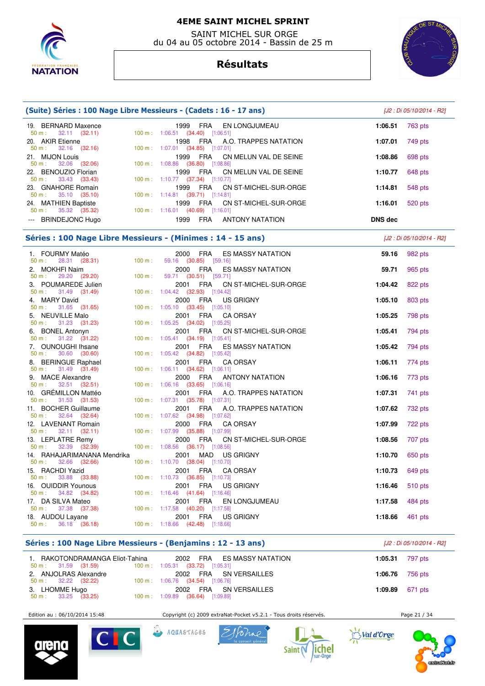

 SAINT MICHEL SUR ORGE du 04 au 05 octobre 2014 - Bassin de 25 m

# **Résultats**



| 19. BERNARD Maxence<br>$50 m$ :<br>$32.11$ $(32.11)$     |        | 1999<br>FRA<br>EN LONGJUMEAU<br>100 m: 1:06.51 (34.40) [1:06.51]                   | 1:06.51        | 763 pts                   |
|----------------------------------------------------------|--------|------------------------------------------------------------------------------------|----------------|---------------------------|
| 20. AKIR Etienne                                         |        | FRA<br>1998<br>A.O. TRAPPES NATATION                                               | 1:07.01        | 749 pts                   |
| $32.16$ $(32.16)$<br>$50 m$ :<br>21. MIJON Louis         |        | 100 m: 1:07.01 (34.85) [1:07.01]<br><b>FRA</b><br>1999<br>CN MELUN VAL DE SEINE    | 1:08.86        | 698 pts                   |
| $50 m$ :<br>32.06 (32.06)<br>22. BENOUZIO Florian        |        | 100 m: 1:08.86 (36.80) [1:08.86]<br><b>FRA</b><br>1999<br>CN MELUN VAL DE SEINE    | 1:10.77        | 648 pts                   |
| 33.43 (33.43)<br>$50 m$ :<br>23. GNAHORE Romain          |        | 100 m: 1:10.77 (37.34) [1:10.77]<br><b>FRA</b><br>1999<br>CN ST-MICHEL-SUR-ORGE    | 1:14.81        | 548 pts                   |
| 35.10 (35.10)<br>50 m:                                   |        | 100 m: 1:14.81 (39.71) [1:14.81]                                                   |                |                           |
| 24. MATHIEN Baptiste<br>50 m:<br>35.32 (35.32)           |        | FRA<br>1999<br>CN ST-MICHEL-SUR-ORGE<br>100 m: 1:16.01 (40.69) [1:16.01]           | 1:16.01        | 520 pts                   |
| --- BRINDEJONC Hugo                                      |        | <b>FRA</b><br>1999<br><b>ANTONY NATATION</b>                                       | <b>DNS dec</b> |                           |
|                                                          |        | Séries : 100 Nage Libre Messieurs - (Minimes : 14 - 15 ans)                        |                | [J2 : Di 05/10/2014 - R2] |
| 1. FOURMY Matéo<br>$50 m$ :<br>28.31 (28.31)             | 100 m: | 2000<br><b>FRA</b><br><b>ES MASSY NATATION</b><br>59.16 (30.85) [59.16]            | 59.16          | 982 pts                   |
| 2. MOKHFI Naim<br>$50 m$ :                               | 100 m: | 2000 FRA<br>ES MASSY NATATION                                                      | 59.71          | 965 pts                   |
| 29.20 (29.20)<br>3. POUMAREDE Julien                     |        | 59.71 (30.51) [59.71]<br><b>FRA</b><br>2001<br>CN ST-MICHEL-SUR-ORGE               | 1:04.42        | 822 pts                   |
| 31.49 (31.49)<br>50 m:                                   |        | 100 m: 1:04.42 (32.93) [1:04.42]                                                   |                |                           |
| 4. MARY David<br>31.65 (31.65)<br>$50 m$ :               |        | FRA<br>2000<br>US GRIGNY<br>100 m: 1:05.10 (33.45) [1:05.10]                       | 1:05.10        | 803 pts                   |
| 5. NEUVILLE Malo                                         |        | <b>FRA</b><br>2001<br><b>CA ORSAY</b>                                              | 1:05.25        | 798 pts                   |
| $50 m$ :<br>31.23 (31.23)<br>6. BONEL Antonyn            |        | 100 m: 1:05.25 (34.02) [1:05.25]<br><b>FRA</b><br>2001<br>CN ST-MICHEL-SUR-ORGE    | 1:05.41        | 794 pts                   |
| 31.22 (31.22)<br>50 m:                                   |        | 100 m: 1:05.41 (34.19) [1:05.41]                                                   |                |                           |
| 7. OUNOUGHI Ihsane<br>30.60 (30.60)<br>$50 m$ :          |        | <b>FRA</b><br>2001<br><b>ES MASSY NATATION</b><br>100 m: 1:05.42 (34.82) [1:05.42] | 1:05.42        | 794 pts                   |
| 8. BERINGUE Raphael<br>31.49 (31.49)<br>50 m:            |        | <b>FRA</b><br>2001<br>CA ORSAY<br>100 m: 1:06.11 (34.62) [1:06.11]                 | 1:06.11        | 774 pts                   |
| 9. MACE Alexandre<br>$32.51$ $(32.51)$<br>50 m:          |        | FRA<br><b>ANTONY NATATION</b><br>2000<br>100 m: 1:06.16 (33.65) [1:06.16]          | 1:06.16        | 773 pts                   |
| 10. GRÉMILLON Mattéo                                     |        | <b>FRA</b><br>2001<br>A.O. TRAPPES NATATION                                        | 1:07.31        | 741 pts                   |
| 31.53 (31.53)<br>50 m:                                   |        | 100 m: 1:07.31 (35.78) [1:07.31]                                                   |                |                           |
| 11. BOCHER Guillaume<br>$50 m$ :<br>32.64 (32.64)        |        | FRA<br>2001<br>A.O. TRAPPES NATATION<br>100 m: 1:07.62 (34.98) [1:07.62]           | 1:07.62        | 732 pts                   |
| 12. LAVENANT Romain                                      |        | FRA<br>2000<br><b>CA ORSAY</b>                                                     | 1:07.99        | 722 pts                   |
| 32.11<br>50 m:<br>(32.11)<br>13. LEPLATRE Remy           |        | 100 m: 1:07.99 (35.88) [1:07.99]<br><b>FRA</b><br>2000<br>CN ST-MICHEL-SUR-ORGE    | 1:08.56        | 707 pts                   |
| 32.39 (32.39)<br>50 m:                                   |        | 100 m: 1:08.56 (36.17) [1:08.56]                                                   |                |                           |
| 14. RAHAJARIMANANA Mendrika<br>$50 m$ :<br>32.66 (32.66) |        | <b>MAD</b><br>2001<br><b>US GRIGNY</b><br>100 m: 1:10.70 (38.04) [1:10.70]         | 1:10.70        | 650 pts                   |
| 15. RACHDI Yazid<br>33.88 (33.88)<br>50 m:               |        | 2001<br>FRA<br><b>CA ORSAY</b><br>100 m: 1:10.73 (36.85) [1:10.73]                 | 1:10.73        | 649 pts                   |
| 16. OUIDDIR Younous                                      |        | 2001<br>FRA<br><b>US GRIGNY</b>                                                    | 1:16.46        | 510 pts                   |
| 34.82 (34.82)<br>50 m:                                   |        | $100 \text{ m}: 1:16.46$ (41.64) [1:16.46]                                         |                |                           |
| 17. DA SILVA Mateo<br>37.38 (37.38)<br>50 m:             |        | FRA<br>2001<br>EN LONGJUMEAU<br>100 m: 1:17.58 (40.20) [1:17.58]                   | 1:17.58        | 484 pts                   |
| 18. AUDOU Layane<br>36.18 (36.18)<br>50 m:               |        | FRA<br><b>US GRIGNY</b><br>2001<br>100 m: 1:18.66 (42.48) [1:18.66]                | 1:18.66        | 461 pts                   |

# **(Suite) Séries : 100 Nage Libre Messieurs - (Cadets : 16 - 17 ans)** [J2 : Di 05/10/2014 - R2]

**Séries : 100 Nage Libre Messieurs - (Benjamins : 12 - 13 ans)** [J2 : Di 05/10/2014 - R2]

| 1. RAKOTONDRAMANGA Eliot-Tahina                                                  | 2002 FRA ES MASSY NATATION                                                                      | <b>1:05.31</b> 797 pts |  |
|----------------------------------------------------------------------------------|-------------------------------------------------------------------------------------------------|------------------------|--|
| 50 m : 31.59 (31.59) 100 m : 1:05.31 (33.72) [1:05.31]<br>2. ANJOLRAS Alexandre  | 2002 FRA SN VERSAILLES                                                                          | <b>1:06.76</b> 756 pts |  |
| $50 \text{ m}: 32.22 (32.22)$<br>3. LHOMME Hugo<br>$50 \text{ m}: 33.25 (33.25)$ | 100 m : 1:06.76 (34.54) [1:06.76]<br>2002 FRA SN VERSAILLES<br>100 m: 1:09.89 (36.64) [1:09.89] | <b>1:09.89</b> 671 pts |  |

Edition au : 06/10/2014 15:48 Copyright (c) 2009 extraNat-Pocket v5.2.1 - Tous droits réservés. Page 21 / 34

Hohne









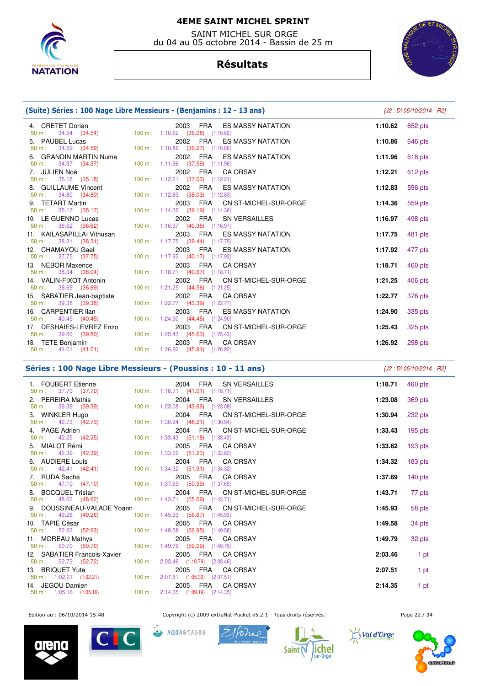

 SAINT MICHEL SUR ORGE du 04 au 05 octobre 2014 - Bassin de 25 m

# **Résultats**



| (Suite) Séries : 100 Nage Libre Messieurs - (Benjamins : 12 - 13 ans)       |                                                                                                        | [J2 : Di 05/10/2014 - R2] |         |
|-----------------------------------------------------------------------------|--------------------------------------------------------------------------------------------------------|---------------------------|---------|
| 4. CRETET Dorian<br>$50 \text{ m}: 34.54 (34.54)$                           | 2003 FRA ES MASSY NATATION<br>100 m: 1:10.62 (36.08) [1:10.62]                                         | 1:10.62                   | 652 pts |
| 5. PAUBEL Lucas<br>$50 \text{ m}: 34.59 (34.59)$                            | 2002 FRA ES MASSY NATATION<br>100 m: 1:10.86 (36.27) [1:10.86]                                         | 1:10.86                   | 646 pts |
| 6. GRANDIN MARTIN Numa<br>50 m:<br>34.37 (34.37)                            | 2002 FRA ES MASSY NATATION<br>100 m: 1:11.96 (37.59) [1:11.96]                                         | 1:11.96                   | 618 pts |
| 7. JULIEN Noé                                                               | 2002 FRA CAORSAY<br>100 m: 1:12.21 (37.03) [1:12.21]                                                   | 1:12.21                   | 612 pts |
| $50 \text{ m}: 35.18 (35.18)$<br>8. GUILLAUME Vincent                       | 2002 FRA ES MASSY NATATION                                                                             | 1:12.83                   | 596 pts |
| $50 \text{ m}: 34.80 (34.80)$<br>9. TETART Martin<br>50 m:<br>35.17 (35.17) | 100 m: 1:12.83 (38.03) [1:12.83]<br>2003 FRA CN ST-MICHEL-SUR-ORGE<br>100 m: 1:14.36 (39.19) [1:14.36] | 1:14.36                   | 559 pts |
| 10. LE GUENNO Lucas<br>$50 \text{ m}: 36.62 (36.62)$                        | 2002 FRA SN VERSAILLES<br>100 m: 1:16.97 (40.35) [1:16.97]                                             | 1:16.97                   | 498 pts |
| 11. KAILASAPILLAI Vithusan<br>$50 m$ :                                      | 2003 FRA ES MASSY NATATION<br>100 m: 1:17.75 (39.44) [1:17.75]                                         | 1:17.75                   | 481 pts |
| 38.31 (38.31)<br>12. CHAMAYOU Gael<br>50 m : 37.75 (37.75)                  | 2003 FRA ES MASSY NATATION<br>100 m: 1:17.92 (40.17) [1:17.92]                                         | 1:17.92                   | 477 pts |
| 13. NEBOR Maxence<br>50 m : 38.04 (38.04)                                   | 2003 FRA CA ORSAY<br>100 m: 1:18.71 (40.67) [1:18.71]                                                  | 1:18.71                   | 460 pts |
| 14. VALIN-FIXOT Antonin<br>$50 \text{ m}: 36.69 (36.69)$                    | 2002 FRA CN ST-MICHEL-SUR-ORGE<br>100 m: 1:21.25 (44.56) [1:21.25]                                     | 1:21.25                   | 406 pts |
| 15. SABATIER Jean-baptiste<br>$50 \text{ m}: 39.38 (39.38)$                 | 2002 FRA CA ORSAY<br>100 m: 1:22.77 (43.39) [1:22.77]                                                  | 1:22.77                   | 376 pts |
| 16. CARPENTIER IIan<br>$50 \text{ m}: 40.45 (40.45)$                        | 2003 FRA ES MASSY NATATION<br>100 m: 1:24.90 (44.45) [1:24.90]                                         | 1:24.90                   | 335 pts |
| 17. DESHAIES-LEVREZ Enzo<br>$50 \text{ m}: 39.80 (39.80)$                   | 2003 FRA CN ST-MICHEL-SUR-ORGE<br>100 m: 1:25.43 (45.63) [1:25.43]                                     | 1:25.43                   | 325 pts |
| 18. TETE Benjamin<br>50 m : 41.01 (41.01) 100 m : 1:26.92 (45.91) [1:26.92] | 2003 FRA CA ORSAY                                                                                      | 1:26.92                   | 298 pts |

## **Séries : 100 Nage Libre Messieurs - (Poussins : 10 - 11 ans)** [J2 : Di 05/10/2014 - R2]

|                                                                                                                                                                                                                                      | 2004 FRA SN VERSAILLES         | 1:18.71 $460 \text{ pts}$ |           |
|--------------------------------------------------------------------------------------------------------------------------------------------------------------------------------------------------------------------------------------|--------------------------------|---------------------------|-----------|
|                                                                                                                                                                                                                                      |                                |                           |           |
| 2. PEREIRA Mathis<br>50 m : 39.39 (39.39) 100 m : 1:23.08 (43.69) [1:23.08]                                                                                                                                                          | 2004 FRA SN VERSAILLES         | 1:23.08 369 pts           |           |
|                                                                                                                                                                                                                                      | 2004 FRA CN ST-MICHEL-SUR-ORGE | 1:30.94                   | 232 pts   |
| <b>3. WINKLER Hugo 2004 FRA CN</b><br><b>50 m</b> : 42.73 (42.73) 100 m: 1:30.94 (48.21) [1:30.94]                                                                                                                                   |                                |                           |           |
| <b>4.</b> PAGE Adrien 2004 FRA CN:<br>50 m : 42.25 (42.25) 100 m : 1:33.43 (51.18) [1:33.43]                                                                                                                                         | 2004 FRA CN ST-MICHEL-SUR-ORGE | 1:33.43 $195 \text{ pts}$ |           |
|                                                                                                                                                                                                                                      |                                |                           |           |
| 5. MIALOT Rémi<br>50 m : 42.39 (42.39) 100 m : 1:33.62 (51.23) [1:33.62]                                                                                                                                                             | 2005 FRA CA ORSAY              | 1:33.62 193 pts           |           |
|                                                                                                                                                                                                                                      |                                |                           |           |
| 6. AUDIERE Louis<br>50 m : 42.41 (42.41) 100 m : 1:34.32 (51.91) [1:34.32]                                                                                                                                                           | 2004 FRA CAORSAY               | 1:34.32 $183 \text{ pts}$ |           |
|                                                                                                                                                                                                                                      | 2005 FRA CA ORSAY              | 1:37.69                   | 140 $pts$ |
|                                                                                                                                                                                                                                      |                                |                           |           |
| 8. BOCQUEL Tristan <b>Bank Contract Contract Contract Contract Contract Contract Contract Contract Contract Contract Contract Contract Contract Contract Contract Contract Contract Contract Contract Contract Contract Contract</b> | 2004 FRA CN ST-MICHEL-SUR-ORGE | 1:43.71                   | 77 pts    |
| 50 m : 48.62 (48.62) 100 m : 1:43.71 (55.09) [1:43.71]                                                                                                                                                                               |                                |                           |           |
| 9. DOUSSINEAU-VALADE Yoann                                                                                                                                                                                                           | 2005 FRA CN ST-MICHEL-SUR-ORGE | 1:45.93                   | 58 pts    |
| 50 m : 49.26 (49.26) 100 m : 1:45.93 (56.67) [1:45.93]                                                                                                                                                                               |                                |                           |           |
|                                                                                                                                                                                                                                      | 2005 FRA CA ORSAY              | 1:49.58                   | 34 pts    |
| 11. MOREAU Mathys                                                                                                                                                                                                                    | 2005 FRA CA ORSAY              |                           |           |
| 50 m : 50.70 (50.70) 100 m : 1:49.79 (59.09) [1:49.79]                                                                                                                                                                               |                                | 1:49.79                   | 32 pts    |
| 12. SABATIER Francois-Xavier                                                                                                                                                                                                         | 2005 FRA CA ORSAY              | 2:03.46                   | 1 pt      |
| 50 m : 52.72 (52.72) 100 m : 2:03.46 (1:10.74) [2:03.46]                                                                                                                                                                             |                                |                           |           |
| 13. BRIQUET Yuta $2005$ FRA CA $50$ m: $1:02.21$ $(1:02.21)$ $100$ m: $2:07.51$ $(1:05.30)$ $[2:07.51]$                                                                                                                              | 2005 FRA CA ORSAY              | 2:07.51                   | 1 pt      |
|                                                                                                                                                                                                                                      |                                |                           |           |
| 14. JEGOU Damien 2005 FRA CA<br>50 m : 1:05.16 (1:05.16) 100 m : 2:14.35 (1:09.19) [2:14.35]                                                                                                                                         | 2005 FRA CAORSAY               | 2:14.35                   | 1 pt      |
|                                                                                                                                                                                                                                      |                                |                           |           |

Edition au : 06/10/2014 15:48 Copyright (c) 2009 extraNat-Pocket v5.2.1 - Tous droits réservés. Page 22 / 34



Val d'Orge











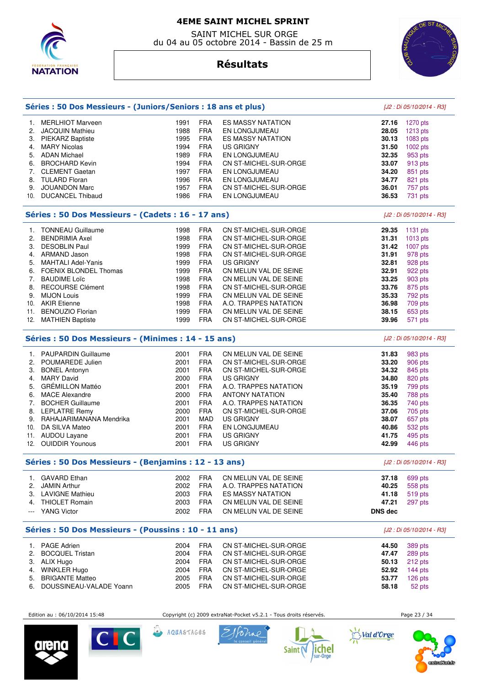

 SAINT MICHEL SUR ORGE du 04 au 05 octobre 2014 - Bassin de 25 m



# **Résultats**

|          | Séries : 50 Dos Messieurs - (Juniors/Seniors : 18 ans et plus) |      |                           |                          |                | [J2 : Di 05/10/2014 - R3] |
|----------|----------------------------------------------------------------|------|---------------------------|--------------------------|----------------|---------------------------|
|          | 1. MERLHIOT Marveen                                            | 1991 | <b>FRA</b>                | <b>ES MASSY NATATION</b> | 27.16          | 1270 pts                  |
| 2.       | <b>JACQUIN Mathieu</b>                                         | 1988 | <b>FRA</b>                | EN LONGJUMEAU            | 28.05          | 1213 pts                  |
| 3.       | PIEKARZ Baptiste                                               | 1995 | <b>FRA</b>                | <b>ES MASSY NATATION</b> | 30.13          | 1083 pts                  |
| 4.       | <b>MARY Nicolas</b>                                            | 1994 | <b>FRA</b>                | US GRIGNY                | 31.50          |                           |
|          |                                                                |      | <b>FRA</b>                |                          |                | 1002 pts                  |
| 5.       | <b>ADAN Michael</b>                                            | 1989 |                           | EN LONGJUMEAU            | 32.35          | 953 pts                   |
| 6.       | <b>BROCHARD Kevin</b>                                          | 1994 | <b>FRA</b>                | CN ST-MICHEL-SUR-ORGE    | 33.07          | 913 pts                   |
| 7.       | <b>CLEMENT Gaetan</b>                                          | 1997 | <b>FRA</b>                | EN LONGJUMEAU            | 34.20          | 851 pts                   |
| 8.       | <b>TULARD Floran</b>                                           | 1996 | <b>FRA</b>                | EN LONGJUMEAU            | 34.77          | 821 pts                   |
| 9.       | <b>JOUANDON Marc</b>                                           | 1957 | <b>FRA</b>                | CN ST-MICHEL-SUR-ORGE    | 36.01          | 757 pts                   |
| 10.      | <b>DUCANCEL Thibaud</b>                                        | 1986 | <b>FRA</b>                | EN LONGJUMEAU            | 36.53          | 731 pts                   |
|          | Séries : 50 Dos Messieurs - (Cadets : 16 - 17 ans)             |      | [J2 : Di 05/10/2014 - R3] |                          |                |                           |
| 1.       | <b>TONNEAU Guillaume</b>                                       | 1998 | <b>FRA</b>                | CN ST-MICHEL-SUR-ORGE    | 29.35          | 1131 pts                  |
| 2.       | <b>BENDRIMIA Axel</b>                                          | 1998 | <b>FRA</b>                | CN ST-MICHEL-SUR-ORGE    | 31.31          | 1013 pts                  |
| 3.       | <b>DESOBLIN Paul</b>                                           | 1999 | <b>FRA</b>                | CN ST-MICHEL-SUR-ORGE    | 31.42          | 1007 pts                  |
|          | 4. ARMAND Jason                                                | 1998 | <b>FRA</b>                | CN ST-MICHEL-SUR-ORGE    | 31.91          | 978 pts                   |
| 5.       | <b>MAHTALI Adel-Yanis</b>                                      | 1999 | <b>FRA</b>                | <b>US GRIGNY</b>         | 32.81          | 928 pts                   |
| 6.       | FOENIX BLONDEL Thomas                                          | 1999 | <b>FRA</b>                | CN MELUN VAL DE SEINE    | 32.91          |                           |
|          |                                                                |      | <b>FRA</b>                |                          | 33.25          | 922 pts                   |
| 7.       | <b>BAUDIME Loïc</b>                                            | 1998 |                           | CN MELUN VAL DE SEINE    |                | 903 pts                   |
| 8.       | <b>RECOURSE Clément</b>                                        | 1998 | <b>FRA</b>                | CN ST-MICHEL-SUR-ORGE    | 33.76          | 875 pts                   |
| 9.       | <b>MIJON Louis</b>                                             | 1999 | <b>FRA</b>                | CN MELUN VAL DE SEINE    | 35.33          | 792 pts                   |
|          | 10. AKIR Etienne                                               | 1998 | <b>FRA</b>                | A.O. TRAPPES NATATION    | 36.98          | 709 pts                   |
| 11.      | <b>BENOUZIO Florian</b>                                        | 1999 | <b>FRA</b>                | CN MELUN VAL DE SEINE    | 38.15          | 653 pts                   |
| 12.      | <b>MATHIEN Baptiste</b>                                        | 1999 | <b>FRA</b>                | CN ST-MICHEL-SUR-ORGE    | 39.96          | 571 pts                   |
|          | Séries : 50 Dos Messieurs - (Minimes : 14 - 15 ans)            |      |                           |                          |                | [J2 : Di 05/10/2014 - R3] |
| 1.       | <b>PAUPARDIN Guillaume</b>                                     | 2001 | <b>FRA</b>                | CN MELUN VAL DE SEINE    | 31.83          | 983 pts                   |
| 2.       | POUMAREDE Julien                                               | 2001 | <b>FRA</b>                | CN ST-MICHEL-SUR-ORGE    | 33.20          | 906 pts                   |
| 3.       | <b>BONEL Antonyn</b>                                           | 2001 | <b>FRA</b>                | CN ST-MICHEL-SUR-ORGE    | 34.32          | 845 pts                   |
| 4.       | <b>MARY David</b>                                              | 2000 | <b>FRA</b>                | US GRIGNY                | 34.80          | 820 pts                   |
| 5.       | GRÉMILLON Mattéo                                               | 2001 | <b>FRA</b>                | A.O. TRAPPES NATATION    | 35.19          | 799 pts                   |
|          |                                                                |      |                           |                          |                |                           |
| 6.       | <b>MACE Alexandre</b>                                          | 2000 | <b>FRA</b>                | <b>ANTONY NATATION</b>   | 35.40          | 788 pts                   |
| 7.       | <b>BOCHER Guillaume</b>                                        | 2001 | <b>FRA</b>                | A.O. TRAPPES NATATION    | 36.35          | 740 pts                   |
| 8.       | <b>LEPLATRE Remy</b>                                           | 2000 | <b>FRA</b>                | CN ST-MICHEL-SUR-ORGE    | 37.06          | 705 pts                   |
| 9.       | RAHAJARIMANANA Mendrika                                        | 2001 | MAD                       | <b>US GRIGNY</b>         | 38.07          | 657 pts                   |
| 10.      | DA SILVA Mateo                                                 | 2001 | <b>FRA</b>                | EN LONGJUMEAU            | 40.86          | 532 pts                   |
|          | 11. AUDOU Layane                                               | 2001 | <b>FRA</b>                | <b>US GRIGNY</b>         | 41.75          | 495 pts                   |
|          | 12. OUIDDIR Younous                                            | 2001 | <b>FRA</b>                | <b>US GRIGNY</b>         | 42.99          | 446 pts                   |
|          | Séries : 50 Dos Messieurs - (Benjamins : 12 - 13 ans)          |      |                           |                          |                | [J2 : Di 05/10/2014 - R3] |
|          | 1. GAVARD Ethan                                                | 2002 | <b>FRA</b>                | CN MELUN VAL DE SEINE    | 37.18          | 699 pts                   |
|          | 2. JAMIN Arthur                                                | 2002 | <b>FRA</b>                | A.O. TRAPPES NATATION    | 40.25          | 558 pts                   |
|          | 3. LAVIGNE Mathieu                                             | 2003 | <b>FRA</b>                | <b>ES MASSY NATATION</b> | 41.18          | 519 pts                   |
|          | 4. THIOLET Romain                                              | 2003 | <b>FRA</b>                | CN MELUN VAL DE SEINE    | 47.21          | 297 pts                   |
|          |                                                                |      |                           |                          |                |                           |
| $\cdots$ | <b>YANG Victor</b>                                             | 2002 | <b>FRA</b>                | CN MELUN VAL DE SEINE    | <b>DNS dec</b> |                           |
|          | Séries : 50 Dos Messieurs - (Poussins : 10 - 11 ans)           |      |                           |                          |                | [J2 : Di 05/10/2014 - R3] |
| 1.       | <b>PAGE Adrien</b>                                             | 2004 | <b>FRA</b>                | CN ST-MICHEL-SUR-ORGE    | 44.50          | 389 pts                   |
| 2.       | <b>BOCQUEL Tristan</b>                                         | 2004 | <b>FRA</b>                | CN ST-MICHEL-SUR-ORGE    | 47.47          | 289 pts                   |
|          | 3. ALIX Hugo                                                   | 2004 | <b>FRA</b>                | CN ST-MICHEL-SUR-ORGE    | 50.13          | 212 pts                   |
|          | 4. WINKLER Hugo                                                | 2004 | <b>FRA</b>                | CN ST-MICHEL-SUR-ORGE    | 52.92          | 144 pts                   |
| 5.       | <b>BRIGANTE Matteo</b>                                         | 2005 | <b>FRA</b>                | CN ST-MICHEL-SUR-ORGE    | 53.77          | 126 pts                   |
| 6.       | DOUSSINEAU-VALADE Yoann                                        | 2005 | <b>FRA</b>                | CN ST-MICHEL-SUR-ORGE    | 58.18          |                           |
|          |                                                                |      |                           |                          |                | 52 pts                    |
|          |                                                                |      |                           |                          |                |                           |

Edition au : 06/10/2014 15:48 Copyright (c) 2009 extraNat-Pocket v5.2.1 - Tous droits réservés. Page 23 / 34



CIC

AQUASTAGES





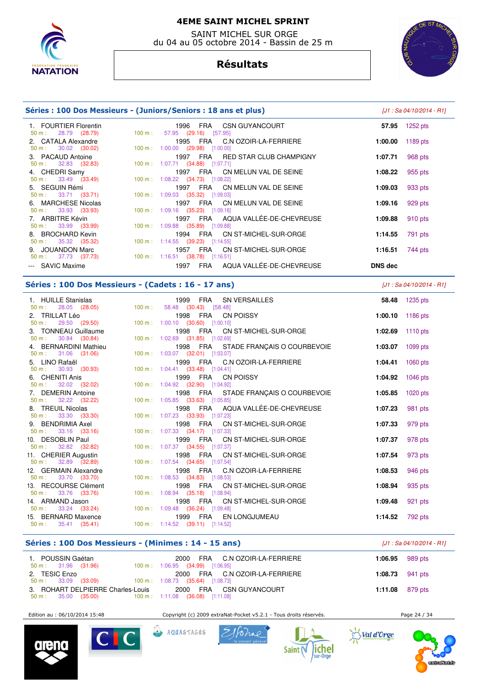

 SAINT MICHEL SUR ORGE du 04 au 05 octobre 2014 - Bassin de 25 m

# **Résultats**



| Séries : 100 Dos Messieurs - (Juniors/Seniors : 18 ans et plus) |                   | [J1 : Sa 04/10/2014 - R1]                                                       |                |            |
|-----------------------------------------------------------------|-------------------|---------------------------------------------------------------------------------|----------------|------------|
| 1. FOURTIER Florentin<br>$50 \text{ m}: 28.79 (28.79)$          | $100 \text{ m}$ : | 1996<br>FRA CSN GUYANCOURT<br>57.95 (29.16) [57.95]                             | 57.95          | 1252 $pts$ |
| 2. CATALA Alexandre<br>$50 \text{ m}: 30.02 (30.02)$            |                   | 1995 FRA C.N OZOIR-LA-FERRIERE<br>100 m: 1:00.00 (29.98) [1:00.00]              | 1:00.00        | 1189 pts   |
| 3. PACAUD Antoine<br>$50 \text{ m}: 32.83 (32.83)$              |                   | 1997 FRA RED STAR CLUB CHAMPIGNY<br>100 m: 1:07.71 (34.88) [1:07.71]            | 1:07.71        | 968 pts    |
| 4. CHEDRI Samy<br>$50 \text{ m}: 33.49 (33.49)$                 |                   | 1997 FRA CN MELUN VAL DE SEINE<br>100 m : $1:08.22$ (34.73) [1:08.22]           | 1:08.22        | 955 pts    |
| 5. SEGUIN Rémi<br>$50 \text{ m}: 33.71 (33.71)$                 |                   | FRA CN MELUN VAL DE SEINE<br>1997<br>$100 \text{ m}: 1:09.03$ (35.32) [1:09.03] | 1:09.03        | 933 pts    |
| 6. MARCHESE Nicolas<br>$50 \text{ m}: 33.93 (33.93)$            |                   | 1997 FRA CN MELUN VAL DE SEINE<br>$100 \text{ m}: 1:09.16$ (35.23) [1:09.16]    | 1:09.16        | 929 pts    |
| 7. ARBITRE Kévin<br>$50 \text{ m}: 33.99 (33.99)$               |                   | FRA AQUA VALLÉE-DE-CHEVREUSE<br>1997<br>100 m: 1:09.88 (35.89) [1:09.88]        | 1:09.88        | 910 pts    |
| 8. BROCHARD Kevin<br>$50 \text{ m}: 35.32 (35.32)$              |                   | 1994 FRA CN ST-MICHEL-SUR-ORGE<br>$100 \text{ m}: 1:14.55$ (39.23) [1:14.55]    | 1:14.55        | 791 pts    |
| 9. JOUANDON Marc<br>$50 \text{ m}: 37.73 (37.73)$               |                   | FRA CN ST-MICHEL-SUR-ORGE<br>1957<br>$100 \text{ m}: 1:16.51$ (38.78) [1:16.51] | 1:16.51        | 744 pts    |
| --- SAVIC Maxime                                                |                   | AQUA VALLÉE-DE-CHEVREUSE<br><b>FRA</b><br>1997                                  | <b>DNS</b> dec |            |

### **Séries : 100 Dos Messieurs - (Cadets : 16 - 17 ans)** [J1 : Sa 04/10/2014 - R1]

 1. HUILLE Stanislas 1999 FRA SN VERSAILLES **58.48** 1235 pts 58.48 (30.43) [58.48] 2. TRILLAT Léo 1998 FRA CN POISSY **1:00.10** 1186 pts 50 m : 29.50 (29.50) 100 m : 1:00.10 (30.60) [1:00.10] 3. TONNEAU Guillaume 1998 FRA CN ST-MICHEL-SUR-ORGE **1:02.69** 1110 pts 1:02.69 (31.85) [1:02.69] 4. BERNARDINI Mathieu 1998 FRA STADE FRANÇAIS O COURBEVOIE **1:03.07** 1099 pts 50 m : 31.06 (31.06) 100 m : 1:03.07 (32.01) [1:03.07] 5. LINO Rafaël 1999 FRA C.N OZOIR-LA-FERRIERE **1:04.41** 1060 pts 50 m : 30.93 (30.93) 100 m : 1:04.41 (33.48) [1:04.41] 6. CHENITI Anis 1999 FRA CN POISSY **1:04.92** 1046 pts 50 m : 32.02 (32.02) 100 m : 1:04.92 (32.90) [1:04.92] 7. DEMERIN Antoine 1998 FRA STADE FRANÇAIS O COURBEVOIE **1:05.85** 1020 pts 1:05.85 (33.63) [1:05.85] 8. TREUIL Nicolas 1998 FRA AQUA VALLÉE-DE-CHEVREUSE **1:07.23** 981 pts 50 m : 33.30 (33.30) 100 m : 1:07.23 (33.93) [1:07.23] 9. BENDRIMIA Axel 1998 FRA CN ST-MICHEL-SUR-ORGE **1:07.33** 979 pts 50 m : 33.16 (33.16) 100 m : 1:07.33 (34.17) [1:07.33] 10. DESOBLIN Paul 1999 FRA CN ST-MICHEL-SUR-ORGE **1:07.37** 978 pts 50 m : 32.82 (32.82) 100 m : 1:07.37 (34.55) [1:07.37] 11. CHERIER Augustin 1998 FRA CN ST-MICHEL-SUR-ORGE **1:07.54** 973 pts 50 m : 32.89 (32.89) 100 m : 1:07.54 (34.65) [1:07.54] 12. GERMAIN Alexandre 1998 FRA C.N OZOIR-LA-FERRIERE **1:08.53** 946 pts 50 m : 33.70 (33.70) 100 m : 1:08.53 (34.83) [1:08.53] 13. RECOURSE Clément 1990 FRA CN ST-MICHEL-SUR-ORGE **1:08.94** 935 pts<br>
50 m : 33.76 (33.76) 100 m : 1:08.94 (35.18) [1:08.94] 1:08.94 (35.18) [1:08.94] 14. ARMAND Jason 1998 FRA CN ST-MICHEL-SUR-ORGE **1:09.48** 921 pts 50 m : 33.24 (33.24) 100 m : 1:09.48 (36.24) [1:09.48] 15. BERNARD Maxence 1999 FRA EN LONGJUMEAU **1:14.52** 792 pts 50 m : 35.41 (35.41) 100 m : 1:14.52 (39.11) [1:14.52]

#### **Séries : 100 Dos Messieurs - (Minimes : 14 - 15 ans)** [J1 : Sa 04/10/2014 - R1]

| 1. POUSSIN Gaétan<br>$50 \text{ m}: 31.96 (31.96)$ | 2000 FRA C.N OZOIR-LA-FERRIERE<br>100 m: 1:06.95 (34.99) [1:06.95]           | 1:06.95 $989 \text{ pts}$ |  |
|----------------------------------------------------|------------------------------------------------------------------------------|---------------------------|--|
| 2. TESIC Enzo<br>50 m : 33.09 (33.09)              | 2000 FRA C.N OZOIR-LA-FERRIERE<br>$100 \text{ m}: 1:08.73$ (35.64) [1:08.73] | <b>1:08.73</b> 941 pts    |  |
| 3. ROHART DELPIERRE Charles-Louis                  | 2000 FRA CSN GUYANCOURT                                                      | <b>1:11.08</b> 879 pts    |  |

Edition au : 06/10/2014 15:48 Copyright (c) 2009 extraNat-Pocket v5.2.1 - Tous droits réservés.









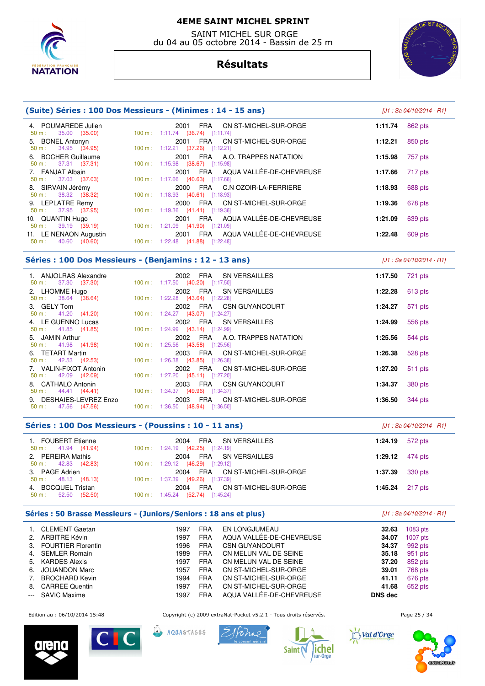

 SAINT MICHEL SUR ORGE du 04 au 05 octobre 2014 - Bassin de 25 m

# **Résultats**



| (Suite) Séries : 100 Dos Messieurs - (Minimes : 14 - 15 ans) | $[J1: Sa 04/10/2014 - R1]$                                                       |                    |
|--------------------------------------------------------------|----------------------------------------------------------------------------------|--------------------|
| 4. POUMAREDE Julien<br>$50 \text{ m}: 35.00 (35.00)$         | FRA CN ST-MICHEL-SUR-ORGE<br>2001<br>100 m: 1:11.74 (36.74) [1:11.74]            | 1:11.74<br>862 pts |
| 5. BONEL Antonyn<br>$50 \text{ m}: 34.95 (34.95)$            | FRA CN ST-MICHEL-SUR-ORGE<br>2001<br>100 m: 1:12.21 (37.26) [1:12.21]            | 1:12.21<br>850 pts |
| 6. BOCHER Guillaume<br>$50 \text{ m}: 37.31 (37.31)$         | FRA A.O. TRAPPES NATATION<br>2001<br>100 m: 1:15.98 (38.67) [1:15.98]            | 1:15.98<br>757 pts |
| 7. FANJAT Albain<br>$50 \text{ m}: 37.03 (37.03)$            | 2001 FRA AQUA VALLÉE-DE-CHEVREUSE<br>100 m: 1:17.66 (40.63) [1:17.66]            | 1:17.66<br>717 pts |
| 8. SIRVAIN Jérémy<br>$50 \text{ m}: 38.32 (38.32)$           | FRA C.N OZOIR-LA-FERRIERE<br>2000<br>$100 \text{ m}$ : 1:18.93 (40.61) [1:18.93] | 1:18.93<br>688 pts |
| 9. LEPLATRE Remy<br>$50 \text{ m}: 37.95 (37.95)$            | FRA CN ST-MICHEL-SUR-ORGE<br>2000<br>100 m: 1:19.36 (41.41) [1:19.36]            | 1:19.36<br>678 pts |
| 10. QUANTIN Hugo<br>$50 \text{ m}: 39.19 (39.19)$            | 2001 FRA AQUA VALLÉE-DE-CHEVREUSE<br>100 m: 1:21.09 (41.90) [1:21.09]            | 1:21.09<br>639 pts |
| 11. LE NENAON Augustin<br>40.60 (40.60)<br>50 m :            | 2001 FRA AQUA VALLÉE-DE-CHEVREUSE<br>100 m: 1:22.48 (41.88) [1:22.48]            | 609 pts<br>1:22.48 |
|                                                              |                                                                                  |                    |

## **Séries : 100 Dos Messieurs - (Benjamins : 12 - 13 ans)** [J1 : Sa 04/10/2014 - R1]

| 1. ANJOLRAS Alexandre                                                                                                              | 2002 FRA SN VERSAILLES                                                       | 1:17.50 721 pts |           |
|------------------------------------------------------------------------------------------------------------------------------------|------------------------------------------------------------------------------|-----------------|-----------|
| 50 m : 37.30 (37.30) 100 m : 1:17.50 (40.20) [1:17.50]<br>2. LHOMME Hugo<br>50 m : 38.64 (38.64) 100 m : 1:22.28 (43.64) [1:22.28] | 2002 FRA SN VERSAILLES                                                       | 1:22.28         | $613$ pts |
| 3. GELY Tom<br>$50 \text{ m}: 41.20 (41.20)$                                                                                       | 2002 FRA CSN GUYANCOURT<br>100 m : $1:24.27$ (43.07) [1:24.27]               | 1:24.27         | 571 pts   |
| 4. LE GUENNO Lucas<br>$50 \text{ m}: 41.85 (41.85)$                                                                                | 2002 FRA SN VERSAILLES<br>$100 \text{ m}$ : 1:24.99 (43.14) [1:24.99]        | 1:24.99         | 556 pts   |
| 5. JAMIN Arthur<br>$50 \text{ m}: 41.98 (41.98)$                                                                                   | 2002 FRA A.O. TRAPPES NATATION<br>100 m : 1:25.56 (43.58) [1:25.56]          | 1:25.56         | 544 pts   |
| 6. TETART Martin<br>$50 \text{ m}: 42.53 (42.53)$                                                                                  | 2003 FRA CN ST-MICHEL-SUR-ORGE<br>100 m: 1:26.38 (43.85) [1:26.38]           | 1:26.38         | 528 pts   |
| 7. VALIN-FIXOT Antonin<br>$50 \text{ m}: 42.09 (42.09)$                                                                            | 2002 FRA CN ST-MICHEL-SUR-ORGE<br>$100 \text{ m}: 1:27.20$ (45.11) [1:27.20] | 1:27.20         | 511 pts   |
| 8. CATHALO Antonin<br>50 m : 44.41 (44.41) 100 m : 1:34.37 (49.96) [1:34.37]                                                       | 2003 FRA CSN GUYANCOURT                                                      | 1:34.37         | 380 pts   |
| 9. DESHAIES-LEVREZ Enzo<br>$50 \text{ m}: 47.56 (47.56)$                                                                           | 2003 FRA CN ST-MICHEL-SUR-ORGE<br>$100 \text{ m}: 1:36.50 (48.94) [1:36.50]$ | 1:36.50         | 344 pts   |

#### **Séries : 100 Dos Messieurs - (Poussins : 10 - 11 ans)** [J1 : Sa 04/10/2014 - R1]

| 1. FOUBERT Etienne<br>$50 \text{ m}: 41.94 (41.94)$ | FRA SN VERSAILLES<br>2004<br>$100 \text{ m}: 1:24.19$ (42.25) [1:24.19]         | 572 pts<br>1:24.19        |
|-----------------------------------------------------|---------------------------------------------------------------------------------|---------------------------|
| 2. PEREIRA Mathis<br>$50 \text{ m}: 42.83 (42.83)$  | FRA SN VERSAILLES<br>2004<br>$100 \text{ m}: 1:29.12$ (46.29) [1:29.12]         | 1:29.12 $474 \text{ pts}$ |
| 3. PAGE Adrien<br>$50 \text{ m}: 48.13 (48.13)$     | FRA CN ST-MICHEL-SUR-ORGE<br>2004<br>100 m : 1:37.39 (49.26) [1:37.39]          | <b>1:37.39</b> 330 pts    |
| 4. BOCQUEL Tristan<br>$50 \text{ m}: 52.50 (52.50)$ | FRA CN ST-MICHEL-SUR-ORGE<br>2004<br>$100 \text{ m}: 1:45.24$ (52.74) [1:45.24] | 1:45.24 $217 \text{ pts}$ |

#### **Séries : 50 Brasse Messieurs - (Juniors/Seniors : 18 ans et plus)**  $[J1 : Sa 04/10/2014 - R1]$

|                                                                                                | <b>CLEMENT Gaetan</b>     | 1997 | <b>FRA</b> | EN LONGJUMEAU            | 32.63          | $1083$ pts |
|------------------------------------------------------------------------------------------------|---------------------------|------|------------|--------------------------|----------------|------------|
| 2.                                                                                             | ARBITRE Kévin             | 1997 | <b>FRA</b> | AQUA VALLÉE-DE-CHEVREUSE | 34.07          | $1007$ pts |
| 3.                                                                                             | <b>FOURTIER Florentin</b> | 1996 | <b>FRA</b> | <b>CSN GUYANCOURT</b>    | 34.37          | 992 pts    |
| 4.                                                                                             | <b>SEMLER Romain</b>      | 1989 | <b>FRA</b> | CN MELUN VAL DE SEINE    | 35.18          | 951 pts    |
| 5.                                                                                             | <b>KARDES Alexis</b>      | 1997 | <b>FRA</b> | CN MELUN VAL DE SEINE    | 37.20          | 852 pts    |
| 6.                                                                                             | <b>JOUANDON Marc</b>      | 1957 | <b>FRA</b> | CN ST-MICHEL-SUR-ORGE    | 39.01          | 768 pts    |
| 7.                                                                                             | <b>BROCHARD Kevin</b>     | 1994 | <b>FRA</b> | CN ST-MICHEL-SUR-ORGE    | 41.11          | 676 pts    |
| 8.                                                                                             | <b>CARREE Quentin</b>     | 1997 | <b>FRA</b> | CN ST-MICHEL-SUR-ORGE    | 41.68          | 652 pts    |
| $\frac{1}{2} \left( \frac{1}{2} \right) \left( \frac{1}{2} \right) \left( \frac{1}{2} \right)$ | <b>SAVIC Maxime</b>       | 1997 | <b>FRA</b> | AQUA VALLÉE-DE-CHEVREUSE | <b>DNS</b> dec |            |

Edition au : 06/10/2014 15:48 Copyright (c) 2009 extraNat-Pocket v5.2.1 - Tous droits réservés. Page 25 / 34





AQUASTAGES





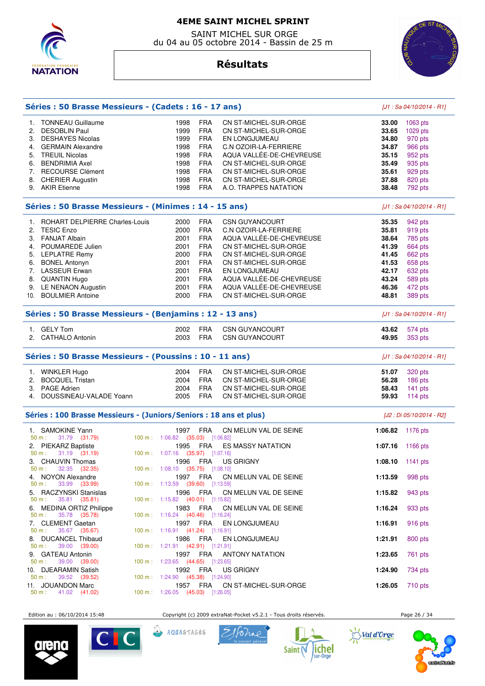

 SAINT MICHEL SUR ORGE du 04 au 05 octobre 2014 - Bassin de 25 m

**Résultats**

**Séries : 50 Brasse Messieurs - (Cadets : 16 - 17 ans)** [J1 : Sa 04/10/2014 - R1]



## 1. TONNEAU Guillaume 1998 FRA CN ST-MICHEL-SUR-ORGE **33.00** 1063 pts 2. DESOBLIN Paul 1999 FRA CN ST-MICHEL-SUR-ORGE **33.65** 1029 pts 3. DESHAYES Nicolas 1999 FRA EN LONGJUMEAU **34.80** 970 pts 4. GERMAIN Alexandre **34.87 1998 FRA C.N OZOIR-LA-FERRIERE 34.87**  5. TREUIL Nicolas 1998 FRA AQUA VALLÉE-DE-CHEVREUSE **35.15** 952 pts 6. BENDRIMIA Axel 1998 FRA CN ST-MICHEL-SUR-ORGE **35.49** 935 pts 7. RECOURSE Clément 1998 FRA CN ST-MICHEL-SUR-ORGE **35.61** 929 pts 8. CHERIER Augustin 1998 FRA CN ST-MICHEL-SUR-ORGE **37.88** 820 pts 9. AKIR Etienne 1998 FRA A.O. TRAPPES NATATION **38.48** 792 pts **Séries : 50 Brasse Messieurs - (Minimes : 14 - 15 ans)** [J1 : Sa 04/10/2014 - R1] 1. ROHART DELPIERRE Charles-Louis 2000 FRA CSN GUYANCOURT **35.35** 942 pts 2. TESIC Enzo 2000 FRA C.N OZOIR-LA-FERRIERE **35.81** 919 pts 3. FANJAT Albain **38.64 2001 FRA AQUA VALLÉE-DE-CHEVREUSE 38.64**  4. POUMAREDE Julien 2001 FRA CN ST-MICHEL-SUR-ORGE **41.39** 664 pts 5. LEPLATRE Remy 2000 FRA CN ST-MICHEL-SUR-ORGE **41.45** 662 pts 6. BONEL Antonyn 2001 FRA CN ST-MICHEL-SUR-ORGE **41.53** 658 pts 7. LASSEUR Erwan 2001 FRA EN LONGJUMEAU **42.17** 632 pts 8. QUANTIN Hugo 2001 FRA AQUA VALLÉE-DE-CHEVREUSE **43.24** 589 pts 9. LE NENAON Augustin 2001 FRA AQUA VALLÉE-DE-CHEVREUSE **46.36** 472 pts 10. BOULMIER Antoine 2000 FRA CN ST-MICHEL-SUR-ORGE **48.81** 389 pts **Séries : 50 Brasse Messieurs - (Benjamins : 12 - 13 ans)** [J1 : Sa 04/10/2014 - R1] 1. GELY Tom 2002 FRA CSN GUYANCOURT **43.62** 574 pts 2. CATHALO Antonin 2003 FRA CSN GUYANCOURT **49.95** 353 pts **Séries : 50 Brasse Messieurs - (Poussins : 10 - 11 ans)** [J1 : Sa 04/10/2014 - R1] 1. WINKLER Hugo 2004 FRA CN ST-MICHEL-SUR-ORGE **51.07** 320 pts 2. BOCQUEL Tristan 2004 FRA CN ST-MICHEL-SUR-ORGE **56.28** 186 pts 3. PAGE Adrien 2004 FRA CN ST-MICHEL-SUR-ORGE **58.43** 141 pts 4. DOUSSINEAU-VALADE Yoann 2005 FRA CN ST-MICHEL-SUR-ORGE **59.93** 114 pts **Séries : 100 Brasse Messieurs - (Juniors/Seniors : 18 ans et plus)** [J2 : Di 05/10/2014 - R2] 1. SAMOKINE Yann 1997 FRA CN MELUN VAL DE SEINE **1:06.82** 1176 pts 50 m : 31.79 (31.79) 100 m : 1:06.82 (35.03) [1:06.82] 2. PIEKARZ Baptiste 1995 FRA ES MASSY NATATION **1:07.16** 1166 pts 1:07.16 (35.97) [1:07.16] 3. CHAUVIN Thomas 1996 FRA US GRIGNY **1:08.10** 1141 pts  $(35.75)$   $[1:08.10]$  4. NOYON Alexandre 1997 FRA CN MELUN VAL DE SEINE **1:13.59** 998 pts 50 m : 33.99 (33.99) 100 m : 1:13.59 (39.60) [1:13.59 5. RACZYNSKI Stanislas 1996 FRA CN MELUN VAL DE SEINE **1:15.82** 943 pts 50 m : 35.81 (35.81) 100 m : 1:15.82 (40.01) [1:15.82] 6. MEDINA ORTIZ Philippe 1983 FRA CN MELUN VAL DE SEINE **1:16.24** 933 pts 50 m : 35.78 (35.78) 100 m : 1:16.24 (40.46) [1:16.24] 7. CLEMENT Gaetan 1997 FRA EN LONGJUMEAU **1:16.91** 916 pts 50 m : 35.67 (35.67) 100 m : 1:16.91 (41.24) [1:16.91] 8. DUCANCEL Thibaud 1986 FRA EN LONGJUMEAU **1:21.91** 800 pts 1:21.91 (42.91) [1:21.91] 9. GATEAU Antonin 1997 FRA ANTONY NATATION **1:23.65** 761 pts 50 m : 39.00 (39.00) 100 m : 1:23.65 (44.65) [1:23.65] 10. DJEARAMIN Satish 1992 FRA US GRIGNY **1:24.90** 734 pts 50 m : 39.52 (39.52) 100 m : 1:24.90 (45.38) [1:24.90] 11. JOUANDON Marc 1957 FRA CN ST-MICHEL-SUR-ORGE **1:26.05** 710 pts  $1:26.05$   $(45.03)$   $[1:26.05]$ Edition au : 06/10/2014 15:48 Copyright (c) 2009 extraNat-Pocket v5.2.1 - Tous droits réservés. Page 26 / 34





Pohno

Saint (

AQUASTAGES



contrattation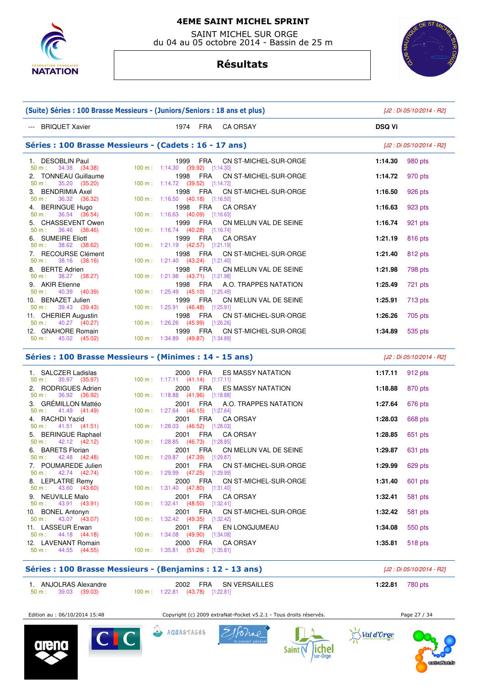

 SAINT MICHEL SUR ORGE du 04 au 05 octobre 2014 - Bassin de 25 m

# **Résultats**



| (Suite) Séries : 100 Brasse Messieurs - (Juniors/Seniors : 18 ans et plus) | [J2 : Di 05/10/2014 - R2]                                          |                           |
|----------------------------------------------------------------------------|--------------------------------------------------------------------|---------------------------|
| --- BRIQUET Xavier                                                         | 1974 FRA CAORSAY                                                   | <b>DSQ Vi</b>             |
|                                                                            | Séries : 100 Brasse Messieurs - (Cadets : 16 - 17 ans)             | [J2 : Di 05/10/2014 - R2] |
| 1. DESOBLIN Paul                                                           | 1999 FRA CN ST-MICHEL-SUR-ORGE                                     | 980 pts                   |
| 50 m : 34.38 (34.38)                                                       | 100 m: 1:14.30 (39.92) [1:14.30]                                   | 1:14.30                   |
| 2. TONNEAU Guillaume<br>35.20 (35.20)<br>$50 m$ :                          | 1998 FRA CN ST-MICHEL-SUR-ORGE<br>100 m: 1:14.72 (39.52) [1:14.72] | 1:14.72<br>970 pts        |
| 3. BENDRIMIA Axel                                                          | 1998 FRA CN ST-MICHEL-SUR-ORGE                                     | 1:16.50                   |
| $50 \text{ m}: 36.32 (36.32)$                                              | 100 m: $1:16.50$ (40.18) [1:16.50]                                 | 926 pts                   |
| 4. BERINGUE Hugo<br>36.54 (36.54)<br>50 m:                                 | 1998 FRA CAORSAY<br>100 m: 1:16.63 (40.09) [1:16.63]               | 1:16.63<br>923 pts        |
| 5. CHASSEVENT Owen<br>36.46 (36.46)<br>$50 m$ :                            | 1999 FRA CN MELUN VAL DE SEINE<br>100 m: 1:16.74 (40.28) [1:16.74] | 1:16.74<br>921 pts        |
| 6. SUMEIRE Eliott                                                          | 1999 FRA CA ORSAY                                                  | 1:21.19                   |
| $50 \text{ m}: 38.62 (38.62)$                                              | 100 m: 1:21.19 (42.57) [1:21.19]                                   | 816 pts                   |
| 7. RECOURSE Clément                                                        | 1998 FRA CN ST-MICHEL-SUR-ORGE                                     | 1:21.40                   |
| $50 \text{ m}: 38.16 (38.16)$                                              | 100 m: 1:21.40 (43.24) [1:21.40]                                   | 812 pts                   |
| 8. BERTE Adrien                                                            | 1998 FRA CN MELUN VAL DE SEINE                                     | 1:21.98                   |
| $50 \text{ m}: 38.27 (38.27)$                                              | 100 m: 1:21.98 (43.71) [1:21.98]                                   | 798 pts                   |
| 9. AKIR Etienne<br>50 m:<br>40.39 (40.39)                                  | 1998 FRA A.O. TRAPPES NATATION<br>100 m: 1:25.49 (45.10) [1:25.49] | 721 pts<br>1:25.49        |
| 10. BENAZET Julien                                                         | 1999 FRA CN MELUN VAL DE SEINE                                     | 1:25.91                   |
| $50 \text{ m}: 39.43 (39.43)$                                              | 100 m: 1:25.91 (46.48) [1:25.91]                                   | 713 pts                   |
| 11. CHERIER Augustin                                                       | 1998 FRA CN ST-MICHEL-SUR-ORGE                                     | 1:26.26                   |
| $50 \text{ m}: 40.27 (40.27)$                                              | 100 m: 1:26.26 (45.99) [1:26.26]                                   | 705 pts                   |
| 12. GNAHORE Romain                                                         | 1999 FRA CN ST-MICHEL-SUR-ORGE                                     | 1:34.89                   |
| $50 \text{ m}: 45.02 (45.02)$                                              | 100 m: 1:34.89 (49.87) [1:34.89]                                   | 535 pts                   |
|                                                                            | $S\acute{o}rice: 100 Rrzceo Maccioure - (Minimae: 14 - 15 - ne)$   | $10.0$ $0.05/10/2014$ DOI |

#### **S : 100 Brasse Messieurs - (Minimes : 14 - 15 ans)** [J2 : Di 05/10/2014 - R2]

| 1. SALCZER Ladislas<br>$50 \text{ m}: 35.97 (35.97)$ | 2000 FRA ES MASSY NATATION<br>100 m: 1:17.11 (41.14) [1:17.11]                           | 1:17.11 $912 \text{ pts}$ |         |
|------------------------------------------------------|------------------------------------------------------------------------------------------|---------------------------|---------|
| 2. RODRIGUES Adrien<br>$50 \text{ m}: 36.92 (36.92)$ | 2000 FRA ES MASSY NATATION<br>100 m: 1:18.88 (41.96) [1:18.88]                           | 1:18.88 870 pts           |         |
| 3. GRÉMILLON Mattéo<br>$50 \text{ m}: 41.49 (41.49)$ | 2001 FRA A.O. TRAPPES NATATION<br>100 m: 1:27.64 (46.15) [1:27.64]                       | 1:27.64                   | 676 pts |
| 4. RACHDI Yazid<br>$50 \text{ m}: 41.51 (41.51)$     | 2001 FRA CA ORSAY<br>100 m : 1:28.03 $(46.52)$ [1:28.03]                                 | 1:28.03                   | 668 pts |
| 5. BERINGUE Raphael<br>$50 \text{ m}: 42.12 (42.12)$ | 2001 FRA CA ORSAY<br>$100 \text{ m}: 1:28.85$ (46.73) [1:28.85]                          | 1:28.85                   | 651 pts |
| 6. BARETS Florian<br>$50 \text{ m}: 42.48 (42.48)$   | 2001 FRA CN MELUN VAL DE SEINE<br>100 m: 1:29.87 (47.39) [1:29.87]                       | 1:29.87                   | 631 pts |
| 7. POUMAREDE Julien<br>$50 \text{ m}: 42.74 (42.74)$ | 2001 FRA CN ST-MICHEL-SUR-ORGE<br>100 m : 1:29.99 (47.25) [1:29.99]                      | 1:29.99                   | 629 pts |
| 8. LEPLATRE Remy                                     | 2000 FRA CN ST-MICHEL-SUR-ORGE<br>50 m : 43.60 (43.60) 100 m : 1:31.40 (47.80) [1:31.40] | 1:31.40                   | 601 pts |
| 9. NEUVILLE Malo                                     | 2001 FRA CA ORSAY<br>50 m : 43.91 (43.91) 100 m : 1:32.41 (48.50) [1:32.41]              | 1:32.41                   | 581 pts |
| 10. BONEL Antonyn                                    | 2001 FRA CN ST-MICHEL-SUR-ORGE<br>50 m : 43.07 (43.07) 100 m : 1:32.42 (49.35) [1:32.42] | 1:32.42                   | 581 pts |
| 11. LASSEUR Erwan                                    | 2001 FRA EN LONGJUMEAU<br>50 m : 44.18 (44.18) 100 m : 1:34.08 (49.90) [1:34.08]         | 1:34.08                   | 550 pts |
| 12. LAVENANT Romain<br>$50 \text{ m}: 44.55 (44.55)$ | 2000 FRA CA ORSAY<br>100 m: 1:35.81 (51.26) [1:35.81]                                    | 1:35.81                   | 518 pts |

# **Séries : 100 Brasse Messieurs - (Benjamins : 12 - 13 ans)** [J2 : Di 05/10/2014 - R2] 1. ANJOLRAS Alexandre 2002 FRA SN VERSAILLES **1:22.81** 780 pts<br>
50 m : 39.03 (39.03) 100 m : 1:22.81 (43.78) [1:22.81] 50 m : 39.03 (39.03) 100 m : 1:22.81 (43.78) [1:22.81]

Edition au : 06/10/2014 15:48 Copyright (c) 2009 extraNat-Pocket v5.2.1 - Tous droits réservés. Page 27 / 34





AQUASTAGES





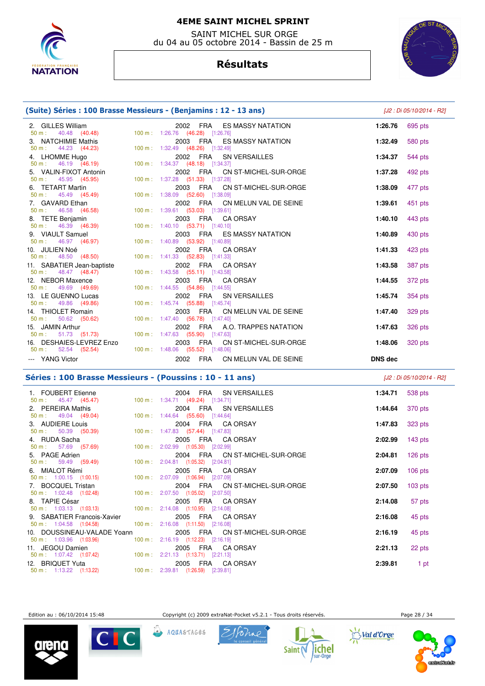

 SAINT MICHEL SUR ORGE du 04 au 05 octobre 2014 - Bassin de 25 m

# **Résultats**



| (Suite) Séries : 100 Brasse Messieurs - (Benjamins : 12 - 13 ans) |                                                                              | [J2 : Di 05/10/2014 - R2] |         |
|-------------------------------------------------------------------|------------------------------------------------------------------------------|---------------------------|---------|
| 2. GILLES William<br>40.48 (40.48)<br>50 m:                       | 2002 FRA ES MASSY NATATION<br>100 m: 1:26.76 (46.28) [1:26.76]               | 1:26.76                   | 695 pts |
| 3. NATCHIMIE Mathis<br>$50 \text{ m}: 44.23 (44.23)$              | 2003 FRA ES MASSY NATATION<br>100 m: 1:32.49 (48.26) [1:32.49]               | 1:32.49                   | 580 pts |
| 4. LHOMME Hugo<br>$50 \text{ m}: 46.19 (46.19)$                   | 2002 FRA SN VERSAILLES<br>100 m: 1:34.37 (48.18) [1:34.37]                   | 1:34.37                   | 544 pts |
| 5. VALIN-FIXOT Antonin<br>$50 \text{ m}: 45.95 (45.95)$           | 2002 FRA CN ST-MICHEL-SUR-ORGE<br>100 m: 1:37.28 (51.33) [1:37.28]           | 1:37.28                   | 492 pts |
| 6. TETART Martin<br>$50 \text{ m}$ : $45.49 \text{ (45.49)}$      | 2003 FRA CN ST-MICHEL-SUR-ORGE<br>100 m: 1:38.09 (52.60) [1:38.09]           | 1:38.09                   | 477 pts |
| 7. GAVARD Ethan<br>$50 \text{ m}: 46.58 (46.58)$                  | 2002 FRA CN MELUN VAL DE SEINE<br>100 m: 1:39.61 (53.03) [1:39.61]           | 1:39.61                   | 451 pts |
| 8. TETE Benjamin<br>50 m : 46.39 (46.39)                          | 2003 FRA CA ORSAY<br>100 m: 1:40.10 (53.71) [1:40.10]                        | 1:40.10                   | 443 pts |
| 9. VIAULT Samuel<br>$50 m$ :<br>46.97 (46.97)                     | 2003 FRA ES MASSY NATATION<br>100 m: 1:40.89 (53.92) [1:40.89]               | 1:40.89                   | 430 pts |
| 10. JULIEN Noé<br>$50 \text{ m}: 48.50 (48.50)$                   | 2002 FRA CA ORSAY<br>100 m: 1:41.33 (52.83) [1:41.33]                        | 1:41.33                   | 423 pts |
| 11. SABATIER Jean-baptiste<br>$50 \text{ m}: 48.47 (48.47)$       | 2002 FRA CA ORSAY<br>$100 \text{ m}: 1:43.58$ (55.11) [1:43.58]              | 1:43.58                   | 387 pts |
| 12. NEBOR Maxence<br>50 m : 49.69 (49.69)                         | 2003 FRA CA ORSAY<br>100 m: 1:44.55 (54.86) [1:44.55]                        | 1:44.55                   | 372 pts |
| 13. LE GUENNO Lucas<br>$50 \text{ m}: 49.86 (49.86)$              | 2002 FRA SN VERSAILLES<br>100 m: 1:45.74 (55.88) [1:45.74]                   | 1:45.74                   | 354 pts |
| 14. THIOLET Romain<br>50.62 (50.62)<br>$50 m$ :                   | CN MELUN VAL DE SEINE<br>2003 FRA<br>100 m: 1:47.40 (56.78) [1:47.40]        | 1:47.40                   | 329 pts |
| 15. JAMIN Arthur<br>$50 \text{ m}: 51.73 (51.73)$                 | 2002 FRA A.O. TRAPPES NATATION<br>100 m: 1:47.63 (55.90) [1:47.63]           | 1:47.63                   | 326 pts |
| 16. DESHAIES-LEVREZ Enzo<br>$50 \text{ m}: 52.54 (52.54)$         | 2003 FRA CN ST-MICHEL-SUR-ORGE<br>$100 \text{ m}: 1:48.06$ (55.52) [1:48.06] | 1:48.06                   | 320 pts |
| --- YANG Victor                                                   | 2002 FRA CN MELUN VAL DE SEINE                                               | <b>DNS dec</b>            |         |

## **Séries : 100 Brasse Messieurs - (Poussins : 10 - 11 ans)** [J2 : Di 05/10/2014 - R2]

 1. FOUBERT Etienne 2004 FRA SN VERSAILLES **1:34.71** 538 pts 1:34.71 (49.24) [1:34.71] 2. PEREIRA Mathis 2004 FRA SN VERSAILLES **1:44.64** 370 pts 1:44.64 (55.60) [1:44.64] 3. AUDIERE Louis 2004 FRA CA ORSAY **1:47.83** 323 pts 100 m : 1:47.83 (57.44) [1:47.83] 4. RUDA Sacha 2005 FRA CA ORSAY **2:02.99** 143 pts 50 m : 57.69 (57.69) 100 m : 2:02.99 (1:05.30) [2:02.99] 5. PAGE Adrien 2004 FRA CN ST-MICHEL-SUR-ORGE **2:04.81** 126 pts 50 m : 59.49 (59.49) 100 m : 2:04.81 (1:05.32) [2:04.81] 6. MIALOT Rémi 2005 FRA CA ORSAY **2:07.09** 106 pts 50 m : 1:00.15 (1:00.15) 100 m : 2:07.09 (1:06.94) [2:07.09] 7. BOCQUEL Tristan 2004 FRA CN ST-MICHEL-SUR-ORGE **2:07.50** 103 pts 100 m : 2:07.50 (1:05.02) [2:07.50] 8. TAPIE César 2005 FRA CA ORSAY **2:14.08** 57 pts 50 m : 1:03.13 (1:03.13) 100 m : 2:14.08 (1:10.95) [2:14.08] 9. SABATIER Francois-Xavier 2005 FRA CA ORSAY **2:16.08** 45 pts 50 m : 1:04.58 (1:04.58) 100 m : 2:16.08 (1:11.50) [2:16.08] 10. DOUSSINEAU-VALADE Yoann 2005 FRA CN ST-MICHEL-SUR-ORGE **2:16.19** 45 pts 50 m : 1:03.96 (1:03.96) 100 m : 2:16.19 (1:12.23) [2:16.19] 11. JEGOU Damien 2005 FRA CA ORSAY **2:21.13** 22 pts 50 m : 1:07.42 (1:07.42) 100 m : 2:21.13 (1:13.71) [2:21.13] 12. BRIQUET Yuta 2005 FRA CA ORSAY **2:39.81** 1 pt 50 m : 1:13.22 (1:13.22) 100 m : 2:39.81 (1:26.59) [2:39.81]

Edition au : 06/10/2014 15:48 Copyright (c) 2009 extraNat-Pocket v5.2.1 - Tous droits réservés. Page 28 / 34







AQUASTAGES





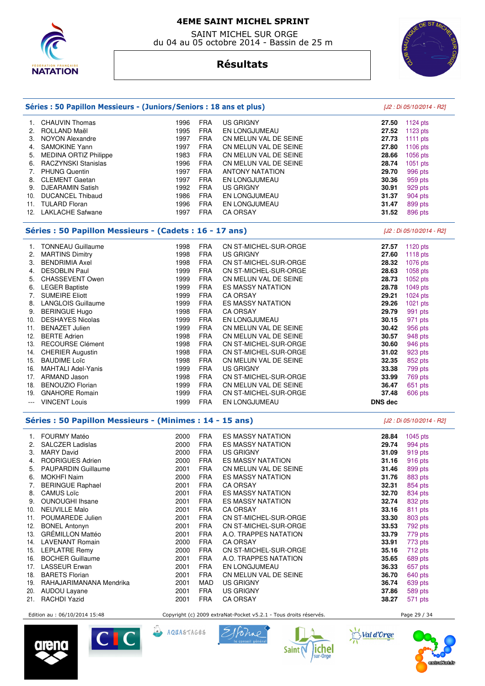

 SAINT MICHEL SUR ORGE du 04 au 05 octobre 2014 - Bassin de 25 m



# **Résultats**

|               | Séries : 50 Papillon Messieurs - (Juniors/Seniors : 18 ans et plus) |      |            |                          | [J2 : Di 05/10/2014 - R2] |                           |
|---------------|---------------------------------------------------------------------|------|------------|--------------------------|---------------------------|---------------------------|
|               | 1. CHAUVIN Thomas                                                   | 1996 | <b>FRA</b> | <b>US GRIGNY</b>         | 27.50                     | 1124 pts                  |
| 2.            | ROLLAND Maël                                                        | 1995 | <b>FRA</b> | EN LONGJUMEAU            | 27.52                     | $1123$ pts                |
| 3.            | <b>NOYON Alexandre</b>                                              | 1997 | <b>FRA</b> | CN MELUN VAL DE SEINE    | 27.73                     | 1111 pts                  |
| 4.            | <b>SAMOKINE Yann</b>                                                | 1997 | <b>FRA</b> | CN MELUN VAL DE SEINE    | 27.80                     | 1106 pts                  |
| 5.            | <b>MEDINA ORTIZ Philippe</b>                                        | 1983 | <b>FRA</b> | CN MELUN VAL DE SEINE    | 28.66                     | 1056 pts                  |
|               | 6. RACZYNSKI Stanislas                                              | 1996 | <b>FRA</b> | CN MELUN VAL DE SEINE    | 28.74                     | 1051 pts                  |
|               | 7. PHUNG Quentin                                                    | 1997 | <b>FRA</b> | <b>ANTONY NATATION</b>   | 29.70                     | 996 pts                   |
| 8.            | <b>CLEMENT Gaetan</b>                                               | 1997 | <b>FRA</b> | EN LONGJUMEAU            | 30.36                     | 959 pts                   |
|               | 9. DJEARAMIN Satish                                                 | 1992 | <b>FRA</b> | <b>US GRIGNY</b>         | 30.91                     | 929 pts                   |
| 10.           | <b>DUCANCEL Thibaud</b>                                             | 1986 | <b>FRA</b> | EN LONGJUMEAU            | 31.37                     | 904 pts                   |
|               | 11. TULARD Floran                                                   | 1996 | <b>FRA</b> | EN LONGJUMEAU            | 31.47                     | 899 pts                   |
|               | 12. LAKLACHE Safwane                                                | 1997 | <b>FRA</b> | <b>CA ORSAY</b>          | 31.52                     | 896 pts                   |
|               |                                                                     |      |            |                          |                           |                           |
|               | Séries : 50 Papillon Messieurs - (Cadets : 16 - 17 ans)             |      |            |                          |                           | [J2 : Di 05/10/2014 - R2] |
| 1.            | <b>TONNEAU Guillaume</b>                                            | 1998 | <b>FRA</b> | CN ST-MICHEL-SUR-ORGE    | 27.57                     | 1120 $pts$                |
| 2.            | <b>MARTINS Dimitry</b>                                              | 1998 | <b>FRA</b> | US GRIGNY                | 27.60                     | 1118 pts                  |
|               | 3. BENDRIMIA Axel                                                   | 1998 | <b>FRA</b> | CN ST-MICHEL-SUR-ORGE    | 28.32                     | 1076 pts                  |
|               | 4. DESOBLIN Paul                                                    | 1999 | <b>FRA</b> | CN ST-MICHEL-SUR-ORGE    | 28.63                     | 1058 pts                  |
| 5.            | <b>CHASSEVENT Owen</b>                                              | 1999 | <b>FRA</b> | CN MELUN VAL DE SEINE    | 28.73                     | 1052 pts                  |
|               | 6. LEGER Baptiste                                                   | 1999 | <b>FRA</b> | <b>ES MASSY NATATION</b> | 28.78                     | 1049 pts                  |
|               | 7. SUMEIRE Eliott                                                   | 1999 | <b>FRA</b> | <b>CA ORSAY</b>          | 29.21                     | 1024 pts                  |
|               | 8. LANGLOIS Guillaume                                               | 1999 | <b>FRA</b> | <b>ES MASSY NATATION</b> | 29.26                     | $1021$ pts                |
|               | 9. BERINGUE Hugo                                                    | 1998 | <b>FRA</b> | <b>CA ORSAY</b>          | 29.79                     | 991 pts                   |
|               | 10. DESHAYES Nicolas                                                | 1999 | <b>FRA</b> | EN LONGJUMEAU            | 30.15                     | 971 pts                   |
|               | 11. BENAZET Julien                                                  | 1999 | FRA        | CN MELUN VAL DE SEINE    | 30.42                     | 956 pts                   |
|               | 12. BERTE Adrien                                                    | 1998 | <b>FRA</b> | CN MELUN VAL DE SEINE    | 30.57                     | 948 pts                   |
|               | 13. RECOURSE Clément                                                | 1998 | <b>FRA</b> | CN ST-MICHEL-SUR-ORGE    | 30.60                     | 946 pts                   |
|               | 14. CHERIER Augustin                                                | 1998 | FRA        | CN ST-MICHEL-SUR-ORGE    | 31.02                     | 923 pts                   |
| 15.           | <b>BAUDIME Loïc</b>                                                 | 1998 | <b>FRA</b> | CN MELUN VAL DE SEINE    | 32.35                     | 852 pts                   |
|               | 16. MAHTALI Adel-Yanis                                              | 1999 | <b>FRA</b> | <b>US GRIGNY</b>         | 33.38                     | 799 pts                   |
|               | 17. ARMAND Jason                                                    | 1998 | <b>FRA</b> | CN ST-MICHEL-SUR-ORGE    | 33.99                     | 769 pts                   |
|               | 18. BENOUZIO Florian                                                | 1999 | <b>FRA</b> | CN MELUN VAL DE SEINE    | 36.47                     | 651 pts                   |
| 19.           | <b>GNAHORE Romain</b>                                               | 1999 | <b>FRA</b> | CN ST-MICHEL-SUR-ORGE    | 37.48                     | 606 pts                   |
| $\sim$ $\sim$ | <b>VINCENT Louis</b>                                                | 1999 | <b>FRA</b> | EN LONGJUMEAU            | <b>DNS</b> dec            |                           |
|               | Séries : 50 Papillon Messieurs - (Minimes : 14 - 15 ans)            |      |            |                          |                           | [J2 : Di 05/10/2014 - R2] |
|               | 1. FOURMY Matéo                                                     | 2000 | <b>FRA</b> | <b>ES MASSY NATATION</b> | 28.84                     | 1045 pts                  |
|               | 2. SALCZER Ladislas                                                 | 2000 | <b>FRA</b> | <b>ES MASSY NATATION</b> | 29.74                     | 994 pts                   |
| 3.            | <b>MARY David</b>                                                   | 2000 | <b>FRA</b> | <b>US GRIGNY</b>         | 31.09                     | 919 pts                   |
|               | 4. RODRIGUES Adrien                                                 | 2000 | <b>FRA</b> | ES MASSY NATATION        | 31.16                     | 916 pts                   |
| 5.            | PAUPARDIN Guillaume                                                 | 2001 | <b>FRA</b> | CN MELUN VAL DE SEINE    | 31.46                     | 899 pts                   |
| 6.            | MOKHFI Naim                                                         | 2000 | <b>FRA</b> | ES MASSY NATATION        | 31.76                     | 883 pts                   |
| 7.            | <b>BERINGUE Raphael</b>                                             | 2001 | <b>FRA</b> | <b>CA ORSAY</b>          | 32.31                     | 854 pts                   |
| 8.            | <b>CAMUS Loïc</b>                                                   | 2001 | <b>FRA</b> | <b>ES MASSY NATATION</b> | 32.70                     | 834 pts                   |
| 9.            | <b>OUNOUGHI Ihsane</b>                                              | 2001 | FRA        | <b>ES MASSY NATATION</b> | 32.74                     | 832 pts                   |
| 10.           | <b>NEUVILLE Malo</b>                                                | 2001 | <b>FRA</b> | CA ORSAY                 | 33.16                     | 811 pts                   |
|               | 11. POUMAREDE Julien                                                | 2001 | FRA        | CN ST-MICHEL-SUR-ORGE    | 33.30                     | 803 pts                   |
| 12.           | <b>BONEL Antonyn</b>                                                | 2001 | FRA        | CN ST-MICHEL-SUR-ORGE    | 33.53                     | 792 pts                   |
| 13.           | <b>GRÉMILLON Mattéo</b>                                             | 2001 | <b>FRA</b> | A.O. TRAPPES NATATION    | 33.79                     | 779 pts                   |
|               | 14. LAVENANT Romain                                                 | 2000 | <b>FRA</b> | <b>CA ORSAY</b>          | 33.91                     | 773 pts                   |
|               | 15. LEPLATRE Remy                                                   | 2000 | <b>FRA</b> | CN ST-MICHEL-SUR-ORGE    | 35.16                     | 712 pts                   |
| 16.           | <b>BOCHER Guillaume</b>                                             | 2001 | <b>FRA</b> | A.O. TRAPPES NATATION    | 35.65                     | 689 pts                   |
| 17.           | <b>LASSEUR Erwan</b>                                                | 2001 | <b>FRA</b> | EN LONGJUMEAU            | 36.33                     | 657 pts                   |
|               | 18. BARETS Florian                                                  | 2001 | FRA        | CN MELUN VAL DE SEINE    | 36.70                     | 640 pts                   |
|               | 19. RAHAJARIMANANA Mendrika                                         | 2001 | MAD        | <b>US GRIGNY</b>         | 36.74                     | 639 pts                   |
| 20.           | <b>AUDOU Layane</b>                                                 | 2001 | <b>FRA</b> | <b>US GRIGNY</b>         | 37.86                     | 589 pts                   |
|               | 21. RACHDI Yazid                                                    | 2001 | FRA        | <b>CA ORSAY</b>          | 38.27                     | 571 pts                   |
|               |                                                                     |      |            |                          |                           |                           |

Edition au : 06/10/2014 15:48 Copyright (c) 2009 extraNat-Pocket v5.2.1 - Tous droits réservés. Page 29 / 34



Val d'Orge









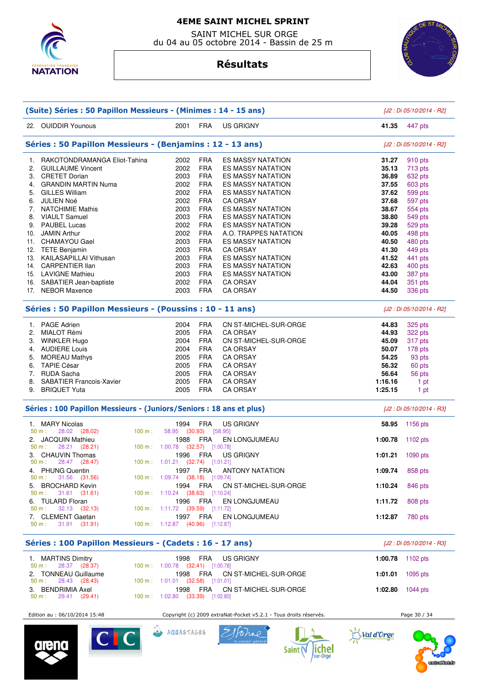

 SAINT MICHEL SUR ORGE du 04 au 05 octobre 2014 - Bassin de 25 m

# **Résultats**



| (Suite) Séries : 50 Papillon Messieurs - (Minimes : 14 - 15 ans) |                                                                      |                                          |                       |                                |         | [J2 : Di 05/10/2014 - R2] |  |
|------------------------------------------------------------------|----------------------------------------------------------------------|------------------------------------------|-----------------------|--------------------------------|---------|---------------------------|--|
|                                                                  | 22. OUIDDIR Younous                                                  | 2001                                     | <b>FRA</b>            | <b>US GRIGNY</b>               | 41.35   | 447 pts                   |  |
| Séries : 50 Papillon Messieurs - (Benjamins : 12 - 13 ans)       |                                                                      |                                          |                       |                                |         | [J2 : Di 05/10/2014 - R2] |  |
| 1.                                                               | RAKOTONDRAMANGA Eliot-Tahina                                         | 2002                                     | <b>FRA</b>            | <b>ES MASSY NATATION</b>       | 31.27   | 910 pts                   |  |
| 2.                                                               | <b>GUILLAUME Vincent</b>                                             | 2002                                     | <b>FRA</b>            | <b>ES MASSY NATATION</b>       | 35.13   | 713 pts                   |  |
| 3.                                                               | <b>CRETET Dorian</b>                                                 | 2003                                     | <b>FRA</b>            | ES MASSY NATATION              | 36.89   | 632 pts                   |  |
| 4.                                                               | <b>GRANDIN MARTIN Numa</b>                                           | 2002                                     | <b>FRA</b>            | ES MASSY NATATION              | 37.55   | 603 pts                   |  |
| 5.                                                               | <b>GILLES William</b>                                                | 2002                                     | <b>FRA</b>            | ES MASSY NATATION              | 37.62   | 599 pts                   |  |
| 6.                                                               | <b>JULIEN Noé</b>                                                    | 2002                                     | <b>FRA</b>            | <b>CA ORSAY</b>                | 37.68   | 597 pts                   |  |
| 7.                                                               | <b>NATCHIMIE Mathis</b>                                              | 2003                                     | <b>FRA</b>            | ES MASSY NATATION              | 38.67   | 554 pts                   |  |
| 8.                                                               | <b>VIAULT Samuel</b>                                                 | 2003                                     | <b>FRA</b>            | <b>ES MASSY NATATION</b>       | 38.80   | 549 pts                   |  |
|                                                                  | 9. PAUBEL Lucas                                                      | 2002                                     | <b>FRA</b>            | ES MASSY NATATION              | 39.28   | 529 pts                   |  |
| 10.                                                              | <b>JAMIN Arthur</b>                                                  | 2002                                     | <b>FRA</b>            | A.O. TRAPPES NATATION          | 40.05   | 498 pts                   |  |
|                                                                  |                                                                      | 2003                                     | <b>FRA</b>            |                                |         |                           |  |
|                                                                  | 11. CHAMAYOU Gael                                                    |                                          |                       | <b>ES MASSY NATATION</b>       | 40.50   | 480 pts                   |  |
|                                                                  | 12. TETE Benjamin                                                    | 2003                                     | <b>FRA</b>            | <b>CA ORSAY</b>                | 41.30   | 449 pts                   |  |
|                                                                  | 13. KAILASAPILLAI Vithusan                                           | 2003                                     | <b>FRA</b>            | ES MASSY NATATION              | 41.52   | 441 pts                   |  |
|                                                                  | 14. CARPENTIER IIan                                                  | 2003                                     | <b>FRA</b>            | <b>ES MASSY NATATION</b>       | 42.63   | 400 pts                   |  |
|                                                                  | 15. LAVIGNE Mathieu                                                  | 2003                                     | <b>FRA</b>            | <b>ES MASSY NATATION</b>       | 43.00   | 387 pts                   |  |
| 16.                                                              | SABATIER Jean-baptiste                                               | 2002                                     | <b>FRA</b>            | <b>CA ORSAY</b>                | 44.04   | 351 pts                   |  |
|                                                                  | 17. NEBOR Maxence                                                    | 2003                                     | <b>FRA</b>            | <b>CA ORSAY</b>                | 44.50   | 336 pts                   |  |
|                                                                  | Séries : 50 Papillon Messieurs - (Poussins : 10 - 11 ans)            |                                          |                       |                                |         | [J2 : Di 05/10/2014 - R2] |  |
|                                                                  | 1. PAGE Adrien                                                       | 2004                                     | <b>FRA</b>            | CN ST-MICHEL-SUR-ORGE          | 44.83   | 325 pts                   |  |
| 2.                                                               | MIALOT Rémi                                                          | 2005                                     | <b>FRA</b>            | <b>CA ORSAY</b>                | 44.93   | 322 pts                   |  |
| 3.                                                               | <b>WINKLER Hugo</b>                                                  | 2004                                     | <b>FRA</b>            | CN ST-MICHEL-SUR-ORGE          | 45.09   | 317 pts                   |  |
| 4.                                                               | <b>AUDIERE Louis</b>                                                 | 2004                                     | <b>FRA</b>            | <b>CA ORSAY</b>                | 50.07   | 178 pts                   |  |
| 5.                                                               | <b>MOREAU Mathys</b>                                                 | 2005                                     | <b>FRA</b>            | <b>CA ORSAY</b>                | 54.25   | 93 pts                    |  |
|                                                                  | 6. TAPIE César                                                       | 2005                                     | <b>FRA</b>            | <b>CA ORSAY</b>                | 56.32   | 60 pts                    |  |
|                                                                  | 7. RUDA Sacha                                                        | 2005                                     | <b>FRA</b>            | <b>CA ORSAY</b>                | 56.64   | 56 pts                    |  |
| 8.                                                               | <b>SABATIER Francois-Xavier</b>                                      | 2005                                     | <b>FRA</b>            | <b>CA ORSAY</b>                | 1:16.16 | 1 pt                      |  |
|                                                                  | 9. BRIQUET Yuta                                                      | 2005                                     | <b>FRA</b>            | <b>CA ORSAY</b>                | 1:25.15 | 1 pt                      |  |
|                                                                  | Séries : 100 Papillon Messieurs - (Juniors/Seniors : 18 ans et plus) |                                          |                       |                                |         | [J2 : Di 05/10/2014 - R3] |  |
| 1.                                                               | <b>MARY Nicolas</b>                                                  | 1994                                     | <b>FRA</b><br>(30.93) | <b>US GRIGNY</b>               | 58.95   | 1156 pts                  |  |
| 2.                                                               | (28.02)<br>100 m:<br>50 m:<br>28.02<br><b>JACQUIN Mathieu</b>        | 58.95<br>1988                            | <b>FRA</b>            | [58.95]<br>EN LONGJUMEAU       | 1:00.78 | 1102 $pts$                |  |
|                                                                  | 28.21<br>50 m:<br>(28.21)<br>100 m:                                  | 1:00.78 (32.57) [1:00.78]                |                       |                                |         |                           |  |
|                                                                  | 3. CHAUVIN Thomas                                                    | 1996                                     | FRA                   | <b>US GRIGNY</b>               | 1:01.21 | $1090$ pts                |  |
|                                                                  | 28.47 (28.47)<br>50 m:                                               | 100 m : 1:01.21 $(32.74)$ [1:01.21]      |                       |                                |         |                           |  |
|                                                                  | 4. PHUNG Quentin                                                     | 1997 FRA                                 |                       | ANTONY NATATION                | 1:09.74 | 858 pts                   |  |
|                                                                  | 31.56 (31.56)<br>$50 m$ :                                            | 100 m : 1:09.74 (38.18) [1:09.74]        |                       |                                |         |                           |  |
|                                                                  | 5. BROCHARD Kevin                                                    | 1994 FRA                                 |                       | CN ST-MICHEL-SUR-ORGE          | 1:10.24 | 846 pts                   |  |
|                                                                  | $31.61$ (31.61)<br>50 m:                                             | 100 m: 1:10.24 (38.63) [1:10.24]         |                       |                                |         |                           |  |
|                                                                  | 6. TULARD Floran<br>$32.13$ $(32.13)$<br>50 m:                       | 1996<br>100 m: 1:11.72 (39.59) [1:11.72] | FRA                   | EN LONGJUMEAU                  | 1:11.72 | 808 pts                   |  |
|                                                                  | 7. CLEMENT Gaetan                                                    | 1997 FRA                                 |                       | EN LONGJUMEAU                  | 1:12.87 | 780 pts                   |  |
|                                                                  | $31.91$ $(31.91)$<br>$50 \text{ m}$ :                                | 100 m: 1:12.87 (40.96) [1:12.87]         |                       |                                |         |                           |  |
|                                                                  | Séries : 100 Papillon Messieurs - (Cadets : 16 - 17 ans)             |                                          |                       |                                |         | [J2 : Di 05/10/2014 - R3] |  |
|                                                                  | 1. MARTINS Dimitry                                                   | 1998                                     | FRA                   | US GRIGNY                      |         | 1:00.78 1102 pts          |  |
|                                                                  | 28.37 (28.37)<br>50 m:                                               | 100 m: 1:00.78 (32.41) [1:00.78]         |                       |                                |         |                           |  |
|                                                                  | 2. TONNEAU Guillaume                                                 |                                          |                       | 1998 FRA CN ST-MICHEL-SUR-ORGE |         | 1:01.01 1095 pts          |  |

Edition au : 06/10/2014 15:48 Copyright (c) 2009 extraNat-Pocket v5.2.1 - Tous droits réservés. Page 30 / 34

3. BENDRIMIA Axel 1998 FRA CN ST-MICHEL-SUR-ORGE **1:02.80** 1044 pts

Val d'Orge





50 m : 28.43 (28.43) 100 m : 1:01.01 (32.58) [1:01.01]

50 m : 29.41 (29.41) 100 m : 1:02.80 (33.39) [1:02.80]





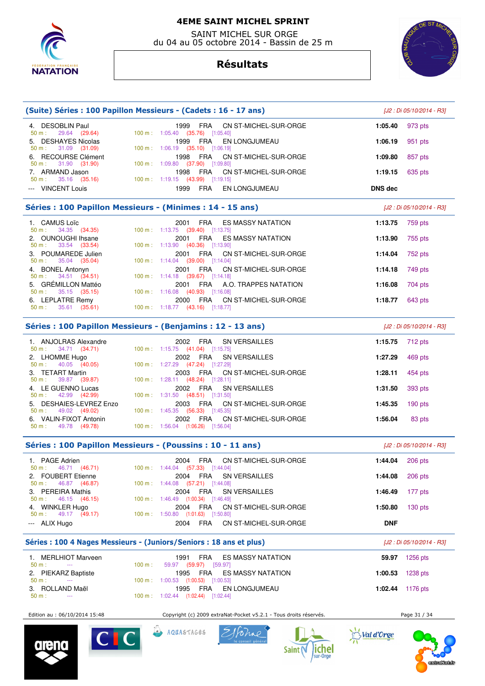

 SAINT MICHEL SUR ORGE du 04 au 05 octobre 2014 - Bassin de 25 m

# **Résultats**



**ion extra Nation** 

|                                                      |        | (Suite) Séries : 100 Papillon Messieurs - (Cadets : 16 - 17 ans)                                     |                  | [J2 : Di 05/10/2014 - R3] |
|------------------------------------------------------|--------|------------------------------------------------------------------------------------------------------|------------------|---------------------------|
| 4. DESOBLIN Paul                                     |        | 1999<br><b>FRA</b><br>CN ST-MICHEL-SUR-ORGE                                                          | 1:05.40          | 973 pts                   |
| 29.64 (29.64)<br>50 m:<br>5. DESHAYES Nicolas        |        | 100 m: 1:05.40 (35.76) [1:05.40]<br>1999<br>FRA<br>EN LONGJUMEAU<br>100 m: 1:06.19 (35.10) [1:06.19] | 1:06.19          | 951 pts                   |
| 31.09 (31.09)<br>50 m:<br>6. RECOURSE Clément        |        | FRA<br>1998<br>CN ST-MICHEL-SUR-ORGE                                                                 | 1:09.80          | 857 pts                   |
| 31.90 (31.90)<br>50 m:<br>7. ARMAND Jason            |        | 100 m : $1:09.80$ (37.90) [1:09.80]<br>FRA<br>1998<br>CN ST-MICHEL-SUR-ORGE                          | 1:19.15          | 635 pts                   |
| 35.16 (35.16)<br>50 m:<br>--- VINCENT Louis          |        | 100 m: 1:19.15 (43.99) [1:19.15]<br>1999<br>FRA<br>EN LONGJUMEAU                                     | <b>DNS</b> dec   |                           |
|                                                      |        | Séries : 100 Papillon Messieurs - (Minimes : 14 - 15 ans)                                            |                  | [J2 : Di 05/10/2014 - R3] |
| 1. CAMUS Loïc<br>34.35 (34.35)<br>50 m:              |        | 2001<br><b>FRA</b><br><b>ES MASSY NATATION</b><br>100 m: 1:13.75 (39.40) [1:13.75]                   | 1:13.75          | 759 pts                   |
| 2. OUNOUGHI Ihsane                                   |        | <b>FRA</b><br>2001<br>ES MASSY NATATION                                                              | 1:13.90          | 755 pts                   |
| 33.54<br>50 m:<br>(33.54)<br>3. POUMAREDE Julien     |        | 100 m: 1:13.90 (40.36) [1:13.90]<br>2001<br>FRA<br>CN ST-MICHEL-SUR-ORGE                             | 1:14.04          | 752 pts                   |
| 35.04 (35.04)<br>50 m:<br>4. BONEL Antonyn           |        | 100 m: 1:14.04 (39.00) [1:14.04]<br>FRA<br>2001<br>CN ST-MICHEL-SUR-ORGE                             | 1:14.18          | 749 pts                   |
| 34.51 (34.51)<br>50 m:<br>5. GRÉMILLON Mattéo        |        | 100 m: 1:14.18 (39.67) [1:14.18]<br>FRA<br>2001<br>A.O. TRAPPES NATATION                             | 1:16.08          | 704 pts                   |
| 35.15 (35.15)<br>$50 m$ :<br>6. LEPLATRE Remy        |        | $100 \text{ m}: 1:16.08$ (40.93) [1:16.08]<br>FRA<br>2000<br>CN ST-MICHEL-SUR-ORGE                   | 1:18.77          | 643 pts                   |
| 35.61 (35.61)<br>50 m:                               |        | 100 m : 1:18.77 (43.16) [1:18.77]                                                                    |                  |                           |
|                                                      |        | Séries : 100 Papillon Messieurs - (Benjamins : 12 - 13 ans)                                          |                  | [J2 : Di 05/10/2014 - R3] |
| 1. ANJOLRAS Alexandre<br>34.71 (34.71)<br>50 m:      |        | 2002<br>FRA<br><b>SN VERSAILLES</b><br>100 m: 1:15.75 (41.04) [1:15.75]                              | 1:15.75          | 712 pts                   |
| 2. LHOMME Hugo<br>40.05 (40.05)<br>50 m:             |        | 2002<br>FRA<br>SN VERSAILLES<br>100 m: 1:27.29 (47.24) [1:27.29]                                     | 1:27.29          | 469 pts                   |
| 3. TETART Martin                                     |        | FRA<br>2003<br>CN ST-MICHEL-SUR-ORGE                                                                 | 1:28.11          | 454 pts                   |
| 39.87 (39.87)<br>50 m:<br>4. LE GUENNO Lucas         |        | 100 m : 1:28.11 $(48.24)$ [1:28.11]<br>2002<br>FRA<br><b>SN VERSAILLES</b>                           | 1:31.50          | 393 pts                   |
| 42.99 (42.99)<br>50 m:<br>5. DESHAIES-LEVREZ Enzo    |        | 100 m: 1:31.50 (48.51) [1:31.50]<br>2003<br>FRA<br>CN ST-MICHEL-SUR-ORGE                             | 1:45.35          | $190$ pts                 |
| 49.02 (49.02)<br>50 m:<br>6. VALIN-FIXOT Antonin     |        | 100 m: 1:45.35 (56.33) [1:45.35]<br>2002<br>FRA<br>CN ST-MICHEL-SUR-ORGE                             | 1:56.04          | 83 pts                    |
| 49.78 (49.78)<br>50 m:                               |        | 100 m: 1:56.04 (1:06.26) [1:56.04]                                                                   |                  |                           |
|                                                      |        | Séries : 100 Papillon Messieurs - (Poussins : 10 - 11 ans)                                           |                  | [J2 : Di 05/10/2014 - R3] |
| 1. PAGE Adrien<br>$50 \text{ m}: 46.71 (46.71)$      |        | 2004 FRA CN ST-MICHEL-SUR-ORGE<br>100 m: 1:44.04 (57.33) [1:44.04]                                   | 1:44.04 206 pts  |                           |
| 2. FOUBERT Etienne                                   |        | 2004<br>FRA<br>SN VERSAILLES<br>100 m: 1:44.08 (57.21) [1:44.08]                                     | 1:44.08          | 206 pts                   |
| 46.87 (46.87)<br>50 m:<br>3. PEREIRA Mathis          |        | FRA<br>SN VERSAILLES<br>2004                                                                         | 1:46.49          | 177 pts                   |
| 46.15 (46.15)<br>50 m:<br>4. WINKLER Hugo            |        | 100 m : 1:46.49 (1:00.34) [1:46.49]<br>2004<br>FRA<br>CN ST-MICHEL-SUR-ORGE                          | 1:50.80          | $130$ pts                 |
| 49.17 (49.17)<br>$50 m$ :<br>--- ALIX Hugo           |        | 100 m: 1:50.80 (1:01.63) [1:50.80]<br>2004<br>FRA<br>CN ST-MICHEL-SUR-ORGE                           | <b>DNF</b>       |                           |
|                                                      |        | Séries : 100 4 Nages Messieurs - (Juniors/Seniors : 18 ans et plus)                                  |                  | [J2 : Di 05/10/2014 - R3] |
| 1. MERLHIOT Marveen                                  |        | 1991<br>FRA<br><b>ES MASSY NATATION</b>                                                              |                  | 59.97 1256 pts            |
| 50 m:<br>$\sim$ $\sim$ $\sim$<br>2. PIEKARZ Baptiste | 100 m: | 59.97 (59.97) [59.97]<br>1995<br>FRA<br>ES MASSY NATATION                                            | 1:00.53          | 1238 pts                  |
| $50 m$ :<br>3. ROLLAND Maël                          |        | 100 m : 1:00.53 (1:00.53) [1:00.53]<br>1995<br>FRA<br>EN LONGJUMEAU                                  | 1:02.44 1176 pts |                           |
| 50 m:                                                |        | 100 m : 1:02.44 (1:02.44) [1:02.44]                                                                  |                  |                           |
| Edition au : 06/10/2014 15:48                        |        | Copyright (c) 2009 extraNat-Pocket v5.2.1 - Tous droits réservés.                                    |                  | Page 31 / 34              |
| CIC<br>arena                                         |        | AQUASTAGES<br>Saint<br>sur-Orge                                                                      | Val d'Orge       |                           |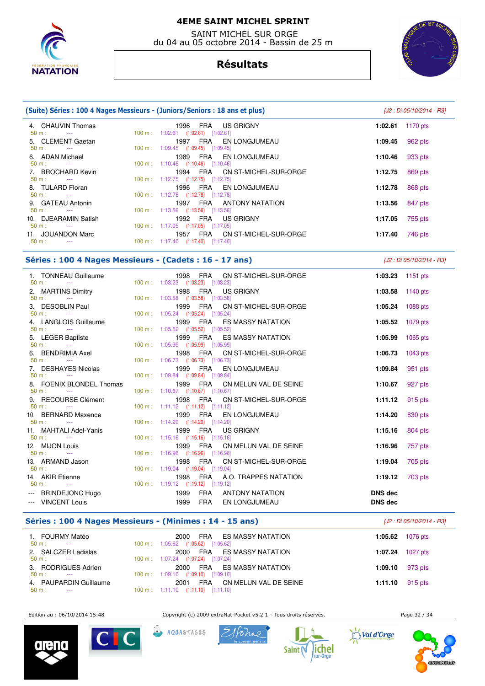

 SAINT MICHEL SUR ORGE du 04 au 05 octobre 2014 - Bassin de 25 m

# **Résultats**



| (Suite) Séries : 100 4 Nages Messieurs - (Juniors/Seniors : 18 ans et plus) | [J2 : Di 05/10/2014 - R3]                                                          |                     |
|-----------------------------------------------------------------------------|------------------------------------------------------------------------------------|---------------------|
| 4. CHAUVIN Thomas                                                           | 1996 FRA US GRIGNY                                                                 | 1170 pts<br>1:02.61 |
| $50 \text{ m}$ : $-$                                                        | $100 \text{ m}$ : $1:02.61$ $(1:02.61)$ $[1:02.61]$                                |                     |
| 5. CLEMENT Gaetan<br>$50 \text{ m}$ : $-$                                   | FRA EN LONGJUMEAU<br>1997<br>$100 \text{ m}: 1:09.45$ $(1:09.45)$ $[1:09.45]$      | 962 pts<br>1:09.45  |
| 6. ADAN Michael                                                             | FRA EN LONGJUMEAU<br>1989                                                          | 933 pts<br>1:10.46  |
| $50 \text{ m}$ : $-$                                                        | $100 \text{ m}$ : 1:10.46 (1:10.46) [1:10.46]                                      |                     |
| 7. BROCHARD Kevin<br>$50 \text{ m}$ : $-$                                   | 1994 FRA CN ST-MICHEL-SUR-ORGE<br>$100 \text{ m}: 1:12.75$ $(1:12.75)$ $[1:12.75]$ | 869 pts<br>1:12.75  |
| 8. TULARD Floran                                                            | 1996 FRA EN LONGJUMEAU                                                             | 868 pts<br>1:12.78  |
| $50 \text{ m}$ : $-$                                                        | $100 \text{ m}: 1:12.78$ $(1:12.78)$ $[1:12.78]$                                   |                     |
| 9. GATEAU Antonin<br>$50 \text{ m}$ : $-$                                   | FRA ANTONY NATATION<br>1997<br>$100 \text{ m}$ : 1:13.56 (1:13.56) [1:13.56]       | 847 pts<br>1:13.56  |
| 10. DJEARAMIN Satish                                                        | 1992 FRA US GRIGNY                                                                 | 1:17.05<br>755 pts  |
| $50 \text{ m}$ :                                                            | $100 \text{ m}: 1:17.05$ $(1:17.05)$ $[1:17.05]$                                   |                     |
| 11. JOUANDON Marc                                                           | 1957 FRA CN ST-MICHEL-SUR-ORGE                                                     | 746 pts<br>1:17.40  |
| $50 m$ :<br>$\sim$ $\sim$ $\sim$                                            | $100 \text{ m}: 1:17.40$ $(1:17.40)$ $[1:17.40]$                                   |                     |

#### **Séries : 100 4 Nages Messieurs - (Cadets : 16 - 17 ans)** [J2 : Di 05/10/2014 - R3]

 1. TONNEAU Guillaume 1998 FRA CN ST-MICHEL-SUR-ORGE **1:03.23** 1151 pts 1:03.23 (1:03.23) [1:03.23] 2. MARTINS Dimitry 1998 FRA US GRIGNY **1:03.58** 1140 pts 50 m : --- 100 m : 1:03.58 (1:03.58) [1:03.58] 3. DESOBLIN Paul 1999 FRA CN ST-MICHEL-SUR-ORGE **1:05.24** 1088 pts 50 m : --- 100 m : 1:05.24 (1:05.24) [1:05.24] 4. LANGLOIS Guillaume 1999 FRA ES MASSY NATATION **1:05.52** 1079 pts 1:05.52 (1:05.52) [1:05.52] 5. LEGER Baptiste 1999 FRA ES MASSY NATATION **1:05.99** 1065 pts 50 m : --- 100 m : 1:05.99 (1:05.99) [1:05.99] 6. BENDRIMIA Axel 1998 FRA CN ST-MICHEL-SUR-ORGE **1:06.73** 1043 pts 100 m : 1:06.73 (1:06.73) [1:06.73] 7. DESHAYES Nicolas 1999 FRA EN LONGJUMEAU **1:09.84** 951 pts 50 m : --- 100 m : 1:09.84 (1:09.84) [1:09.84] 8. FOENIX BLONDEL Thomas **1999 FRA** CN MELUN VAL DE SEINE **1:10.67** 927 pts<br>
50 m : 110.67 **100 m** : 1:10.67 (1:10.67) [1:10.67] 50 m : --- 100 m : 1:10.67 (1:10.67) [1:10.67] 9. RECOURSE Clément 1998 FRA CN ST-MICHEL-SUR-ORGE **1:11.12** 915 pts  $1:11.12$   $(1:11.12)$   $[1:11.12]$  10. BERNARD Maxence 1999 FRA EN LONGJUMEAU **1:14.20** 830 pts 100 m : 1:14.20 (1:14.20) [1:14.20] 11. MAHTALI Adel-Yanis 1999 FRA US GRIGNY **1:15.16** 804 pts 50 m : --- 100 m : 1:15.16 (1:15.16) [1:15.16] 12. MIJON Louis 1999 FRA CN MELUN VAL DE SEINE **1:16.96** 757 pts 100 m : 1:16.96 (1:16.96) [1:16.96] 13. ARMAND Jason 1998 FRA CN ST-MICHEL-SUR-ORGE **1:19.04** 705 pts  $(1:19.04)$   $[1:19.04]$  14. AKIR Etienne 1998 FRA A.O. TRAPPES NATATION **1:19.12** 703 pts 50 m : --- 100 m : 1:19.12 (1:19.12) [1:19.12] --- BRINDEJONC Hugo 1999 FRA ANTONY NATATION **DNS dec**  --- VINCENT Louis 1999 FRA EN LONGJUMEAU **DNS dec** 

#### **Séries : 100 4 Nages Messieurs - (Minimes : 14 - 15 ans)** [J2 : Di 05/10/2014 - R3]

 1. FOURMY Matéo 2000 FRA ES MASSY NATATION **1:05.62** 1076 pts 100 m : 1:05.62 (1:05.62) [1:05.62] 2. SALCZER Ladislas 2000 FRA ES MASSY NATATION **1:07.24** 1027 pts 100 m : --- 1:07.24 (1:07.24) [1:07.24] 3. RODRIGUES Adrien 2000 FRA ES MASSY NATATION **1:09.10** 973 pts 50 m : --- 100 m : 1:09.10 (1:09.10) [1:09.10] 4. PAUPARDIN Guillaume 2001 FRA CN MELUN VAL DE SEINE **1:11.10** 915 pts 100 m : 1:11.10 (1:11.10) [1:11.10]

Edition au : 06/10/2014 15:48 Copyright (c) 2009 extraNat-Pocket v5.2.1 - Tous droits réservés. Page 32 / 34









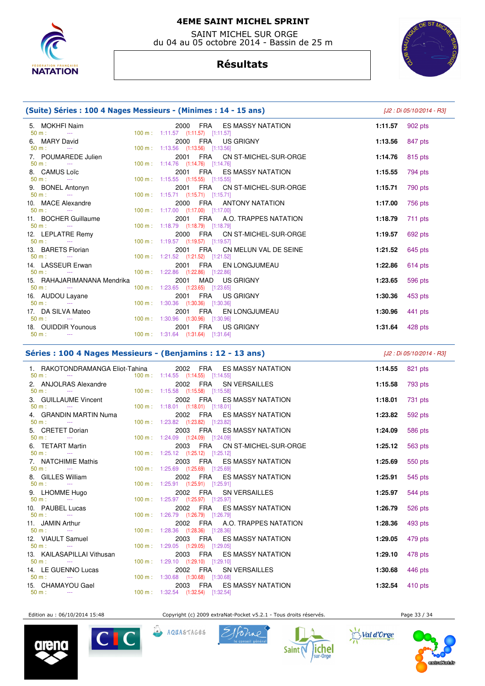

 SAINT MICHEL SUR ORGE du 04 au 05 octobre 2014 - Bassin de 25 m



# **Résultats**

|                                                                | (Suite) Séries : 100 4 Nages Messieurs - (Minimes : 14 - 15 ans) | [J2 : Di 05/10/2014 - R3]                                                          |         |           |
|----------------------------------------------------------------|------------------------------------------------------------------|------------------------------------------------------------------------------------|---------|-----------|
| 5. MOKHFI Naim<br>$50 \text{ m}$ :<br><b>State State State</b> |                                                                  | 2000 FRA ES MASSY NATATION<br>$100 \text{ m}: 1:11.57$ $(1:11.57)$ $[1:11.57]$     | 1:11.57 | 902 pts   |
| 6. MARY David<br>$50 \text{ m}$ :<br><b>Contractor</b>         |                                                                  | 2000 FRA US GRIGNY<br>100 m: 1:13.56 (1:13.56) [1:13.56]                           | 1:13.56 | 847 pts   |
| 7. POUMAREDE Julien<br>$50 m:$ ---                             |                                                                  | 2001 FRA CN ST-MICHEL-SUR-ORGE<br>100 m: 1:14.76 (1:14.76) [1:14.76]               | 1:14.76 | 815 pts   |
| 8. CAMUS Loïc<br>$50 \text{ m}$ : $-$                          |                                                                  | 2001 FRA ES MASSY NATATION<br>100 m: 1:15.55 (1:15.55) [1:15.55]                   | 1:15.55 | 794 pts   |
| 9. BONEL Antonyn<br>$50 m:$ ---                                |                                                                  | 2001 FRA CN ST-MICHEL-SUR-ORGE<br>$100 \text{ m}: 1:15.71$ $(1:15.71)$ $[1:15.71]$ | 1:15.71 | 790 pts   |
| 10. MACE Alexandre<br>$50 \text{ m}$ :<br><b>State State</b>   |                                                                  | 2000 FRA ANTONY NATATION<br>100 m: 1:17.00 (1:17.00) [1:17.00]                     | 1:17.00 | 756 pts   |
| 11. BOCHER Guillaume<br>$50 \text{ m}$ : $-$                   |                                                                  | 2001 FRA A.O. TRAPPES NATATION<br>100 m: 1:18.79 (1:18.79) [1:18.79]               | 1:18.79 | $711$ pts |
| 12. LEPLATRE Remy<br>$50 m$ :<br><b>Continued</b>              |                                                                  | 2000 FRA CN ST-MICHEL-SUR-ORGE<br>100 m: 1:19.57 (1:19.57) [1:19.57]               | 1:19.57 | 692 pts   |
| 13. BARETS Florian<br>$50 \text{ m}$ : $-$                     |                                                                  | 2001 FRA CN MELUN VAL DE SEINE<br>100 m: 1:21.52 (1:21.52) [1:21.52]               | 1:21.52 | 645 pts   |
| 14. LASSEUR Erwan<br>$50 m:$ ---                               |                                                                  | 2001 FRA EN LONGJUMEAU<br>100 m: 1:22.86 (1:22.86) [1:22.86]                       | 1:22.86 | 614 pts   |
| 15. RAHAJARIMANANA Mendrika<br>$50 m:$ ---                     |                                                                  | 2001 MAD US GRIGNY<br>100 m: 1:23.65 (1:23.65) [1:23.65]                           | 1:23.65 | 596 pts   |
| 16. AUDOU Layane<br>50 m:<br>$\sim 100$ and $\sim 100$         |                                                                  | 2001 FRA US GRIGNY<br>100 m: 1:30.36 (1:30.36) [1:30.36]                           | 1:30.36 | 453 pts   |
| 17. DA SILVA Mateo<br>$50 \text{ m}$ : $-$                     |                                                                  | 2001 FRA EN LONGJUMEAU<br>100 m: 1:30.96 (1:30.96) [1:30.96]                       | 1:30.96 | 441 pts   |
| 18. OUIDDIR Younous<br>$50 m:$ ---                             |                                                                  | 2001 FRA US GRIGNY<br>100 m: 1:31.64 (1:31.64) [1:31.64]                           | 1:31.64 | 428 pts   |

# **Séries : 100 4 Nages Messieurs - (Benjamins : 12 - 13 ans)** [J2 : Di 05/10/2014 - R3]

| 1. RAKOTONDRAMANGA Eliot-Tahina $2002$ FRA ES MASSY NATATION<br>$50 \text{ m}$ : $-- 100 \text{ m}$ : $1:14.55$ $(1:14.55)$ $[1:14.55]$ |                                                  |                            |                                                          | 1:14.55 821 pts            |         |
|-----------------------------------------------------------------------------------------------------------------------------------------|--------------------------------------------------|----------------------------|----------------------------------------------------------|----------------------------|---------|
|                                                                                                                                         |                                                  |                            | 2002 FRA SN VERSAILLES                                   | 1:15.58 793 pts            |         |
| 3. GUILLAUME Vincent<br>$100 \text{ m}: 1:18.01$ $(1:18.01)$ $[1:18.01]$<br>$50 m:$ $-$                                                 |                                                  | 2002 FRA ES MASSY NATATION |                                                          | 1:18.01                    | 731 pts |
| 4. GRANDIN MARTIN Numa<br>$50 \text{ m}$ : $-$                                                                                          | 100 m: 1:23.82 (1:23.82) [1:23.82]               |                            | 2002 FRA ES MASSY NATATION                               | 1:23.82                    | 592 pts |
| 5. CRETET Dorian<br>$50 \text{ m}$ : $44 \text{ m}$                                                                                     | 100 m: 1:24.09 (1:24.09) [1:24.09]               |                            | 2003 FRA ES MASSY NATATION                               | 1:24.09                    | 586 pts |
| 6. TETART Martin<br>$50 \text{ m}$ : $-$                                                                                                | 100 m: 1:25.12 (1:25.12) [1:25.12]               |                            | 2003 FRA CN ST-MICHEL-SUR-ORGE                           | 1:25.12                    | 563 pts |
| 7. NATCHIMIE Mathis<br>$50 \text{ m}$ : $-$                                                                                             | 100 m: 1:25.69 (1:25.69) [1:25.69]               |                            | 2003 FRA ES MASSY NATATION                               | 1:25.69                    | 550 pts |
| 8. GILLES William $\frac{50 \text{ m}}{2}$ :                                                                                            | 100 m: 1:25.91 (1:25.91) [1:25.91]               |                            | 2002 FRA ES MASSY NATATION                               | 1:25.91                    | 545 pts |
|                                                                                                                                         | 100 m: 1:25.97 (1:25.97) [1:25.97]               |                            | 2002 FRA SN VERSAILLES                                   | 1:25.97                    | 544 pts |
| 10. PAUBEL Lucas                                                                                                                        | 100 m: 1:26.79 (1:26.79) [1:26.79]               |                            | 2002 FRA ES MASSY NATATION                               | 1:26.79                    | 526 pts |
| 11. JAMIN Arthur<br>$50 m$ : $-$                                                                                                        | 100 m: 1:28.36 (1:28.36) [1:28.36]               |                            | 2002 FRA A.O. TRAPPES NATATION                           | <b>1:28.36</b> 493 pts     |         |
| 12. VIAULT Samuel<br>$50 \text{ m}$ : $-$<br>13. KAILASAPILLAI Vithusan                                                                 | 100 m: 1:29.05 (1:29.05) [1:29.05]               |                            | 2003 FRA ES MASSY NATATION<br>2003 FRA ES MASSY NATATION | 1:29.05                    | 479 pts |
| $50 \text{ m}$ : $-$<br>14. LE GUENNO Lucas                                                                                             | 100 m: 1:29.10 (1:29.10) [1:29.10]               |                            | 2002 FRA SN VERSAILLES                                   | 1:29.10<br>1:30.68 446 pts | 478 pts |
| $50 \text{ m}$ : $-$<br>15. CHAMAYOU Gael                                                                                               | 100 m : 1:30.68 (1:30.68) [1:30.68]              | 2003 FRA ES MASSY NATATION |                                                          | 1:32.54 410 pts            |         |
| $50 \text{ m}$ : $-$                                                                                                                    | $100 \text{ m}: 1:32.54$ $(1:32.54)$ $[1:32.54]$ |                            |                                                          |                            |         |

Edition au : 06/10/2014 15:48 Copyright (c) 2009 extraNat-Pocket v5.2.1 - Tous droits réservés. Page 33 / 34



Val d'Orge